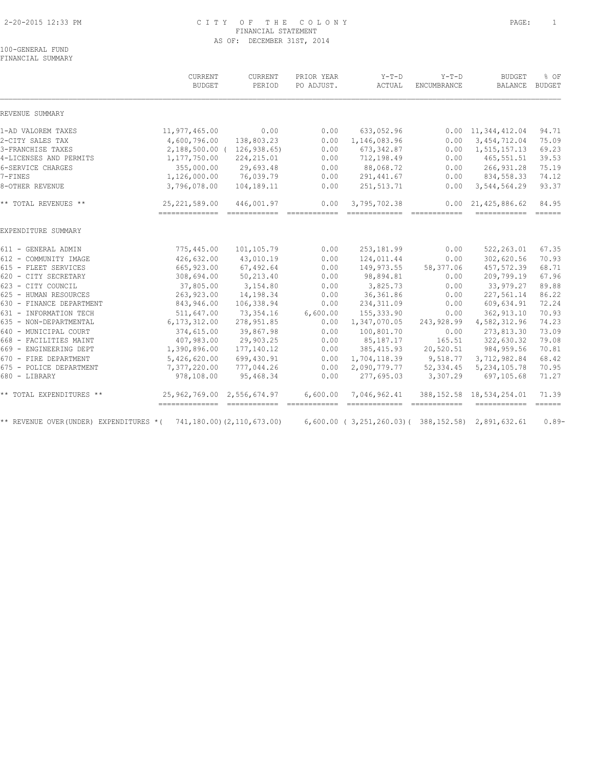### 2-20-2015 12:33 PM C I T Y O F T H E C O L O N Y PAGE: 1 FINANCIAL STATEMENT AS OF: DECEMBER 31ST, 2014

100-GENERAL FUND FINANCIAL SUMMARY

|                                          | CURRENT<br><b>BUDGET</b>                             | CURRENT<br>PERIOD          | PRIOR YEAR<br>PO ADJUST. | $Y-T-D$<br>ACTUAL                                   | $Y-T-D$<br>ENCUMBRANCE                                                                                                                                                                                                                                                                                                                                                                                                                                                                 | <b>BUDGET</b><br><b>BALANCE</b>       | % OF<br><b>BUDGET</b>              |
|------------------------------------------|------------------------------------------------------|----------------------------|--------------------------|-----------------------------------------------------|----------------------------------------------------------------------------------------------------------------------------------------------------------------------------------------------------------------------------------------------------------------------------------------------------------------------------------------------------------------------------------------------------------------------------------------------------------------------------------------|---------------------------------------|------------------------------------|
| REVENUE SUMMARY                          |                                                      |                            |                          |                                                     |                                                                                                                                                                                                                                                                                                                                                                                                                                                                                        |                                       |                                    |
| 1-AD VALOREM TAXES                       | 11,977,465.00                                        | 0.00                       | 0.00                     | 633,052.96                                          |                                                                                                                                                                                                                                                                                                                                                                                                                                                                                        | $0.00 \quad 11,344,412.04$            | 94.71                              |
| 2-CITY SALES TAX                         | 4,600,796.00                                         | 138,803.23                 | 0.00                     | 1,146,083.96                                        | 0.00                                                                                                                                                                                                                                                                                                                                                                                                                                                                                   | 3, 454, 712.04                        | 75.09                              |
| 3-FRANCHISE TAXES                        |                                                      | 2,188,500.00 ( 126,938.65) | 0.00                     | 673, 342.87                                         | 0.00                                                                                                                                                                                                                                                                                                                                                                                                                                                                                   | 1,515,157.13                          | 69.23                              |
| 4-LICENSES AND PERMITS                   | 1,177,750.00                                         | 224, 215.01                | 0.00                     | 712,198.49                                          | 0.00                                                                                                                                                                                                                                                                                                                                                                                                                                                                                   | 465,551.51                            | 39.53                              |
| 6-SERVICE CHARGES                        | 355,000.00                                           | 29,693.48                  | 0.00                     | 88,068.72                                           | 0.00                                                                                                                                                                                                                                                                                                                                                                                                                                                                                   | 266, 931.28                           | 75.19                              |
| 7-FINES                                  | 1,126,000.00                                         | 76,039.79                  | 0.00                     | 291, 441.67                                         | 0.00                                                                                                                                                                                                                                                                                                                                                                                                                                                                                   | 834,558.33                            | 74.12                              |
| 8-OTHER REVENUE                          | 3,796,078.00                                         | 104,189.11                 | 0.00                     | 251, 513.71                                         | 0.00                                                                                                                                                                                                                                                                                                                                                                                                                                                                                   | 3,544,564.29                          | 93.37                              |
| ** TOTAL REVENUES **                     | 25, 221, 589.00<br>================================= | 446,001.97                 | 0.00<br>============     | 3,795,702.38<br>=============                       | 0.00<br>$\begin{tabular}{ll} \multicolumn{2}{c}{\textbf{2.66}} & \multicolumn{2}{c}{\textbf{2.66}} & \multicolumn{2}{c}{\textbf{2.66}} & \multicolumn{2}{c}{\textbf{2.66}} \\ \multicolumn{2}{c}{\textbf{2.66}} & \multicolumn{2}{c}{\textbf{2.66}} & \multicolumn{2}{c}{\textbf{2.66}} & \multicolumn{2}{c}{\textbf{2.66}} & \multicolumn{2}{c}{\textbf{2.66}} \\ \multicolumn{2}{c}{\textbf{2.66}} & \multicolumn{2}{c}{\textbf{2.66}} & \multic$                                    | 21,425,886.62<br>------------- ------ | 84.95                              |
| EXPENDITURE SUMMARY                      |                                                      |                            |                          |                                                     |                                                                                                                                                                                                                                                                                                                                                                                                                                                                                        |                                       |                                    |
| 611 - GENERAL ADMIN                      | 775,445.00                                           | 101,105.79                 | 0.00                     | 253, 181.99                                         | 0.00                                                                                                                                                                                                                                                                                                                                                                                                                                                                                   | 522, 263.01                           | 67.35                              |
| 612 - COMMUNITY IMAGE                    | 426,632.00                                           | 43,010.19                  | 0.00                     | 124,011.44                                          | 0.00                                                                                                                                                                                                                                                                                                                                                                                                                                                                                   | 302,620.56                            | 70.93                              |
| 615 - FLEET SERVICES                     | 665, 923.00                                          | 67,492.64                  | 0.00                     | 149,973.55                                          | 58,377.06                                                                                                                                                                                                                                                                                                                                                                                                                                                                              | 457,572.39                            | 68.71                              |
| 620 - CITY SECRETARY                     | 308,694.00                                           | 50,213.40                  | 0.00                     | 98,894.81                                           | 0.00                                                                                                                                                                                                                                                                                                                                                                                                                                                                                   | 209,799.19                            | 67.96                              |
| 623 - CITY COUNCIL                       | 37,805.00                                            | 3,154.80                   | 0.00                     | 3,825.73                                            | 0.00                                                                                                                                                                                                                                                                                                                                                                                                                                                                                   | 33,979.27                             | 89.88                              |
| 625 - HUMAN RESOURCES                    | 263,923.00                                           | 14,198.34                  | 0.00                     | 36, 361.86                                          | 0.00                                                                                                                                                                                                                                                                                                                                                                                                                                                                                   | 227,561.14                            | 86.22                              |
| 630 - FINANCE DEPARTMENT                 | 843,946.00                                           | 106,338.94                 | 0.00                     | 234, 311.09                                         | 0.00                                                                                                                                                                                                                                                                                                                                                                                                                                                                                   | 609,634.91                            | 72.24                              |
| 631 - INFORMATION TECH                   | 511,647.00                                           | 73,354.16                  | 6,600.00                 | 155, 333.90                                         | 0.00                                                                                                                                                                                                                                                                                                                                                                                                                                                                                   | 362, 913.10                           | 70.93                              |
| 635 - NON-DEPARTMENTAL                   | 6, 173, 312.00                                       | 278, 951.85                | 0.00                     | 1,347,070.05                                        | 243,928.99                                                                                                                                                                                                                                                                                                                                                                                                                                                                             | 4,582,312.96                          | 74.23                              |
| 640 - MUNICIPAL COURT                    | 374,615.00                                           | 39,867.98                  | 0.00                     | 100,801.70                                          | 0.00                                                                                                                                                                                                                                                                                                                                                                                                                                                                                   | 273,813.30                            | 73.09                              |
| 668 - FACILITIES MAINT                   | 407,983.00                                           | 29,903.25                  | 0.00                     | 85,187.17                                           | 165.51                                                                                                                                                                                                                                                                                                                                                                                                                                                                                 | 322,630.32                            | 79.08                              |
| 669 - ENGINEERING DEPT                   | 1,390,896.00                                         | 177,140.12                 | 0.00                     | 385, 415.93                                         | 20,520.51                                                                                                                                                                                                                                                                                                                                                                                                                                                                              | 984, 959.56                           | 70.81                              |
| 670 - FIRE DEPARTMENT                    | 5,426,620.00                                         | 699,430.91                 | 0.00                     | 1,704,118.39                                        | 9,518.77                                                                                                                                                                                                                                                                                                                                                                                                                                                                               | 3,712,982.84                          | 68.42                              |
| 675 - POLICE DEPARTMENT                  | 7,377,220.00                                         | 777,044.26                 | 0.00                     | 2,090,779.77                                        | 52, 334.45                                                                                                                                                                                                                                                                                                                                                                                                                                                                             | 5, 234, 105.78                        | 70.95                              |
| 680 - LIBRARY                            | 978,108.00                                           | 95,468.34                  | 0.00                     | 277,695.03                                          | 3,307.29                                                                                                                                                                                                                                                                                                                                                                                                                                                                               | 697,105.68                            | 71.27                              |
| ** TOTAL EXPENDITURES **                 | 25, 962, 769.00 2, 556, 674.97                       |                            | 6,600.00                 | 7,046,962.41                                        |                                                                                                                                                                                                                                                                                                                                                                                                                                                                                        | 388, 152.58 18, 534, 254.01           | 71.39                              |
| ** REVENUE OVER (UNDER) EXPENDITURES * ( | -------------- -------------                         | 741,180.00) (2,110,673.00) |                          | $6,600.00$ (3,251,260.03) (388,152.58) 2,891,632.61 | $\begin{array}{cccccccccc} \multicolumn{2}{c}{} & \multicolumn{2}{c}{} & \multicolumn{2}{c}{} & \multicolumn{2}{c}{} & \multicolumn{2}{c}{} & \multicolumn{2}{c}{} & \multicolumn{2}{c}{} & \multicolumn{2}{c}{} & \multicolumn{2}{c}{} & \multicolumn{2}{c}{} & \multicolumn{2}{c}{} & \multicolumn{2}{c}{} & \multicolumn{2}{c}{} & \multicolumn{2}{c}{} & \multicolumn{2}{c}{} & \multicolumn{2}{c}{} & \multicolumn{2}{c}{} & \multicolumn{2}{c}{} & \multicolumn{2}{c}{} & \mult$ | ============                          | $=$ $=$ $=$ $=$ $=$ $=$<br>$0.89-$ |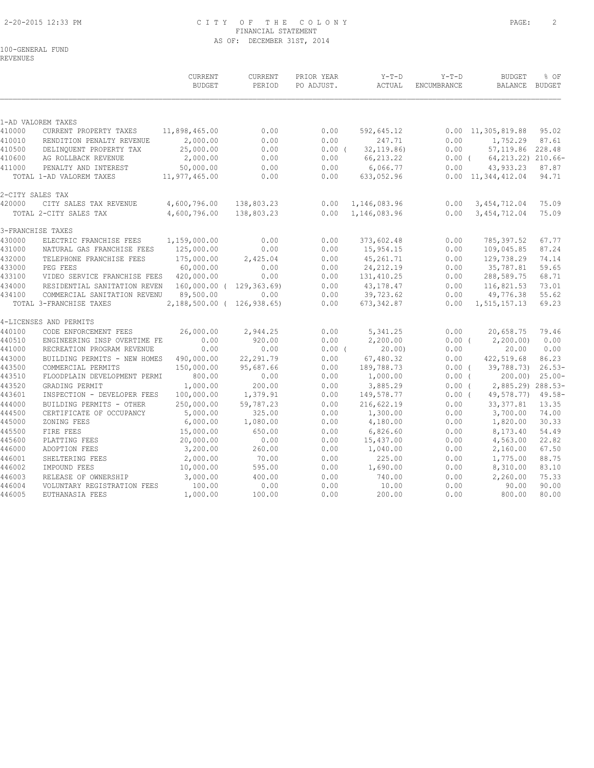### 2-20-2015 12:33 PM C I T Y O F T H E C O L O N Y PAGE: 2 FINANCIAL STATEMENT AS OF: DECEMBER 31ST, 2014

100-GENERAL FUND

REVENUES

|        |                              | CURRENT<br><b>BUDGET</b>   | <b>CURRENT</b><br>PERIOD | PRIOR YEAR<br>PO ADJUST. | $Y-T-D$<br>ACTUAL | $Y-T-D$<br>ENCUMBRANCE | <b>BUDGET</b><br><b>BALANCE</b> | % OF<br><b>BUDGET</b> |
|--------|------------------------------|----------------------------|--------------------------|--------------------------|-------------------|------------------------|---------------------------------|-----------------------|
|        | 1-AD VALOREM TAXES           |                            |                          |                          |                   |                        |                                 |                       |
| 410000 | CURRENT PROPERTY TAXES       | 11,898,465.00              | 0.00                     | 0.00                     | 592,645.12        |                        | $0.00 \quad 11,305,819.88$      | 95.02                 |
| 410010 | RENDITION PENALTY REVENUE    | 2,000.00                   | 0.00                     | 0.00                     | 247.71            | 0.00                   | 1,752.29                        | 87.61                 |
| 410500 | DELINQUENT PROPERTY TAX      | 25,000.00                  | 0.00                     | $0.00$ (                 | 32, 119.86        | 0.00                   | 57,119.86                       | 228.48                |
| 410600 | AG ROLLBACK REVENUE          | 2,000.00                   | 0.00                     | 0.00                     | 66, 213.22        | $0.00$ (               | 64, 213. 22) 210. 66-           |                       |
| 411000 | PENALTY AND INTEREST         | 50,000.00                  | 0.00                     | 0.00                     | 6,066.77          | 0.00                   | 43,933.23                       | 87.87                 |
|        | TOTAL 1-AD VALOREM TAXES     | 11,977,465.00              | 0.00                     | 0.00                     | 633,052.96        |                        | $0.00 \quad 11,344,412.04$      | 94.71                 |
|        | 2-CITY SALES TAX             |                            |                          |                          |                   |                        |                                 |                       |
| 420000 | CITY SALES TAX REVENUE       | 4,600,796.00               | 138,803.23               | 0.00                     | 1,146,083.96      | 0.00                   | 3, 454, 712.04                  | 75.09                 |
|        | TOTAL 2-CITY SALES TAX       | 4,600,796.00               | 138,803.23               | 0.00                     | 1,146,083.96      | 0.00                   | 3, 454, 712.04                  | 75.09                 |
|        | 3-FRANCHISE TAXES            |                            |                          |                          |                   |                        |                                 |                       |
| 430000 | ELECTRIC FRANCHISE FEES      | 1,159,000.00               | 0.00                     | 0.00                     | 373,602.48        | 0.00                   | 785,397.52                      | 67.77                 |
| 431000 | NATURAL GAS FRANCHISE FEES   | 125,000.00                 | 0.00                     | 0.00                     | 15,954.15         | 0.00                   | 109,045.85                      | 87.24                 |
| 432000 | TELEPHONE FRANCHISE FEES     | 175,000.00                 | 2,425.04                 | 0.00                     | 45,261.71         | 0.00                   | 129,738.29                      | 74.14                 |
| 433000 | PEG FEES                     | 60,000.00                  | 0.00                     | 0.00                     | 24, 212.19        | 0.00                   | 35,787.81                       | 59.65                 |
| 433100 | VIDEO SERVICE FRANCHISE FEES | 420,000.00                 | 0.00                     | 0.00                     | 131, 410.25       | 0.00                   | 288,589.75                      | 68.71                 |
| 434000 | RESIDENTIAL SANITATION REVEN |                            | 160,000.00 ( 129,363.69) | 0.00                     | 43,178.47         | 0.00                   | 116,821.53                      | 73.01                 |
| 434100 | COMMERCIAL SANITATION REVENU | 89,500.00                  | 0.00                     | 0.00                     | 39,723.62         | 0.00                   | 49,776.38                       | 55.62                 |
|        | TOTAL 3-FRANCHISE TAXES      | 2,188,500.00 ( 126,938.65) |                          | 0.00                     | 673, 342.87       | 0.00                   | 1,515,157.13                    | 69.23                 |
|        | 4-LICENSES AND PERMITS       |                            |                          |                          |                   |                        |                                 |                       |
| 440100 | CODE ENFORCEMENT FEES        | 26,000.00                  | 2,944.25                 | 0.00                     | 5,341.25          | 0.00                   | 20,658.75                       | 79.46                 |
| 440510 | ENGINEERING INSP OVERTIME FE | 0.00                       | 920.00                   | 0.00                     | 2,200.00          | 0.00(                  | 2, 200.00                       | 0.00                  |
| 441000 | RECREATION PROGRAM REVENUE   | 0.00                       | 0.00                     | $0.00$ (                 | 20.00             | 0.00                   | 20.00                           | 0.00                  |
| 443000 | BUILDING PERMITS - NEW HOMES | 490,000.00                 | 22,291.79                | 0.00                     | 67,480.32         | 0.00                   | 422,519.68                      | 86.23                 |
| 443500 | COMMERCIAL PERMITS           | 150,000.00                 | 95,687.66                | 0.00                     | 189,788.73        | $0.00$ (               | 39,788.73)                      | $26.53-$              |
| 443510 | FLOODPLAIN DEVELOPMENT PERMI | 800.00                     | 0.00                     | 0.00                     | 1,000.00          | $0.00$ (               | 200.00                          | $25.00 -$             |
| 443520 | GRADING PERMIT               | 1,000.00                   | 200.00                   | 0.00                     | 3,885.29          | 0.00(                  | 2,885.29) 288.53-               |                       |
| 443601 | INSPECTION - DEVELOPER FEES  | 100,000.00                 | 1,379.91                 | 0.00                     | 149,578.77        | 0.00(                  | 49,578.77)                      | $49.58 -$             |
| 444000 | BUILDING PERMITS - OTHER     | 250,000.00                 | 59,787.23                | 0.00                     | 216,622.19        | 0.00                   | 33, 377.81                      | 13.35                 |
| 444500 | CERTIFICATE OF OCCUPANCY     | 5,000.00                   | 325.00                   | 0.00                     | 1,300.00          | 0.00                   | 3,700.00                        | 74.00                 |
| 445000 | ZONING FEES                  | 6,000.00                   | 1,080.00                 | 0.00                     | 4,180.00          | 0.00                   | 1,820.00                        | 30.33                 |
| 445500 | FIRE FEES                    | 15,000.00                  | 650.00                   | 0.00                     | 6,826.60          | 0.00                   | 8,173.40                        | 54.49                 |
| 445600 | PLATTING FEES                | 20,000.00                  | 0.00                     | 0.00                     | 15,437.00         | 0.00                   | 4,563.00                        | 22.82                 |
| 446000 | ADOPTION FEES                | 3,200.00                   | 260.00                   | 0.00                     | 1,040.00          | 0.00                   | 2,160.00                        | 67.50                 |
| 446001 | SHELTERING FEES              | 2,000.00                   | 70.00                    | 0.00                     | 225.00            | 0.00                   | 1,775.00                        | 88.75                 |
| 446002 | IMPOUND FEES                 | 10,000.00                  | 595.00                   | 0.00                     | 1,690.00          | 0.00                   | 8,310.00                        | 83.10                 |
| 446003 | RELEASE OF OWNERSHIP         | 3,000.00                   | 400.00                   | 0.00                     | 740.00            | 0.00                   | 2,260.00                        | 75.33                 |
| 446004 | VOLUNTARY REGISTRATION FEES  | 100.00                     | 0.00                     | 0.00                     | 10.00             | 0.00                   | 90.00                           | 90.00                 |
| 446005 | EUTHANASIA FEES              | 1,000.00                   | 100.00                   | 0.00                     | 200.00            | 0.00                   | 800.00                          | 80.00                 |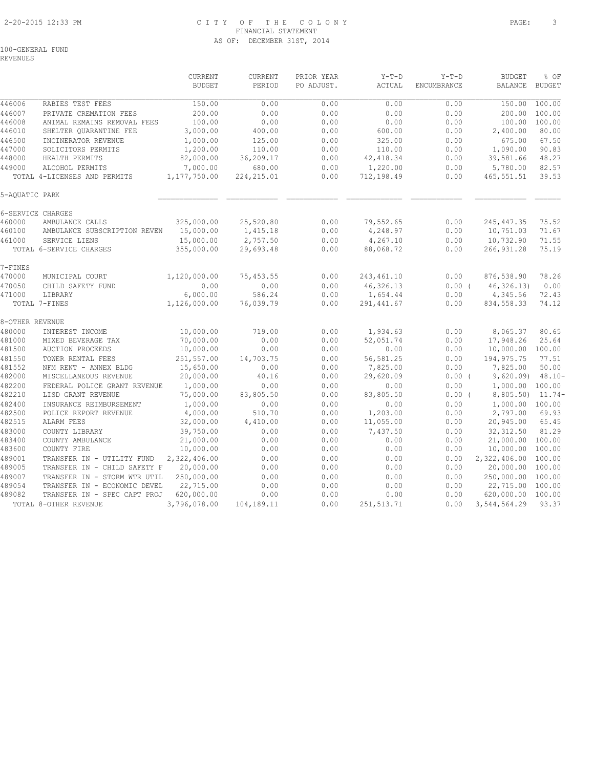### 2-20-2015 12:33 PM C I T Y O F T H E C O L O N Y PAGE: 3 FINANCIAL STATEMENT AS OF: DECEMBER 31ST, 2014

REVENUES

|                  |                                     | CURRENT<br><b>BUDGET</b> | CURRENT<br>PERIOD  | PRIOR YEAR<br>PO ADJUST. | $Y-T-D$<br>ACTUAL     | $Y-T-D$<br>ENCUMBRANCE | <b>BUDGET</b><br><b>BALANCE</b> | % OF<br><b>BUDGET</b> |
|------------------|-------------------------------------|--------------------------|--------------------|--------------------------|-----------------------|------------------------|---------------------------------|-----------------------|
| 446006           | RABIES TEST FEES                    | 150.00                   | 0.00               | 0.00                     | 0.00                  | 0.00                   | 150.00                          | 100.00                |
| 446007           | PRIVATE CREMATION FEES              | 200.00                   | 0.00               | 0.00                     | 0.00                  | 0.00                   | 200.00                          | 100.00                |
| 446008           | ANIMAL REMAINS REMOVAL FEES         | 100.00                   | 0.00               | 0.00                     | 0.00                  | 0.00                   | 100.00                          | 100.00                |
| 446010           | SHELTER QUARANTINE FEE              | 3,000.00                 | 400.00             | 0.00                     | 600.00                | 0.00                   | 2,400.00                        | 80.00                 |
| 446500           | INCINERATOR REVENUE                 | 1,000.00                 | 125.00             | 0.00                     | 325.00                | 0.00                   | 675.00                          | 67.50                 |
| 447000           | SOLICITORS PERMITS                  | 1,200.00                 | 110.00             | 0.00                     | 110.00                | 0.00                   | 1,090.00                        | 90.83                 |
| 448000           | HEALTH PERMITS                      | 82,000.00                | 36,209.17          | 0.00                     | 42, 418.34            | 0.00                   | 39,581.66                       | 48.27                 |
| 449000           | ALCOHOL PERMITS                     | 7,000.00                 | 680.00             | 0.00                     | 1,220.00              | 0.00                   | 5,780.00                        | 82.57                 |
|                  | TOTAL 4-LICENSES AND PERMITS        | 1, 177, 750.00           | 224, 215.01        | 0.00                     | 712,198.49            | 0.00                   | 465,551.51                      | 39.53                 |
| 5-AQUATIC PARK   |                                     |                          |                    |                          |                       |                        |                                 |                       |
|                  | 6-SERVICE CHARGES                   |                          |                    |                          |                       |                        |                                 |                       |
| 460000           | AMBULANCE CALLS                     | 325,000.00               | 25,520.80          | 0.00                     | 79,552.65             | 0.00                   | 245, 447.35                     | 75.52                 |
| 460100           | AMBULANCE SUBSCRIPTION REVEN        | 15,000.00                | 1,415.18           | 0.00                     | 4,248.97              | 0.00                   | 10,751.03                       | 71.67                 |
| 461000           | SERVICE LIENS                       | 15,000.00                | 2,757.50           | 0.00                     | 4,267.10              | 0.00                   | 10,732.90                       | 71.55                 |
|                  | TOTAL 6-SERVICE CHARGES             | 355,000.00               | 29,693.48          | 0.00                     | 88,068.72             | 0.00                   | 266, 931.28                     | 75.19                 |
| 7-FINES          |                                     |                          |                    |                          |                       |                        |                                 |                       |
| 470000           | MUNICIPAL COURT                     | 1,120,000.00             | 75,453.55          | 0.00                     | 243, 461.10           | 0.00                   | 876,538.90                      | 78.26                 |
| 470050           | CHILD SAFETY FUND                   | 0.00                     | 0.00               | 0.00                     | 46,326.13             | $0.00$ (               | 46, 326.13)                     | 0.00                  |
| 471000           | LIBRARY                             | 6,000.00                 | 586.24             | 0.00                     | 1,654.44              | 0.00                   | 4,345.56                        | 72.43                 |
|                  | TOTAL 7-FINES                       | 1,126,000.00             | 76,039.79          | 0.00                     | 291, 441.67           | 0.00                   | 834, 558.33                     | 74.12                 |
| 8-OTHER REVENUE  |                                     |                          |                    |                          |                       |                        |                                 |                       |
| 480000           | INTEREST INCOME                     | 10,000.00                | 719.00             | 0.00                     | 1,934.63              | 0.00                   | 8,065.37                        | 80.65                 |
| 481000           | MIXED BEVERAGE TAX                  | 70,000.00                | 0.00               | 0.00                     | 52,051.74             | 0.00                   | 17,948.26                       | 25.64                 |
| 481500           | <b>AUCTION PROCEEDS</b>             | 10,000.00                | 0.00               | 0.00                     | 0.00                  | 0.00                   | 10,000.00                       | 100.00                |
| 481550           | TOWER RENTAL FEES                   | 251,557.00               | 14,703.75          | 0.00                     | 56,581.25             | 0.00                   | 194, 975.75                     | 77.51                 |
| 481552           | NFM RENT - ANNEX BLDG               | 15,650.00                | 0.00               | 0.00                     | 7,825.00              | 0.00                   | 7,825.00                        | 50.00                 |
| 482000           | MISCELLANEOUS REVENUE               | 20,000.00                | 40.16              | 0.00                     | 29,620.09             | $0.00$ (               | 9,620.09                        | $48.10 -$             |
| 482200           | FEDERAL POLICE GRANT REVENUE        | 1,000.00                 | 0.00               | 0.00                     | 0.00                  | 0.00                   | 1,000.00 100.00                 |                       |
| 482210           | LISD GRANT REVENUE                  | 75,000.00                | 83,805.50          | 0.00                     | 83,805.50             | $0.00$ (               | 8,805.50                        | $11.74-$              |
| 482400           | INSURANCE REIMBURSEMENT             | 1,000.00                 | 0.00               | 0.00                     | 0.00                  | 0.00                   | 1,000.00 100.00                 |                       |
| 482500<br>482515 | POLICE REPORT REVENUE<br>ALARM FEES | 4,000.00<br>32,000.00    | 510.70<br>4,410.00 | 0.00<br>0.00             | 1,203.00<br>11,055.00 | 0.00<br>0.00           | 2,797.00<br>20,945.00           | 69.93<br>65.45        |
|                  |                                     |                          |                    |                          |                       |                        |                                 |                       |
| 483000           | COUNTY LIBRARY                      | 39,750.00<br>21,000.00   | 0.00               | 0.00<br>0.00             | 7,437.50<br>0.00      | 0.00<br>0.00           | 32, 312.50                      | 81.29<br>100.00       |
| 483400<br>483600 | COUNTY AMBULANCE<br>COUNTY FIRE     | 10,000.00                | 0.00<br>0.00       | 0.00                     | 0.00                  | 0.00                   | 21,000.00<br>10,000.00          | 100.00                |
| 489001           | TRANSFER IN - UTILITY FUND          | 2,322,406.00             | 0.00               | 0.00                     | 0.00                  | 0.00                   | 2,322,406.00                    | 100.00                |
| 489005           | TRANSFER IN - CHILD SAFETY F        | 20,000.00                | 0.00               | 0.00                     | 0.00                  | 0.00                   | 20,000.00                       | 100.00                |
| 489007           | TRANSFER IN - STORM WTR UTIL        | 250,000.00               | 0.00               | 0.00                     | 0.00                  | 0.00                   | 250,000.00                      | 100.00                |
| 489054           | TRANSFER IN - ECONOMIC DEVEL        | 22,715.00                | 0.00               | 0.00                     | 0.00                  | 0.00                   | 22,715.00                       | 100.00                |
| 489082           | TRANSFER IN - SPEC CAPT PROJ        | 620,000.00               | 0.00               | 0.00                     | 0.00                  | 0.00                   | 620,000.00                      | 100.00                |
|                  | TOTAL 8-OTHER REVENUE               | 3,796,078.00             | 104,189.11         | 0.00                     | 251,513.71            | 0.00                   | 3,544,564.29                    | 93.37                 |
|                  |                                     |                          |                    |                          |                       |                        |                                 |                       |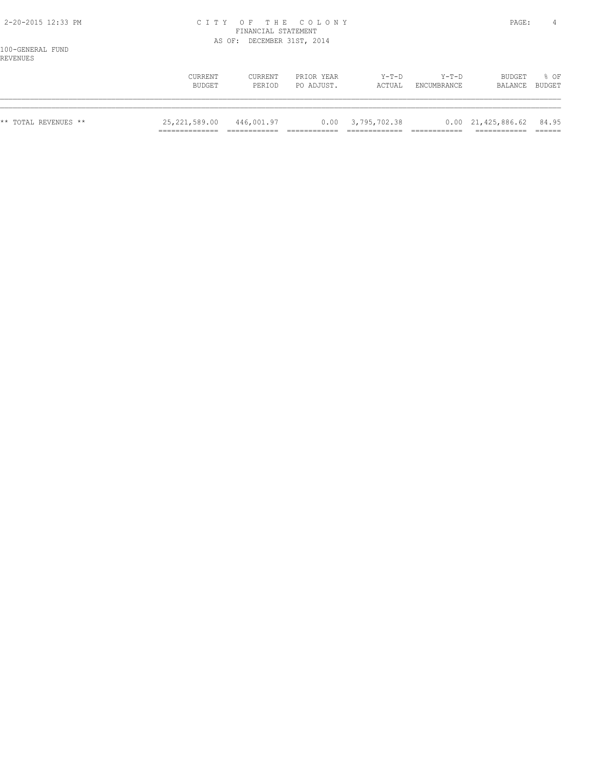### 2-20-2015 12:33 PM C I T Y O F T H E C O L O N Y PAGE: 4 FINANCIAL STATEMENT AS OF: DECEMBER 31ST, 2014

100-GENERAL FUND REVENUES

| --------             | CURRENT         | CURRENT    | PRIOR YEAR | $Y-T-D$               | $Y-T-D$     | BUDGET                                 | 8 OF   |
|----------------------|-----------------|------------|------------|-----------------------|-------------|----------------------------------------|--------|
|                      | BUDGET          | PERIOD     | PO ADJUST. | ACTUAL                | ENCUMBRANCE | BALANCE                                | BUDGET |
| ** TOTAL REVENUES ** | 25, 221, 589.00 | 446,001.97 |            | $0.00$ $3,795,702.38$ |             | $0.00 \quad 21,425,886.62 \quad 84.95$ |        |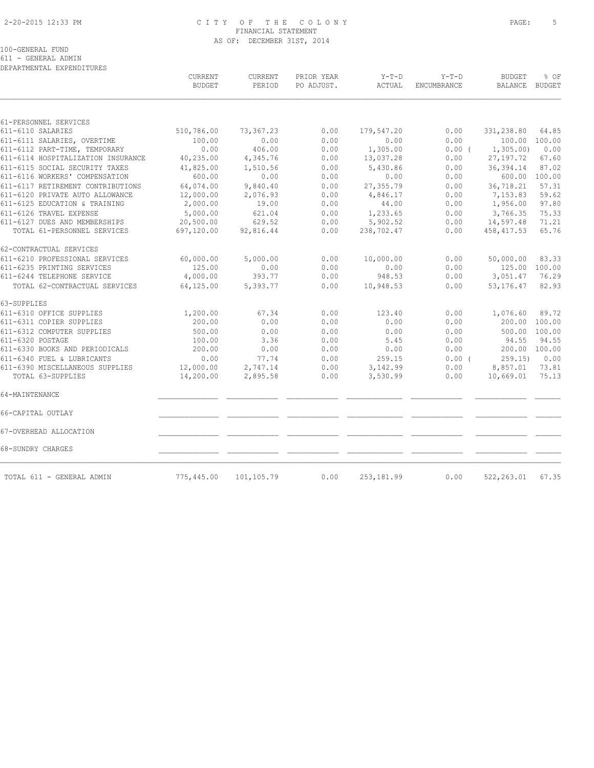### 2-20-2015 12:33 PM C I T Y O F T H E C O L O N Y PAGE: 5 FINANCIAL STATEMENT AS OF: DECEMBER 31ST, 2014

611 - GENERAL ADMIN DEPARTMENTAL EXPENDITURES

|                                                      | CURRENT<br><b>BUDGET</b> | CURRENT<br>PERIOD    | PRIOR YEAR<br>PO ADJUST. | $Y-T-D$<br>ACTUAL    | $Y-T-D$<br>ENCUMBRANCE | <b>BUDGET</b><br>BALANCE BUDGET | % OF           |
|------------------------------------------------------|--------------------------|----------------------|--------------------------|----------------------|------------------------|---------------------------------|----------------|
|                                                      |                          |                      |                          |                      |                        |                                 |                |
| 61-PERSONNEL SERVICES<br>611-6110 SALARIES           | 510,786.00               | 73,367.23            | 0.00                     | 179,547.20           | 0.00                   | 331,238.80                      | 64.85          |
| 611-6111 SALARIES, OVERTIME                          | 100.00                   | 0.00                 | 0.00                     | 0.00                 | 0.00                   | 100.00                          | 100.00         |
| 611-6112 PART-TIME, TEMPORARY                        | 0.00                     | 406.00               | 0.00                     | 1,305.00             | 0.00(                  | 1, 305.00                       | 0.00           |
| 611-6114 HOSPITALIZATION INSURANCE                   | 40,235.00                | 4,345.76             | 0.00                     | 13,037.28            | 0.00                   | 27, 197. 72                     | 67.60          |
| 611-6115 SOCIAL SECURITY TAXES                       | 41,825.00                | 1,510.56             | 0.00                     | 5,430.86             | 0.00                   | 36, 394.14                      | 87.02          |
| 611-6116 WORKERS' COMPENSATION                       | 600.00                   | 0.00                 | 0.00                     | 0.00                 | 0.00                   | 600.00                          | 100.00         |
| 611-6117 RETIREMENT CONTRIBUTIONS                    | 64,074.00                | 9,840.40             | 0.00                     | 27, 355.79           | 0.00                   | 36,718.21                       | 57.31          |
| 611-6120 PRIVATE AUTO ALLOWANCE                      | 12,000.00                | 2,076.93             | 0.00                     | 4,846.17             | 0.00                   | 7,153.83                        | 59.62          |
| 611-6125 EDUCATION & TRAINING                        | 2,000.00                 | 19.00                | 0.00                     | 44.00                | 0.00                   | 1,956.00                        | 97.80          |
| 611-6126 TRAVEL EXPENSE                              | 5,000.00                 | 621.04               | 0.00                     | 1,233.65             | 0.00                   | 3,766.35                        | 75.33          |
| 611-6127 DUES AND MEMBERSHIPS                        | 20,500.00                | 629.52               | 0.00                     | 5,902.52             | 0.00                   | 14,597.48                       | 71.21          |
| TOTAL 61-PERSONNEL SERVICES                          | 697,120.00               | 92,816.44            | 0.00                     | 238,702.47           | 0.00                   | 458, 417.53                     | 65.76          |
| 62-CONTRACTUAL SERVICES                              |                          |                      |                          |                      |                        |                                 |                |
| 611-6210 PROFESSIONAL SERVICES                       | 60,000.00                | 5,000.00             | 0.00                     | 10,000.00            | 0.00                   | 50,000.00                       | 83.33          |
| 611-6235 PRINTING SERVICES                           | 125.00                   | 0.00                 | 0.00                     | 0.00                 | 0.00                   | 125.00                          | 100.00         |
| 611-6244 TELEPHONE SERVICE                           | 4,000.00                 | 393.77               | 0.00                     | 948.53               | 0.00                   | 3,051.47                        | 76.29          |
| TOTAL 62-CONTRACTUAL SERVICES                        | 64,125.00                | 5,393.77             | 0.00                     | 10,948.53            | 0.00                   | 53, 176. 47                     | 82.93          |
| 63-SUPPLIES                                          |                          |                      |                          |                      |                        |                                 |                |
| 611-6310 OFFICE SUPPLIES                             | 1,200.00                 | 67.34                | 0.00                     | 123.40               | 0.00                   | 1,076.60                        | 89.72          |
| 611-6311 COPIER SUPPLIES                             | 200.00                   | 0.00                 | 0.00                     | 0.00                 | 0.00                   | 200.00                          | 100.00         |
| 611-6312 COMPUTER SUPPLIES                           | 500.00                   | 0.00                 | 0.00                     | 0.00                 | 0.00                   | 500.00                          | 100.00         |
| 611-6320 POSTAGE                                     | 100.00                   | 3.36                 | 0.00                     | 5.45                 | 0.00                   | 94.55                           | 94.55          |
| 611-6330 BOOKS AND PERIODICALS                       | 200.00                   | 0.00                 | 0.00                     | 0.00                 | 0.00                   | 200.00                          | 100.00         |
| 611-6340 FUEL & LUBRICANTS                           | 0.00                     | 77.74                | 0.00                     | 259.15               | 0.00(                  | 259.15                          | 0.00           |
| 611-6390 MISCELLANEOUS SUPPLIES<br>TOTAL 63-SUPPLIES | 12,000.00<br>14,200.00   | 2,747.14<br>2,895.58 | 0.00<br>0.00             | 3,142.99<br>3,530.99 | 0.00<br>0.00           | 8,857.01<br>10,669.01           | 73.81<br>75.13 |
| 64-MAINTENANCE                                       |                          |                      |                          |                      |                        |                                 |                |
| 66-CAPITAL OUTLAY                                    |                          |                      |                          |                      |                        |                                 |                |
|                                                      |                          |                      |                          |                      |                        |                                 |                |
| 67-OVERHEAD ALLOCATION                               |                          |                      |                          |                      |                        |                                 |                |
| 68-SUNDRY CHARGES                                    |                          |                      |                          |                      |                        |                                 |                |
| TOTAL 611 - GENERAL ADMIN                            | 775,445.00               | 101,105.79           | 0.00                     | 253, 181.99          | 0.00                   | 522, 263.01                     | 67.35          |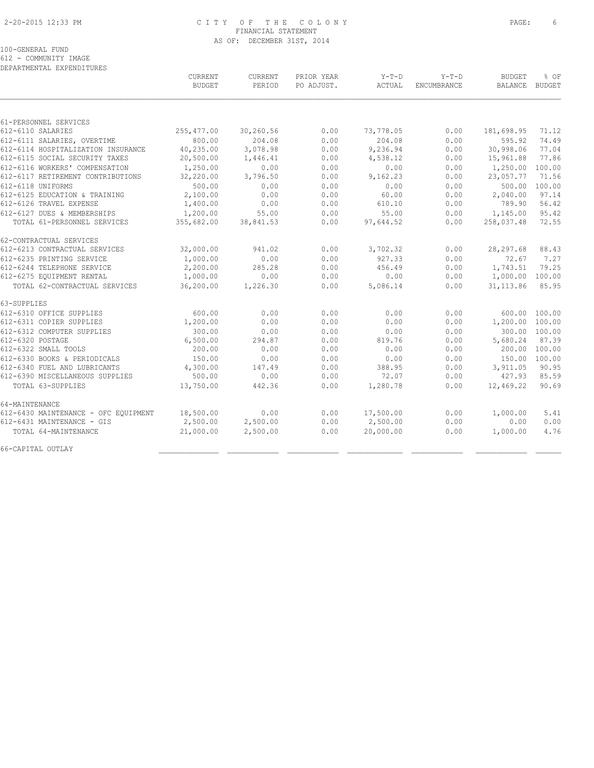### 2-20-2015 12:33 PM C I T Y O F T H E C O L O N Y PAGE: 6 FINANCIAL STATEMENT AS OF: DECEMBER 31ST, 2014

100-GENERAL FUND

612 - COMMUNITY IMAGE

| DEPARTMENTAL EXPENDITURES            |               |           |            |           |             |                 |               |
|--------------------------------------|---------------|-----------|------------|-----------|-------------|-----------------|---------------|
|                                      | CURRENT       | CURRENT   | PRIOR YEAR | Y-T-D     | $Y-T-D$     | <b>BUDGET</b>   | % OF          |
|                                      | <b>BUDGET</b> | PERIOD    | PO ADJUST. | ACTUAL    | ENCUMBRANCE | BALANCE         | <b>BUDGET</b> |
|                                      |               |           |            |           |             |                 |               |
| 61-PERSONNEL SERVICES                |               |           |            |           |             |                 |               |
| 612-6110 SALARIES                    | 255, 477.00   | 30,260.56 | 0.00       | 73,778.05 | 0.00        | 181,698.95      | 71.12         |
| 612-6111 SALARIES, OVERTIME          | 800.00        | 204.08    | 0.00       | 204.08    | 0.00        | 595.92          | 74.49         |
| 612-6114 HOSPITALIZATION INSURANCE   | 40,235.00     | 3,078.98  | 0.00       | 9,236.94  | 0.00        | 30,998.06       | 77.04         |
| 612-6115 SOCIAL SECURITY TAXES       | 20,500.00     | 1,446.41  | 0.00       | 4,538.12  | 0.00        | 15,961.88       | 77.86         |
| 612-6116 WORKERS' COMPENSATION       | 1,250.00      | 0.00      | 0.00       | 0.00      | 0.00        | 1,250.00        | 100.00        |
| 612-6117 RETIREMENT CONTRIBUTIONS    | 32,220.00     | 3,796.50  | 0.00       | 9,162.23  | 0.00        | 23,057.77       | 71.56         |
| 612-6118 UNIFORMS                    | 500.00        | 0.00      | 0.00       | 0.00      | 0.00        | 500.00          | 100.00        |
| 612-6125 EDUCATION & TRAINING        | 2,100.00      | 0.00      | 0.00       | 60.00     | 0.00        | 2,040.00        | 97.14         |
| 612-6126 TRAVEL EXPENSE              | 1,400.00      | 0.00      | 0.00       | 610.10    | 0.00        | 789.90          | 56.42         |
| 612-6127 DUES & MEMBERSHIPS          | 1,200.00      | 55.00     | 0.00       | 55.00     | 0.00        | 1,145.00        | 95.42         |
| TOTAL 61-PERSONNEL SERVICES          | 355,682.00    | 38,841.53 | 0.00       | 97,644.52 | 0.00        | 258,037.48      | 72.55         |
| 62-CONTRACTUAL SERVICES              |               |           |            |           |             |                 |               |
| 612-6213 CONTRACTUAL SERVICES        | 32,000.00     | 941.02    | 0.00       | 3,702.32  | 0.00        | 28, 297.68      | 88.43         |
| 612-6235 PRINTING SERVICE            | 1,000.00      | 0.00      | 0.00       | 927.33    | 0.00        | 72.67           | 7.27          |
| 612-6244 TELEPHONE SERVICE           | 2,200.00      | 285.28    | 0.00       | 456.49    | 0.00        | 1,743.51        | 79.25         |
| 612-6275 EQUIPMENT RENTAL            | 1,000.00      | 0.00      | 0.00       | 0.00      | 0.00        | 1,000.00        | 100.00        |
| TOTAL 62-CONTRACTUAL SERVICES        | 36,200.00     | 1,226.30  | 0.00       | 5,086.14  | 0.00        | 31, 113.86      | 85.95         |
| 63-SUPPLIES                          |               |           |            |           |             |                 |               |
| 612-6310 OFFICE SUPPLIES             | 600.00        | 0.00      | 0.00       | 0.00      | 0.00        |                 | 600.00 100.00 |
| 612-6311 COPIER SUPPLIES             | 1,200.00      | 0.00      | 0.00       | 0.00      | 0.00        | 1,200.00 100.00 |               |
| 612-6312 COMPUTER SUPPLIES           | 300.00        | 0.00      | 0.00       | 0.00      | 0.00        |                 | 300.00 100.00 |
| 612-6320 POSTAGE                     | 6,500.00      | 294.87    | 0.00       | 819.76    | 0.00        | 5,680.24        | 87.39         |
| 612-6322 SMALL TOOLS                 | 200.00        | 0.00      | 0.00       | 0.00      | 0.00        |                 | 200.00 100.00 |
| 612-6330 BOOKS & PERIODICALS         | 150.00        | 0.00      | 0.00       | 0.00      | 0.00        | 150.00 100.00   |               |
| 612-6340 FUEL AND LUBRICANTS         | 4,300.00      | 147.49    | 0.00       | 388.95    | 0.00        | 3,911.05        | 90.95         |
| 612-6390 MISCELLANEOUS SUPPLIES      | 500.00        | 0.00      | 0.00       | 72.07     | 0.00        | 427.93          | 85.59         |
| TOTAL 63-SUPPLIES                    | 13,750.00     | 442.36    | 0.00       | 1,280.78  | 0.00        | 12,469.22       | 90.69         |
| 64-MAINTENANCE                       |               |           |            |           |             |                 |               |
| 612-6430 MAINTENANCE - OFC EQUIPMENT | 18,500.00     | 0.00      | 0.00       | 17,500.00 | 0.00        | 1,000.00        | 5.41          |
| 612-6431 MAINTENANCE - GIS           | 2,500.00      | 2,500.00  | 0.00       | 2,500.00  | 0.00        | 0.00            | 0.00          |
| TOTAL 64-MAINTENANCE                 | 21,000.00     | 2,500.00  | 0.00       | 20,000.00 | 0.00        | 1,000.00        | 4.76          |
| 66-CAPITAL OUTLAY                    |               |           |            |           |             |                 |               |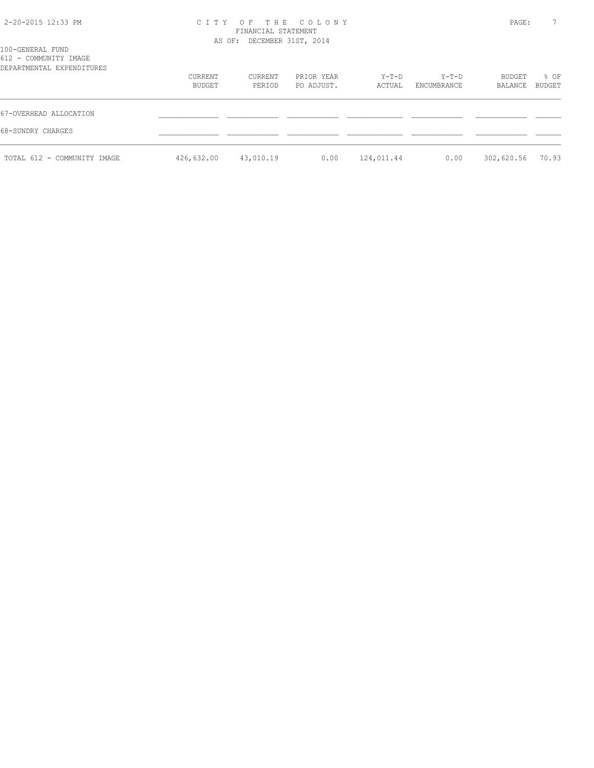# 2-20-2015 12:33 PM C I T Y O F T H E C O L O N Y PAGE: 7 FINANCIAL STATEMENT

| 100-GENERAL FUND                                   |                   | AS OF: DECEMBER 31ST, 2014 |                          |                 |                      |                   |                |
|----------------------------------------------------|-------------------|----------------------------|--------------------------|-----------------|----------------------|-------------------|----------------|
| 612 - COMMUNITY IMAGE<br>DEPARTMENTAL EXPENDITURES |                   |                            |                          |                 |                      |                   |                |
|                                                    | CURRENT<br>BUDGET | CURRENT<br>PERIOD          | PRIOR YEAR<br>PO ADJUST. | Y-T-D<br>ACTUAL | Y-T-D<br>ENCUMBRANCE | BUDGET<br>BALANCE | % OF<br>BUDGET |
| 67-OVERHEAD ALLOCATION                             |                   |                            |                          |                 |                      |                   |                |
| 68-SUNDRY CHARGES                                  |                   |                            |                          |                 |                      |                   |                |
| TOTAL 612 - COMMUNITY IMAGE                        | 426,632.00        | 43,010.19                  | 0.00                     | 124,011.44      | 0.00                 | 302,620.56        | 70.93          |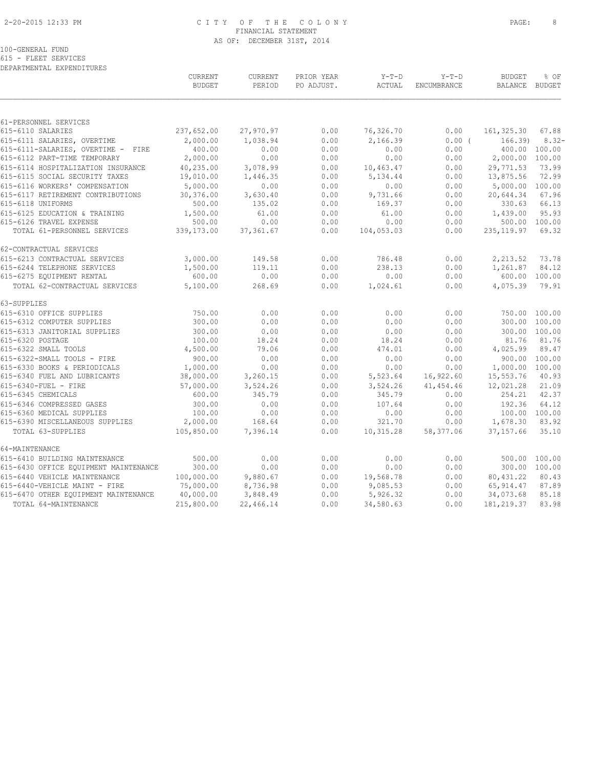### 2-20-2015 12:33 PM C I T Y O F T H E C O L O N Y PAGE: 8 FINANCIAL STATEMENT AS OF: DECEMBER 31ST, 2014

100-GENERAL FUND 615 - FLEET SERVICES

DEPARTMENTAL EXPENDITURES

|                                                        | CURRENT<br><b>BUDGET</b> | CURRENT<br>PERIOD  | PRIOR YEAR<br>PO ADJUST. | $Y-T-D$<br>ACTUAL  | $Y-T-D$<br>ENCUMBRANCE | <b>BUDGET</b><br>BALANCE | % OF<br>BUDGET         |
|--------------------------------------------------------|--------------------------|--------------------|--------------------------|--------------------|------------------------|--------------------------|------------------------|
| 61-PERSONNEL SERVICES                                  |                          |                    |                          |                    |                        |                          |                        |
| 615-6110 SALARIES                                      | 237,652.00               | 27,970.97          | 0.00                     | 76,326.70          | 0.00                   | 161,325.30               | 67.88                  |
| 615-6111 SALARIES, OVERTIME                            | 2,000.00                 | 1,038.94           | 0.00                     | 2,166.39           | 0.00(                  | 166.39                   | $8.32 -$               |
| 615-6111-SALARIES, OVERTIME - FIRE                     | 400.00                   | 0.00               | 0.00                     | 0.00               | 0.00                   |                          | 400.00 100.00          |
| 615-6112 PART-TIME TEMPORARY                           | 2,000.00                 | 0.00               | 0.00                     | 0.00               | 0.00                   | 2,000.00 100.00          |                        |
| 615-6114 HOSPITALIZATION INSURANCE                     | 40,235.00                | 3,078.99           | 0.00                     | 10,463.47          | 0.00                   | 29,771.53                | 73.99                  |
| 615-6115 SOCIAL SECURITY TAXES                         | 19,010.00                | 1,446.35           | 0.00                     | 5,134.44           | 0.00                   | 13,875.56                | 72.99                  |
| 615-6116 WORKERS' COMPENSATION                         | 5,000.00                 | 0.00               | 0.00                     | 0.00               | 0.00                   | 5,000.00 100.00          |                        |
| 615-6117 RETIREMENT CONTRIBUTIONS<br>615-6118 UNIFORMS | 30,376.00<br>500.00      | 3,630.40<br>135.02 | 0.00<br>0.00             | 9,731.66<br>169.37 | 0.00<br>0.00           | 20,644.34<br>330.63      | 67.96<br>66.13         |
| 615-6125 EDUCATION & TRAINING                          | 1,500.00                 | 61.00              | 0.00                     | 61.00              | 0.00                   | 1,439.00                 | 95.93                  |
| 615-6126 TRAVEL EXPENSE                                | 500.00                   | 0.00               | 0.00                     | 0.00               | 0.00                   |                          | 500.00 100.00          |
| TOTAL 61-PERSONNEL SERVICES                            | 339,173.00               | 37, 361.67         | 0.00                     | 104,053.03         | 0.00                   | 235, 119.97              | 69.32                  |
| 62-CONTRACTUAL SERVICES                                |                          |                    |                          |                    |                        |                          |                        |
| 615-6213 CONTRACTUAL SERVICES                          | 3,000.00                 | 149.58             | 0.00                     | 786.48             | 0.00                   | 2,213.52                 | 73.78                  |
| 615-6244 TELEPHONE SERVICES                            | 1,500.00                 | 119.11             | 0.00                     | 238.13             | 0.00                   | 1,261.87                 | 84.12                  |
| 615-6275 EQUIPMENT RENTAL                              | 600.00                   | 0.00               | 0.00                     | 0.00               | 0.00                   |                          | 600.00 100.00          |
| TOTAL 62-CONTRACTUAL SERVICES                          | 5,100.00                 | 268.69             | 0.00                     | 1,024.61           | 0.00                   | 4,075.39                 | 79.91                  |
| 63-SUPPLIES                                            |                          |                    |                          |                    |                        |                          |                        |
| 615-6310 OFFICE SUPPLIES                               | 750.00                   | 0.00               | 0.00                     | 0.00               | 0.00                   | 750.00 100.00            |                        |
| 615-6312 COMPUTER SUPPLIES                             | 300.00                   | 0.00               | 0.00                     | 0.00               | 0.00                   | 300.00                   | 100.00                 |
| 615-6313 JANITORIAL SUPPLIES<br>615-6320 POSTAGE       | 300.00<br>100.00         | 0.00<br>18.24      | 0.00<br>0.00             | 0.00<br>18.24      | 0.00<br>0.00           | 81.76                    | 300.00 100.00<br>81.76 |
| 615-6322 SMALL TOOLS                                   | 4,500.00                 | 79.06              | 0.00                     | 474.01             | 0.00                   | 4,025.99                 | 89.47                  |
| 615-6322-SMALL TOOLS - FIRE                            | 900.00                   | 0.00               | 0.00                     | 0.00               | 0.00                   |                          | 900.00 100.00          |
| 615-6330 BOOKS & PERIODICALS                           | 1,000.00                 | 0.00               | 0.00                     | 0.00               | 0.00                   | 1,000.00 100.00          |                        |
| 615-6340 FUEL AND LUBRICANTS                           | 38,000.00                | 3,260.15           | 0.00                     | 5,523.64           | 16,922.60              | 15,553.76                | 40.93                  |
| 615-6340-FUEL - FIRE                                   | 57,000.00                | 3,524.26           | 0.00                     | 3,524.26           | 41, 454.46             | 12,021.28                | 21.09                  |
| 615-6345 CHEMICALS                                     | 600.00                   | 345.79             | 0.00                     | 345.79             | 0.00                   | 254.21                   | 42.37                  |
| 615-6346 COMPRESSED GASES                              | 300.00                   | 0.00               | 0.00                     | 107.64             | 0.00                   | 192.36                   | 64.12                  |
| 615-6360 MEDICAL SUPPLIES                              | 100.00                   | 0.00               | 0.00                     | 0.00               | 0.00                   | 100.00 100.00            |                        |
| 615-6390 MISCELLANEOUS SUPPLIES                        | 2,000.00                 | 168.64             | 0.00                     | 321.70             | 0.00                   | 1,678.30                 | 83.92                  |
| TOTAL 63-SUPPLIES                                      | 105,850.00               | 7,396.14           | 0.00                     | 10,315.28          | 58,377.06              | 37, 157.66               | 35.10                  |
| 64-MAINTENANCE                                         |                          |                    |                          |                    |                        |                          |                        |
| 615-6410 BUILDING MAINTENANCE                          | 500.00                   | 0.00               | 0.00                     | 0.00               | 0.00                   |                          | 500.00 100.00          |
| 615-6430 OFFICE EQUIPMENT MAINTENANCE                  | 300.00                   | 0.00               | 0.00                     | 0.00               | 0.00                   |                          | 300.00 100.00          |
| 615-6440 VEHICLE MAINTENANCE                           | 100,000.00               | 9,880.67           | 0.00                     | 19,568.78          | 0.00                   | 80, 431.22               | 80.43                  |
| 615-6440-VEHICLE MAINT - FIRE                          | 75,000.00                | 8,736.98           | 0.00                     | 9,085.53           | 0.00                   | 65, 914.47               | 87.89                  |
| 615-6470 OTHER EQUIPMENT MAINTENANCE                   | 40,000.00                | 3,848.49           | 0.00                     | 5,926.32           | 0.00                   | 34,073.68                | 85.18                  |
| TOTAL 64-MAINTENANCE                                   | 215,800.00               | 22,466.14          | 0.00                     | 34,580.63          | 0.00                   | 181, 219.37              | 83.98                  |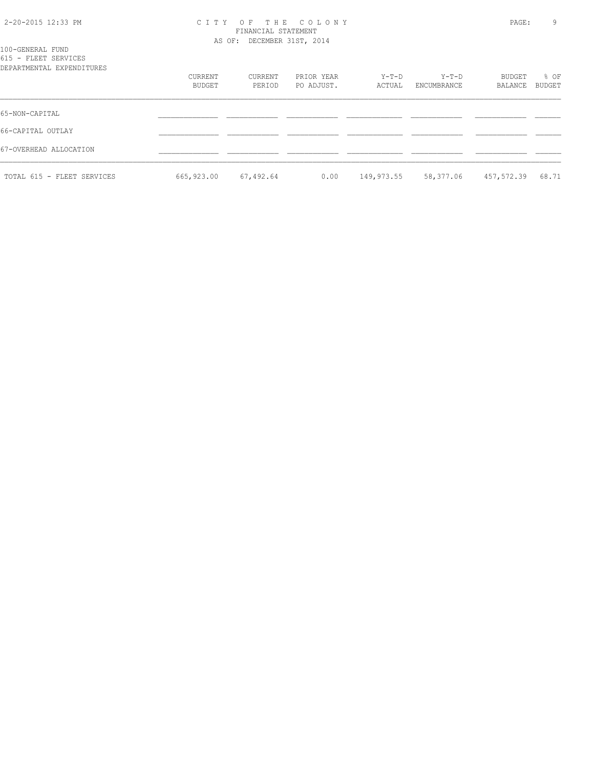### 2-20-2015 12:33 PM C I T Y O F T H E C O L O N Y PAGE: 9 FINANCIAL STATEMENT AS OF: DECEMBER 31ST, 2014

| 100-GENERAL FUND<br>615 - FLEET SERVICES |                   |                   |                          |                 |                        |                   |                |  |  |
|------------------------------------------|-------------------|-------------------|--------------------------|-----------------|------------------------|-------------------|----------------|--|--|
| DEPARTMENTAL EXPENDITURES                | CURRENT<br>BUDGET | CURRENT<br>PERIOD | PRIOR YEAR<br>PO ADJUST. | Y-T-D<br>ACTUAL | $Y-T-D$<br>ENCUMBRANCE | BUDGET<br>BALANCE | % OF<br>BUDGET |  |  |
| 65-NON-CAPITAL                           |                   |                   |                          |                 |                        |                   |                |  |  |
| 66-CAPITAL OUTLAY                        |                   |                   |                          |                 |                        |                   |                |  |  |
| 67-OVERHEAD ALLOCATION                   |                   |                   |                          |                 |                        |                   |                |  |  |
| TOTAL 615 - FLEET SERVICES               | 665,923.00        | 67,492.64         | 0.00                     | 149,973.55      | 58,377.06              | 457,572.39        | 68.71          |  |  |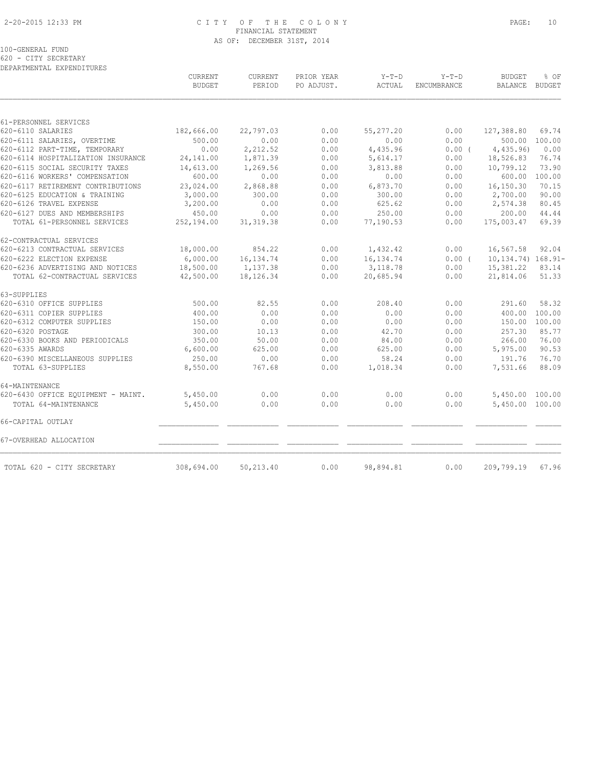### 2-20-2015 12:33 PM C I T Y O F T H E C O L O N Y PAGE: 10 FINANCIAL STATEMENT AS OF: DECEMBER 31ST, 2014

100-GENERAL FUND

620 - CITY SECRETARY DEPARTMENTAL EXPENDITURES

|                                    | CURRENT<br><b>BUDGET</b> | CURRENT<br>PERIOD | PRIOR YEAR<br>PO ADJUST. | $Y-T-D$<br><b>ACTUAL</b> | $Y-T-D$<br><b>ENCUMBRANCE</b> | <b>BUDGET</b><br><b>BALANCE</b> | % OF<br><b>BUDGET</b> |
|------------------------------------|--------------------------|-------------------|--------------------------|--------------------------|-------------------------------|---------------------------------|-----------------------|
|                                    |                          |                   |                          |                          |                               |                                 |                       |
| 61-PERSONNEL SERVICES              |                          |                   |                          |                          |                               |                                 |                       |
| 620-6110 SALARIES                  | 182,666.00               | 22,797.03         | 0.00                     | 55,277.20                | 0.00                          | 127,388.80                      | 69.74                 |
| 620-6111 SALARIES, OVERTIME        | 500.00                   | 0.00              | 0.00                     | 0.00                     | 0.00                          | 500.00                          | 100.00                |
| 620-6112 PART-TIME, TEMPORARY      | 0.00                     | 2,212.52          | 0.00                     | 4,435.96                 | $0.00$ (                      | 4,435.96                        | 0.00                  |
| 620-6114 HOSPITALIZATION INSURANCE | 24,141.00                | 1,871.39          | 0.00                     | 5,614.17                 | 0.00                          | 18,526.83                       | 76.74                 |
| 620-6115 SOCIAL SECURITY TAXES     | 14,613.00                | 1,269.56          | 0.00                     | 3,813.88                 | 0.00                          | 10,799.12                       | 73.90                 |
| 620-6116 WORKERS' COMPENSATION     | 600.00                   | 0.00              | 0.00                     | 0.00                     | 0.00                          | 600.00                          | 100.00                |
| 620-6117 RETIREMENT CONTRIBUTIONS  | 23,024.00                | 2,868.88          | 0.00                     | 6,873.70                 | 0.00                          | 16,150.30                       | 70.15                 |
| 620-6125 EDUCATION & TRAINING      | 3,000.00                 | 300.00            | 0.00                     | 300.00                   | 0.00                          | 2,700.00                        | 90.00                 |
| 620-6126 TRAVEL EXPENSE            | 3,200.00                 | 0.00              | 0.00                     | 625.62                   | 0.00                          | 2,574.38                        | 80.45                 |
| 620-6127 DUES AND MEMBERSHIPS      | 450.00                   | 0.00              | 0.00                     | 250.00                   | 0.00                          | 200.00                          | 44.44                 |
| TOTAL 61-PERSONNEL SERVICES        | 252,194.00               | 31, 319.38        | 0.00                     | 77,190.53                | 0.00                          | 175,003.47                      | 69.39                 |
| 62-CONTRACTUAL SERVICES            |                          |                   |                          |                          |                               |                                 |                       |
| 620-6213 CONTRACTUAL SERVICES      | 18,000.00                | 854.22            | 0.00                     | 1,432.42                 | 0.00                          | 16,567.58                       | 92.04                 |
| 620-6222 ELECTION EXPENSE          | 6,000.00                 | 16, 134.74        | 0.00                     | 16, 134.74               | 0.00(                         | 10, 134. 74) 168. 91-           |                       |
| 620-6236 ADVERTISING AND NOTICES   | 18,500.00                | 1,137.38          | 0.00                     | 3,118.78                 | 0.00                          | 15,381.22                       | 83.14                 |
| TOTAL 62-CONTRACTUAL SERVICES      | 42,500.00                | 18,126.34         | 0.00                     | 20,685.94                | 0.00                          | 21,814.06                       | 51.33                 |
| 63-SUPPLIES                        |                          |                   |                          |                          |                               |                                 |                       |
| 620-6310 OFFICE SUPPLIES           | 500.00                   | 82.55             | 0.00                     | 208.40                   | 0.00                          | 291.60                          | 58.32                 |
| 620-6311 COPIER SUPPLIES           | 400.00                   | 0.00              | 0.00                     | 0.00                     | 0.00                          | 400.00                          | 100.00                |
| 620-6312 COMPUTER SUPPLIES         | 150.00                   | 0.00              | 0.00                     | 0.00                     | 0.00                          | 150.00                          | 100.00                |
| 620-6320 POSTAGE                   | 300.00                   | 10.13             | 0.00                     | 42.70                    | 0.00                          | 257.30                          | 85.77                 |
| 620-6330 BOOKS AND PERIODICALS     | 350.00                   | 50.00             | 0.00                     | 84.00                    | 0.00                          | 266.00                          | 76.00                 |
| 620-6335 AWARDS                    | 6,600.00                 | 625.00            | 0.00                     | 625.00                   | 0.00                          | 5,975.00                        | 90.53                 |
| 620-6390 MISCELLANEOUS SUPPLIES    | 250.00                   | 0.00              | 0.00                     | 58.24                    | 0.00                          | 191.76                          | 76.70                 |
| TOTAL 63-SUPPLIES                  | 8,550.00                 | 767.68            | 0.00                     | 1,018.34                 | 0.00                          | 7,531.66                        | 88.09                 |
| 64-MAINTENANCE                     |                          |                   |                          |                          |                               |                                 |                       |
| 620-6430 OFFICE EQUIPMENT - MAINT. | 5,450.00                 | 0.00              | 0.00                     | 0.00                     | 0.00                          | 5,450.00                        | 100.00                |
| TOTAL 64-MAINTENANCE               | 5,450.00                 | 0.00              | 0.00                     | 0.00                     | 0.00                          | 5,450.00 100.00                 |                       |
| 66-CAPITAL OUTLAY                  |                          |                   |                          |                          |                               |                                 |                       |
| 67-OVERHEAD ALLOCATION             |                          |                   |                          |                          |                               |                                 |                       |
| TOTAL 620 - CITY SECRETARY         | 308,694.00               | 50,213.40         | 0.00                     | 98,894.81                | 0.00                          | 209,799.19                      | 67.96                 |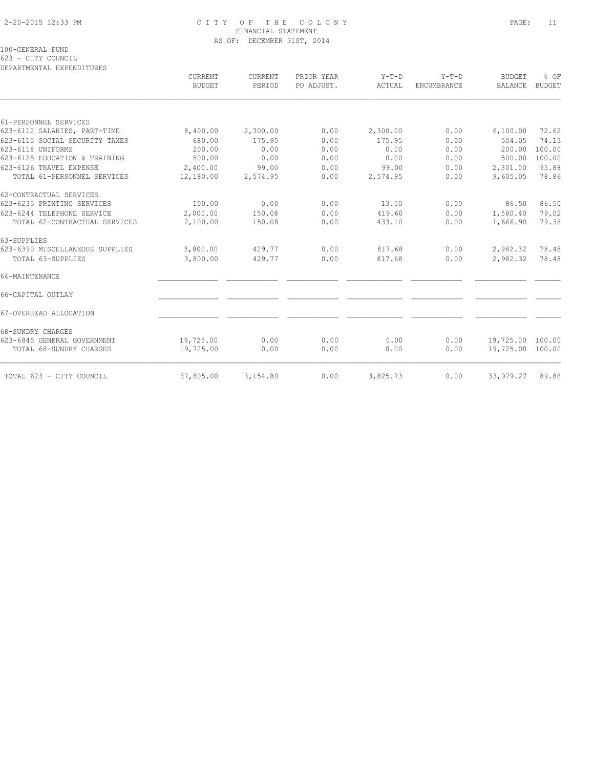### 2-20-2015 12:33 PM C I T Y O F T H E C O L O N Y PAGE: 11 FINANCIAL STATEMENT AS OF: DECEMBER 31ST, 2014

100-GENERAL FUND

623 - CITY COUNCIL

| BUDGET    | CURRENT<br>PERIOD | PO ADJUST. | $Y-T-D$<br>ACTUAL | ENCUMBRANCE | <b>BUDGET</b><br><b>BALANCE</b> | % OF<br><b>BUDGET</b>                |
|-----------|-------------------|------------|-------------------|-------------|---------------------------------|--------------------------------------|
|           |                   |            |                   |             |                                 |                                      |
|           |                   |            |                   |             |                                 |                                      |
| 8,400.00  | 2,300.00          | 0.00       | 2,300.00          | 0.00        | 6,100.00                        | 72.62                                |
| 680.00    | 175.95            | 0.00       | 175.95            | 0.00        | 504.05                          | 74.13                                |
| 200.00    | 0.00              | 0.00       | 0.00              | 0.00        | 200.00                          | 100.00                               |
| 500.00    | 0.00              | 0.00       | 0.00              | 0.00        | 500.00                          | 100.00                               |
| 2,400.00  | 99.00             | 0.00       | 99.00             | 0.00        | 2,301.00                        | 95.88                                |
| 12,180.00 | 2,574.95          | 0.00       | 2,574.95          | 0.00        | 9,605.05                        | 78.86                                |
|           |                   |            |                   |             |                                 |                                      |
| 100.00    | 0.00              | 0.00       | 13.50             | 0.00        | 86.50                           | 86.50                                |
| 2,000.00  | 150.08            | 0.00       | 419.60            | 0.00        | 1,580.40                        | 79.02                                |
| 2,100.00  | 150.08            | 0.00       | 433.10            | 0.00        | 1,666.90                        | 79.38                                |
|           |                   |            |                   |             |                                 |                                      |
| 3,800.00  | 429.77            | 0.00       | 817.68            | 0.00        | 2,982.32                        | 78.48                                |
| 3,800.00  | 429.77            | 0.00       | 817.68            | 0.00        | 2,982.32                        | 78.48                                |
|           |                   |            |                   |             |                                 |                                      |
|           |                   |            |                   |             |                                 |                                      |
|           |                   |            |                   |             |                                 |                                      |
|           |                   |            |                   |             |                                 |                                      |
| 19,725.00 | 0.00              | 0.00       | 0.00              | 0.00        |                                 |                                      |
| 19,725.00 | 0.00              | 0.00       | 0.00              | 0.00        |                                 |                                      |
| 37,805.00 | 3,154.80          | 0.00       | 3,825.73          | 0.00        | 33,979.27                       | 89.88                                |
|           | <b>CURRENT</b>    |            | PRIOR YEAR        |             | $Y-T-D$                         | 19,725.00 100.00<br>19,725.00 100.00 |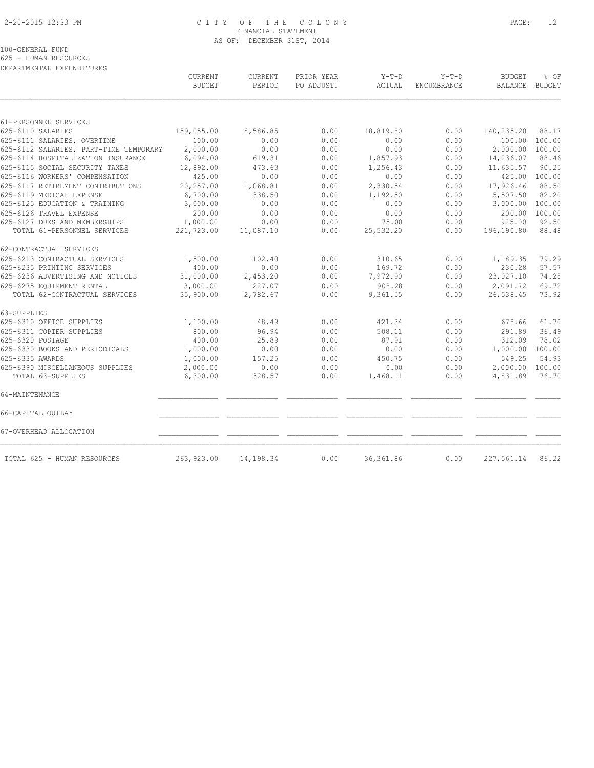### 2-20-2015 12:33 PM C I T Y O F T H E C O L O N Y PAGE: 12 FINANCIAL STATEMENT AS OF: DECEMBER 31ST, 2014

100-GENERAL FUND

625 - HUMAN RESOURCES

| DEPARTMENTAL EXPENDITURES              | <b>CURRENT</b> | <b>CURRENT</b> | PRIOR YEAR | $Y-T-D$<br>$Y-T-D$ |             | <b>BUDGET</b>   | % OF          |
|----------------------------------------|----------------|----------------|------------|--------------------|-------------|-----------------|---------------|
|                                        | <b>BUDGET</b>  | PERIOD         | PO ADJUST. | ACTUAL             | ENCUMBRANCE | BALANCE         | <b>BUDGET</b> |
|                                        |                |                |            |                    |             |                 |               |
| 61-PERSONNEL SERVICES                  |                |                |            |                    |             |                 |               |
| 625-6110 SALARIES                      | 159,055.00     | 8,586.85       | 0.00       | 18,819.80          | 0.00        | 140,235.20      | 88.17         |
| 625-6111 SALARIES, OVERTIME            | 100.00         | 0.00           | 0.00       | 0.00               | 0.00        | 100.00          | 100.00        |
| 625-6112 SALARIES, PART-TIME TEMPORARY | 2,000.00       | 0.00           | 0.00       | 0.00               | 0.00        | 2,000.00        | 100.00        |
| 625-6114 HOSPITALIZATION INSURANCE     | 16,094.00      | 619.31         | 0.00       | 1,857.93           | 0.00        | 14,236.07       | 88.46         |
| 625-6115 SOCIAL SECURITY TAXES         | 12,892.00      | 473.63         | 0.00       | 1,256.43           | 0.00        | 11,635.57       | 90.25         |
| 625-6116 WORKERS' COMPENSATION         | 425.00         | 0.00           | 0.00       | 0.00               | 0.00        |                 | 425.00 100.00 |
| 625-6117 RETIREMENT CONTRIBUTIONS      | 20,257.00      | 1,068.81       | 0.00       | 2,330.54           | 0.00        | 17,926.46       | 88.50         |
| 625-6119 MEDICAL EXPENSE               | 6,700.00       | 338.50         | 0.00       | 1,192.50           | 0.00        | 5,507.50        | 82.20         |
| 625-6125 EDUCATION & TRAINING          | 3,000.00       | 0.00           | 0.00       | 0.00               | 0.00        | 3,000.00        | 100.00        |
| 625-6126 TRAVEL EXPENSE                | 200.00         | 0.00           | 0.00       | 0.00               | 0.00        | 200.00          | 100.00        |
| 625-6127 DUES AND MEMBERSHIPS          | 1,000.00       | 0.00           | 0.00       | 75.00              | 0.00        | 925.00          | 92.50         |
| TOTAL 61-PERSONNEL SERVICES            | 221,723.00     | 11,087.10      | 0.00       | 25,532.20          | 0.00        | 196,190.80      | 88.48         |
| 62-CONTRACTUAL SERVICES                |                |                |            |                    |             |                 |               |
| 625-6213 CONTRACTUAL SERVICES          | 1,500.00       | 102.40         | 0.00       | 310.65             | 0.00        | 1,189.35        | 79.29         |
| 625-6235 PRINTING SERVICES             | 400.00         | 0.00           | 0.00       | 169.72             | 0.00        | 230.28          | 57.57         |
| 625-6236 ADVERTISING AND NOTICES       | 31,000.00      | 2,453.20       | 0.00       | 7,972.90           | 0.00        | 23,027.10       | 74.28         |
| 625-6275 EQUIPMENT RENTAL              | 3,000.00       | 227.07         | 0.00       | 908.28             | 0.00        | 2,091.72        | 69.72         |
| TOTAL 62-CONTRACTUAL SERVICES          | 35,900.00      | 2,782.67       | 0.00       | 9,361.55           | 0.00        | 26,538.45       | 73.92         |
| 63-SUPPLIES                            |                |                |            |                    |             |                 |               |
| 625-6310 OFFICE SUPPLIES               | 1,100.00       | 48.49          | 0.00       | 421.34             | 0.00        | 678.66          | 61.70         |
| 625-6311 COPIER SUPPLIES               | 800.00         | 96.94          | 0.00       | 508.11             | 0.00        | 291.89          | 36.49         |
| 625-6320 POSTAGE                       | 400.00         | 25.89          | 0.00       | 87.91              | 0.00        | 312.09          | 78.02         |
| 625-6330 BOOKS AND PERIODICALS         | 1,000.00       | 0.00           | 0.00       | 0.00               | 0.00        | 1,000.00 100.00 |               |
| 625-6335 AWARDS                        | 1,000.00       | 157.25         | 0.00       | 450.75             | 0.00        | 549.25          | 54.93         |
| 625-6390 MISCELLANEOUS SUPPLIES        | 2,000.00       | 0.00           | 0.00       | 0.00               | 0.00        | 2,000.00        | 100.00        |
| TOTAL 63-SUPPLIES                      | 6,300.00       | 328.57         | 0.00       | 1,468.11           | 0.00        | 4,831.89        | 76.70         |
| 64-MAINTENANCE                         |                |                |            |                    |             |                 |               |
| 66-CAPITAL OUTLAY                      |                |                |            |                    |             |                 |               |
| 67-OVERHEAD ALLOCATION                 |                |                |            |                    |             |                 |               |
| TOTAL 625 - HUMAN RESOURCES            | 263,923.00     | 14,198.34      | 0.00       | 36, 361.86         | 0.00        | 227,561.14      | 86.22         |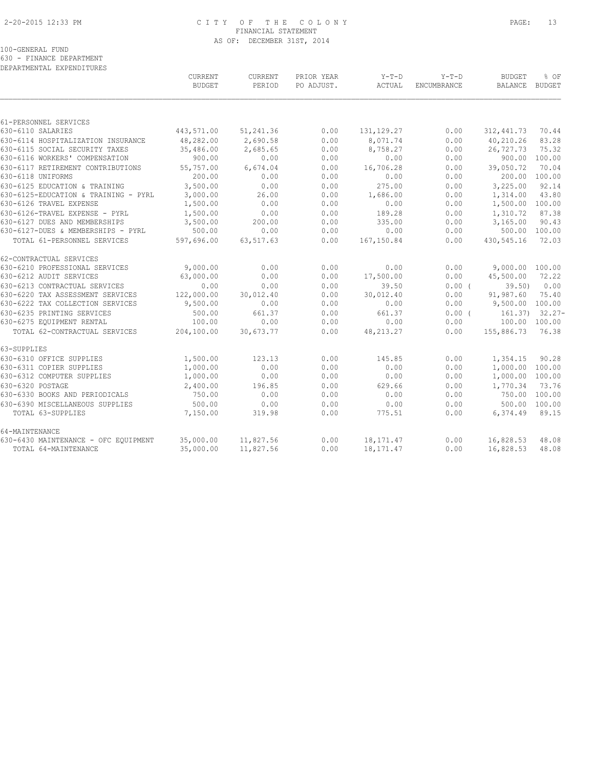### 2-20-2015 12:33 PM C I T Y O F T H E C O L O N Y PAGE: 13 FINANCIAL STATEMENT AS OF: DECEMBER 31ST, 2014

100-GENERAL FUND

630 - FINANCE DEPARTMENT

| DEPARTMENTAL EXPENDITURES            |               |           |            |              |                    |                 |           |
|--------------------------------------|---------------|-----------|------------|--------------|--------------------|-----------------|-----------|
|                                      | CURRENT       | CURRENT   | PRIOR YEAR | $Y-T-D$      | $Y-T-D$            | <b>BUDGET</b>   | % OF      |
|                                      | <b>BUDGET</b> | PERIOD    | PO ADJUST. | ACTUAL       | <b>ENCUMBRANCE</b> | <b>BALANCE</b>  | BUDGET    |
|                                      |               |           |            |              |                    |                 |           |
| 61-PERSONNEL SERVICES                |               |           |            |              |                    |                 |           |
| 630-6110 SALARIES                    | 443,571.00    | 51,241.36 | 0.00       | 131, 129. 27 | 0.00               | 312, 441.73     | 70.44     |
| 630-6114 HOSPITALIZATION INSURANCE   | 48,282.00     | 2,690.58  | 0.00       | 8,071.74     | 0.00               | 40,210.26       | 83.28     |
| 630-6115 SOCIAL SECURITY TAXES       | 35,486.00     | 2,685.65  | 0.00       | 8,758.27     | 0.00               | 26,727.73       | 75.32     |
| 630-6116 WORKERS' COMPENSATION       | 900.00        | 0.00      | 0.00       | 0.00         | 0.00               | 900.00          | 100.00    |
| 630-6117 RETIREMENT CONTRIBUTIONS    | 55,757.00     | 6,674.04  | 0.00       | 16,706.28    | 0.00               | 39,050.72       | 70.04     |
| 630-6118 UNIFORMS                    | 200.00        | 0.00      | 0.00       | 0.00         | 0.00               | 200.00          | 100.00    |
| 630-6125 EDUCATION & TRAINING        | 3,500.00      | 0.00      | 0.00       | 275.00       | 0.00               | 3,225.00        | 92.14     |
| 630-6125-EDUCATION & TRAINING - PYRL | 3,000.00      | 26.00     | 0.00       | 1,686.00     | 0.00               | 1,314.00        | 43.80     |
| 630-6126 TRAVEL EXPENSE              | 1,500.00      | 0.00      | 0.00       | 0.00         | 0.00               | 1,500.00        | 100.00    |
| 630-6126-TRAVEL EXPENSE - PYRL       | 1,500.00      | 0.00      | 0.00       | 189.28       | 0.00               | 1,310.72        | 87.38     |
| 630-6127 DUES AND MEMBERSHIPS        | 3,500.00      | 200.00    | 0.00       | 335.00       | 0.00               | 3,165.00        | 90.43     |
| 630-6127-DUES & MEMBERSHIPS - PYRL   | 500.00        | 0.00      | 0.00       | 0.00         | 0.00               | 500.00          | 100.00    |
| TOTAL 61-PERSONNEL SERVICES          | 597,696.00    | 63,517.63 | 0.00       | 167, 150.84  | 0.00               | 430,545.16      | 72.03     |
| 62-CONTRACTUAL SERVICES              |               |           |            |              |                    |                 |           |
| 630-6210 PROFESSIONAL SERVICES       | 9,000.00      | 0.00      | 0.00       | 0.00         | 0.00               | 9,000.00 100.00 |           |
| 630-6212 AUDIT SERVICES              | 63,000.00     | 0.00      | 0.00       | 17,500.00    | 0.00               | 45,500.00       | 72.22     |
| 630-6213 CONTRACTUAL SERVICES        | 0.00          | 0.00      | 0.00       | 39.50        | 0.00(              | 39.50           | 0.00      |
| 630-6220 TAX ASSESSMENT SERVICES     | 122,000.00    | 30,012.40 | 0.00       | 30,012.40    | 0.00               | 91,987.60       | 75.40     |
| 630-6222 TAX COLLECTION SERVICES     | 9,500.00      | 0.00      | 0.00       | 0.00         | 0.00               | 9,500.00 100.00 |           |
| 630-6235 PRINTING SERVICES           | 500.00        | 661.37    | 0.00       | 661.37       | $0.00$ (           | 161.37)         | $32.27 -$ |
| 630-6275 EQUIPMENT RENTAL            | 100.00        | 0.00      | 0.00       | 0.00         | 0.00               | 100.00 100.00   |           |
| TOTAL 62-CONTRACTUAL SERVICES        | 204,100.00    | 30,673.77 | 0.00       | 48, 213. 27  | 0.00               | 155,886.73      | 76.38     |
| 63-SUPPLIES                          |               |           |            |              |                    |                 |           |
| 630-6310 OFFICE SUPPLIES             | 1,500.00      | 123.13    | 0.00       | 145.85       | 0.00               | 1,354.15        | 90.28     |
| 630-6311 COPIER SUPPLIES             | 1,000.00      | 0.00      | 0.00       | 0.00         | 0.00               | 1,000.00        | 100.00    |
| 630-6312 COMPUTER SUPPLIES           | 1,000.00      | 0.00      | 0.00       | 0.00         | 0.00               | 1,000.00        | 100.00    |
| 630-6320 POSTAGE                     | 2,400.00      | 196.85    | 0.00       | 629.66       | 0.00               | 1,770.34        | 73.76     |
| 630-6330 BOOKS AND PERIODICALS       | 750.00        | 0.00      | 0.00       | 0.00         | 0.00               | 750.00          | 100.00    |
| 630-6390 MISCELLANEOUS SUPPLIES      | 500.00        | 0.00      | 0.00       | 0.00         | 0.00               | 500.00          | 100.00    |
| TOTAL 63-SUPPLIES                    | 7,150.00      | 319.98    | 0.00       | 775.51       | 0.00               | 6,374.49        | 89.15     |
| 64-MAINTENANCE                       |               |           |            |              |                    |                 |           |
| 630-6430 MAINTENANCE - OFC EQUIPMENT | 35,000.00     | 11,827.56 | 0.00       | 18, 171. 47  | 0.00               | 16,828.53       | 48.08     |
| TOTAL 64-MAINTENANCE                 | 35,000.00     | 11,827.56 | 0.00       | 18, 171. 47  | 0.00               | 16,828.53       | 48.08     |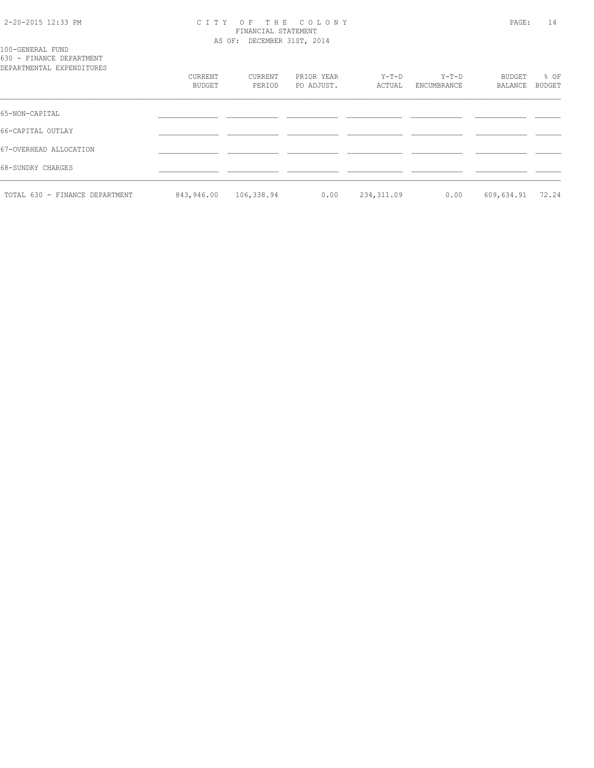### 2-20-2015 12:33 PM C I T Y O F T H E C O L O N Y PAGE: 14 FINANCIAL STATEMENT AS OF: DECEMBER 31ST, 2014

100-GENERAL FUND 630 - FINANCE DEPARTMENT

| DEPARTMENTAL EXPENDITURES      |                   |                   |                          |                 |                      |                   |                       |
|--------------------------------|-------------------|-------------------|--------------------------|-----------------|----------------------|-------------------|-----------------------|
|                                | CURRENT<br>BUDGET | CURRENT<br>PERIOD | PRIOR YEAR<br>PO ADJUST. | Y-T-D<br>ACTUAL | Y-T-D<br>ENCUMBRANCE | BUDGET<br>BALANCE | % OF<br><b>BUDGET</b> |
| 65-NON-CAPITAL                 |                   |                   |                          |                 |                      |                   |                       |
| 66-CAPITAL OUTLAY              |                   |                   |                          |                 |                      |                   |                       |
| 67-OVERHEAD ALLOCATION         |                   |                   |                          |                 |                      |                   |                       |
| 68-SUNDRY CHARGES              |                   |                   |                          |                 |                      |                   |                       |
| TOTAL 630 - FINANCE DEPARTMENT | 843,946.00        | 106,338.94        | 0.00                     | 234, 311.09     | 0.00                 | 609,634.91        | 72.24                 |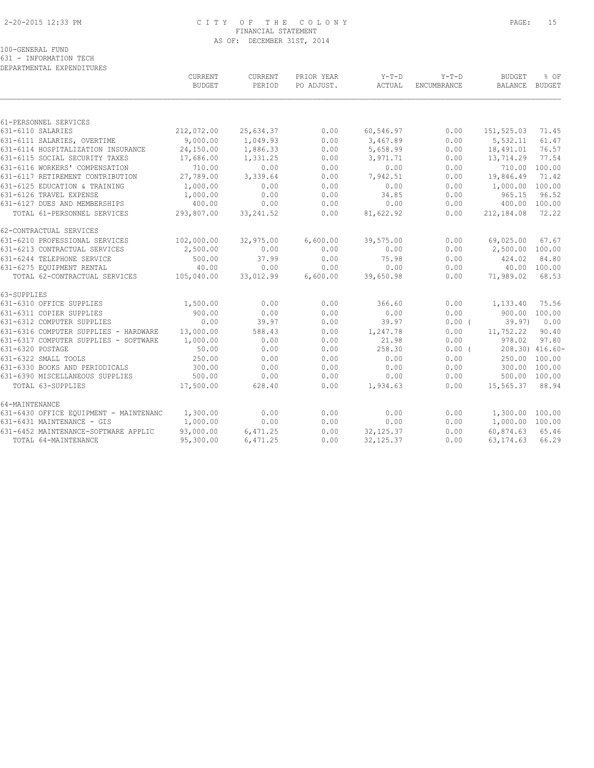### 2-20-2015 12:33 PM C I T Y O F T H E C O L O N Y PAGE: 15 FINANCIAL STATEMENT AS OF: DECEMBER 31ST, 2014

100-GENERAL FUND

631 - INFORMATION TECH DEPARTMENTAL EXPENDITURES

|                                        | <b>CURRENT</b><br><b>BUDGET</b> | <b>CURRENT</b><br>PERIOD | PRIOR YEAR<br>PO ADJUST. | $Y-T-D$<br>ACTUAL | $Y-T-D$<br>ENCUMBRANCE | <b>BUDGET</b><br>BALANCE | % OF<br>BUDGET  |
|----------------------------------------|---------------------------------|--------------------------|--------------------------|-------------------|------------------------|--------------------------|-----------------|
|                                        |                                 |                          |                          |                   |                        |                          |                 |
| 61-PERSONNEL SERVICES                  |                                 |                          |                          |                   |                        |                          |                 |
| 631-6110 SALARIES                      | 212,072.00                      | 25,634.37                | 0.00                     | 60,546.97         | 0.00                   | 151,525.03               | 71.45           |
| 631-6111 SALARIES, OVERTIME            | 9,000.00                        | 1,049.93                 | 0.00                     | 3,467.89          | 0.00                   | 5,532.11                 | 61.47           |
| 631-6114 HOSPITALIZATION INSURANCE     | 24,150.00                       | 1,886.33                 | 0.00                     | 5,658.99          | 0.00                   | 18,491.01                | 76.57           |
| 631-6115 SOCIAL SECURITY TAXES         | 17,686.00                       | 1,331.25                 | 0.00                     | 3,971.71          | 0.00                   | 13,714.29                | 77.54           |
| 631-6116 WORKERS' COMPENSATION         | 710.00                          | 0.00                     | 0.00                     | 0.00              | 0.00                   |                          | 710.00 100.00   |
| 631-6117 RETIREMENT CONTRIBUTION       | 27,789.00                       | 3,339.64                 | 0.00                     | 7,942.51          | 0.00                   | 19,846.49                | 71.42           |
| 631-6125 EDUCATION & TRAINING          | 1,000.00                        | 0.00                     | 0.00                     | 0.00              | 0.00                   | 1,000.00                 | 100.00          |
| 631-6126 TRAVEL EXPENSE                | 1,000.00                        | 0.00                     | 0.00                     | 34.85             | 0.00                   | 965.15                   | 96.52           |
| 631-6127 DUES AND MEMBERSHIPS          | 400.00                          | 0.00                     | 0.00                     | 0.00              | 0.00                   | 400.00                   | 100.00          |
| TOTAL 61-PERSONNEL SERVICES            | 293,807.00                      | 33, 241.52               | 0.00                     | 81,622.92         | 0.00                   | 212,184.08               | 72.22           |
| 62-CONTRACTUAL SERVICES                |                                 |                          |                          |                   |                        |                          |                 |
| 631-6210 PROFESSIONAL SERVICES         | 102,000.00                      | 32,975.00                | 6,600.00                 | 39,575.00         | 0.00                   | 69,025.00                | 67.67           |
| 631-6213 CONTRACTUAL SERVICES          | 2,500.00                        | 0.00                     | 0.00                     | 0.00              | 0.00                   | 2,500.00                 | 100.00          |
| 631-6244 TELEPHONE SERVICE             | 500.00                          | 37.99                    | 0.00                     | 75.98             | 0.00                   | 424.02                   | 84.80           |
| 631-6275 EOUIPMENT RENTAL              | 40.00                           | 0.00                     | 0.00                     | 0.00              | 0.00                   |                          | 40.00 100.00    |
| TOTAL 62-CONTRACTUAL SERVICES          | 105,040.00                      | 33,012.99                | 6,600.00                 | 39,650.98         | 0.00                   | 71,989.02                | 68.53           |
| 63-SUPPLIES                            |                                 |                          |                          |                   |                        |                          |                 |
| 631-6310 OFFICE SUPPLIES               | 1,500.00                        | 0.00                     | 0.00                     | 366.60            | 0.00                   | 1,133.40                 | 75.56           |
| 631-6311 COPIER SUPPLIES               | 900.00                          | 0.00                     | 0.00                     | 0.00              | 0.00                   |                          | 900.00 100.00   |
| 631-6312 COMPUTER SUPPLIES             | 0.00                            | 39.97                    | 0.00                     | 39.97             | 0.00(                  | 39.97                    | 0.00            |
| 631-6316 COMPUTER SUPPLIES - HARDWARE  | 13,000.00                       | 588.43                   | 0.00                     | 1,247.78          | 0.00                   | 11,752.22                | 90.40           |
| 631-6317 COMPUTER SUPPLIES - SOFTWARE  | 1,000.00                        | 0.00                     | 0.00                     | 21.98             | 0.00                   | 978.02                   | 97.80           |
| 631-6320 POSTAGE                       | 50.00                           | 0.00                     | 0.00                     | 258.30            | 0.00(                  |                          | 208.30) 416.60- |
| 631-6322 SMALL TOOLS                   | 250.00                          | 0.00                     | 0.00                     | 0.00              | 0.00                   | 250.00                   | 100.00          |
| 631-6330 BOOKS AND PERIODICALS         | 300.00                          | 0.00                     | 0.00                     | 0.00              | 0.00                   |                          | 300.00 100.00   |
| 631-6390 MISCELLANEOUS SUPPLIES        | 500.00                          | 0.00                     | 0.00                     | 0.00              | 0.00                   |                          | 500.00 100.00   |
| TOTAL 63-SUPPLIES                      | 17,500.00                       | 628.40                   | 0.00                     | 1,934.63          | 0.00                   | 15,565.37                | 88.94           |
| 64-MAINTENANCE                         |                                 |                          |                          |                   |                        |                          |                 |
| 631-6430 OFFICE EQUIPMENT - MAINTENANC | 1,300.00                        | 0.00                     | 0.00                     | 0.00              | 0.00                   | 1,300.00 100.00          |                 |
| 631-6431 MAINTENANCE - GIS             | 1,000.00                        | 0.00                     | 0.00                     | 0.00              | 0.00                   | 1,000.00 100.00          |                 |
| 631-6452 MAINTENANCE-SOFTWARE APPLIC   | 93,000.00                       | 6,471.25                 | 0.00                     | 32, 125.37        | 0.00                   | 60,874.63                | 65.46           |
| TOTAL 64-MAINTENANCE                   | 95,300.00                       | 6,471.25                 | 0.00                     | 32, 125.37        | 0.00                   | 63, 174. 63              | 66.29           |
|                                        |                                 |                          |                          |                   |                        |                          |                 |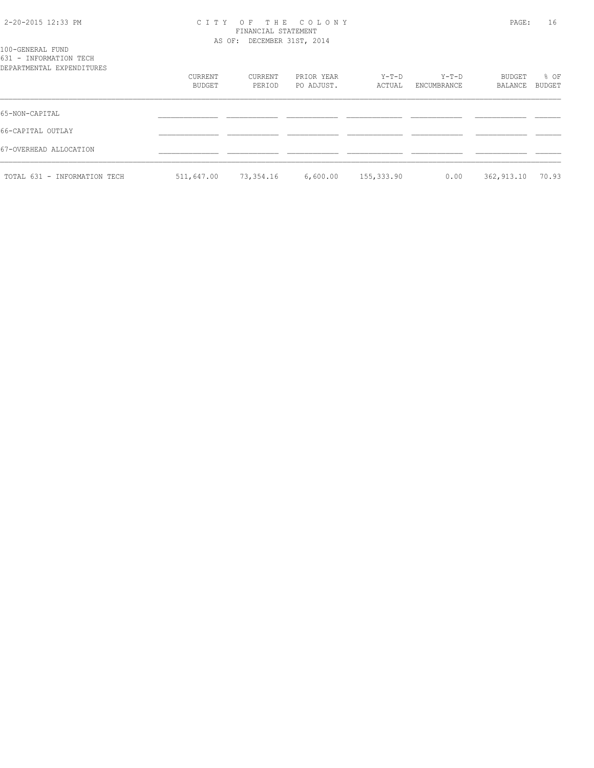### 2-20-2015 12:33 PM C I T Y O F T H E C O L O N Y PAGE: 16 FINANCIAL STATEMENT AS OF: DECEMBER 31ST, 2014

| 100-GENERAL FUND<br>631 - INFORMATION TECH |                   |                   |                          |                 |                        |                   |                |  |
|--------------------------------------------|-------------------|-------------------|--------------------------|-----------------|------------------------|-------------------|----------------|--|
| DEPARTMENTAL EXPENDITURES                  | CURRENT<br>BUDGET | CURRENT<br>PERIOD | PRIOR YEAR<br>PO ADJUST. | Y-T-D<br>ACTUAL | $Y-T-D$<br>ENCUMBRANCE | BUDGET<br>BALANCE | % OF<br>BUDGET |  |
| 65-NON-CAPITAL                             |                   |                   |                          |                 |                        |                   |                |  |
| 66-CAPITAL OUTLAY                          |                   |                   |                          |                 |                        |                   |                |  |
| 67-OVERHEAD ALLOCATION                     |                   |                   |                          |                 |                        |                   |                |  |
| TOTAL 631 - INFORMATION TECH               | 511,647.00        | 73,354.16         | 6,600.00                 | 155,333.90      | 0.00                   | 362,913.10        | 70.93          |  |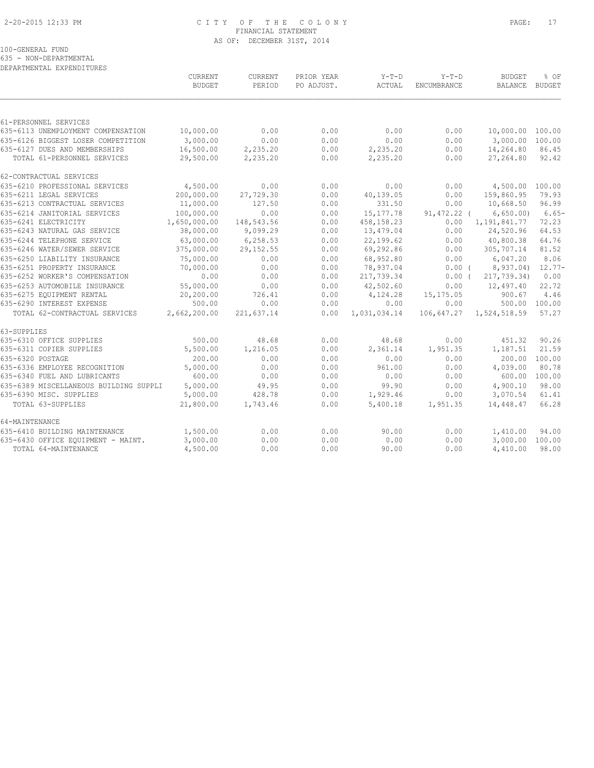### 2-20-2015 12:33 PM C I T Y O F T H E C O L O N Y PAGE: 17 FINANCIAL STATEMENT AS OF: DECEMBER 31ST, 2014

100-GENERAL FUND

635 - NON-DEPARTMENTAL

| DEPARTMENTAL EXPENDITURES              |                          |                   |                          |                   |                        |                                 |                       |
|----------------------------------------|--------------------------|-------------------|--------------------------|-------------------|------------------------|---------------------------------|-----------------------|
|                                        | CURRENT<br><b>BUDGET</b> | CURRENT<br>PERIOD | PRIOR YEAR<br>PO ADJUST. | $Y-T-D$<br>ACTUAL | $Y-T-D$<br>ENCUMBRANCE | <b>BUDGET</b><br><b>BALANCE</b> | % OF<br><b>BUDGET</b> |
|                                        |                          |                   |                          |                   |                        |                                 |                       |
| 61-PERSONNEL SERVICES                  |                          |                   |                          |                   |                        |                                 |                       |
| 635-6113 UNEMPLOYMENT COMPENSATION     | 10,000.00                | 0.00              | 0.00                     | 0.00              | 0.00                   | 10,000.00 100.00                |                       |
| 635-6126 BIGGEST LOSER COMPETITION     | 3,000.00                 | 0.00              | 0.00                     | 0.00              | 0.00                   | 3,000.00 100.00                 |                       |
| 635-6127 DUES AND MEMBERSHIPS          | 16,500.00                | 2,235.20          | 0.00                     | 2,235.20          | 0.00                   | 14,264.80                       | 86.45                 |
| TOTAL 61-PERSONNEL SERVICES            | 29,500.00                | 2,235.20          | 0.00                     | 2,235.20          | 0.00                   | 27,264.80                       | 92.42                 |
| 62-CONTRACTUAL SERVICES                |                          |                   |                          |                   |                        |                                 |                       |
| 635-6210 PROFESSIONAL SERVICES         | 4,500.00                 | 0.00              | 0.00                     | 0.00              | 0.00                   | 4,500.00 100.00                 |                       |
| 635-6211 LEGAL SERVICES                | 200,000.00               | 27,729.30         | 0.00                     | 40,139.05         | 0.00                   | 159,860.95                      | 79.93                 |
| 635-6213 CONTRACTUAL SERVICES          | 11,000.00                | 127.50            | 0.00                     | 331.50            | 0.00                   | 10,668.50                       | 96.99                 |
| 635-6214 JANITORIAL SERVICES           | 100,000.00               | 0.00              | 0.00                     | 15, 177.78        | 91,472.22 (            | 6,650.00                        | $6.65-$               |
| 635-6241 ELECTRICITY                   | 1,650,000.00             | 148,543.56        | 0.00                     | 458, 158.23       | 0.00                   | 1, 191, 841.77                  | 72.23                 |
| 635-6243 NATURAL GAS SERVICE           | 38,000.00                | 9,099.29          | 0.00                     | 13,479.04         | 0.00                   | 24,520.96                       | 64.53                 |
| 635-6244 TELEPHONE SERVICE             | 63,000.00                | 6,258.53          | 0.00                     | 22,199.62         | 0.00                   | 40,800.38                       | 64.76                 |
| 635-6246 WATER/SEWER SERVICE           | 375,000.00               | 29, 152.55        | 0.00                     | 69,292.86         | 0.00                   | 305,707.14                      | 81.52                 |
| 635-6250 LIABILITY INSURANCE           | 75,000.00                | 0.00              | 0.00                     | 68,952.80         | 0.00                   | 6,047.20                        | 8.06                  |
| 635-6251 PROPERTY INSURANCE            | 70,000.00                | 0.00              | 0.00                     | 78,937.04         | $0.00$ (               | 8,937.04)                       | $12.77-$              |
| 635-6252 WORKER'S COMPENSATION         | 0.00                     | 0.00              | 0.00                     | 217,739.34        | $0.00$ (               | 217,739.34)                     | 0.00                  |
| 635-6253 AUTOMOBILE INSURANCE          | 55,000.00                | 0.00              | 0.00                     | 42,502.60         | 0.00                   | 12,497.40                       | 22.72                 |
| 635-6275 EQUIPMENT RENTAL              | 20,200.00                | 726.41            | 0.00                     | 4,124.28          | 15,175.05              | 900.67                          | 4.46                  |
| 635-6290 INTEREST EXPENSE              | 500.00                   | 0.00              | 0.00                     | 0.00              | 0.00                   |                                 | 500.00 100.00         |
| TOTAL 62-CONTRACTUAL SERVICES          | 2,662,200.00             | 221,637.14        | 0.00                     | 1,031,034.14      |                        | 106,647.27 1,524,518.59         | 57.27                 |
| 63-SUPPLIES                            |                          |                   |                          |                   |                        |                                 |                       |
| 635-6310 OFFICE SUPPLIES               | 500.00                   | 48.68             | 0.00                     | 48.68             | 0.00                   | 451.32                          | 90.26                 |
| 635-6311 COPIER SUPPLIES               | 5,500.00                 | 1,216.05          | 0.00                     | 2,361.14          | 1,951.35               | 1,187.51                        | 21.59                 |
| 635-6320 POSTAGE                       | 200.00                   | 0.00              | 0.00                     | 0.00              | 0.00                   | 200.00                          | 100.00                |
| 635-6336 EMPLOYEE RECOGNITION          | 5,000.00                 | 0.00              | 0.00                     | 961.00            | 0.00                   | 4,039.00                        | 80.78                 |
| 635-6340 FUEL AND LUBRICANTS           | 600.00                   | 0.00              | 0.00                     | 0.00              | 0.00                   | 600.00                          | 100.00                |
| 635-6389 MISCELLANEOUS BUILDING SUPPLI | 5,000.00                 | 49.95             | 0.00                     | 99.90             | 0.00                   | 4,900.10                        | 98.00                 |
| 635-6390 MISC. SUPPLIES                | 5,000.00                 | 428.78            | 0.00                     | 1,929.46          | 0.00                   | 3,070.54                        | 61.41                 |
| TOTAL 63-SUPPLIES                      | 21,800.00                | 1,743.46          | 0.00                     | 5,400.18          | 1,951.35               | 14,448.47                       | 66.28                 |
| 64-MAINTENANCE                         |                          |                   |                          |                   |                        |                                 |                       |
| 635-6410 BUILDING MAINTENANCE          | 1,500.00                 | 0.00              | 0.00                     | 90.00             | 0.00                   | 1,410.00                        | 94.00                 |
| 635-6430 OFFICE EOUIPMENT - MAINT.     | 3,000.00                 | 0.00              | 0.00                     | 0.00              | 0.00                   | 3,000.00                        | 100.00                |
| TOTAL 64-MAINTENANCE                   | 4,500.00                 | 0.00              | 0.00                     | 90.00             | 0.00                   | 4,410.00                        | 98.00                 |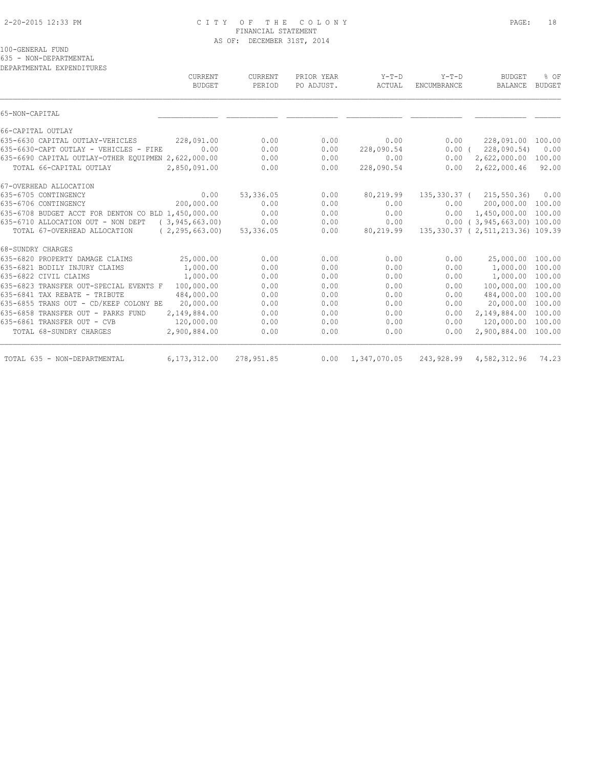### 2-20-2015 12:33 PM C I T Y O F T H E C O L O N Y PAGE: 18 FINANCIAL STATEMENT AS OF: DECEMBER 31ST, 2014

100-GENERAL FUND

635 - NON-DEPARTMENTAL

DEPARTMENTAL EXPENDITURES

| CURRENT<br><b>BUDGET</b>                                | CURRENT<br>PERIOD | PRIOR YEAR<br>PO ADJUST. | $Y-T-D$<br>ACTUAL | $Y-T-D$<br><b>ENCUMBRANCE</b> | <b>BUDGET</b><br><b>BALANCE</b>     | % OF<br><b>BUDGET</b> |
|---------------------------------------------------------|-------------------|--------------------------|-------------------|-------------------------------|-------------------------------------|-----------------------|
| 65-NON-CAPITAL                                          |                   |                          |                   |                               |                                     |                       |
| 66-CAPITAL OUTLAY                                       |                   |                          |                   |                               |                                     |                       |
| 635-6630 CAPITAL OUTLAY-VEHICLES<br>228,091.00          | 0.00              | 0.00                     | 0.00              | 0.00                          | 228,091.00                          | 100.00                |
| 635-6630-CAPT OUTLAY - VEHICLES - FIRE<br>0.00          | 0.00              | 0.00                     | 228,090.54        | 0.00(                         | 228,090.54)                         | 0.00                  |
| 635-6690 CAPITAL OUTLAY-OTHER EOUIPMEN 2,622,000.00     | 0.00              | 0.00                     | 0.00              | 0.00                          | 2,622,000.00                        | 100.00                |
| TOTAL 66-CAPITAL OUTLAY<br>2,850,091.00                 | 0.00              | 0.00                     | 228,090.54        | 0.00                          | 2,622,000.46                        | 92.00                 |
| 67-OVERHEAD ALLOCATION                                  |                   |                          |                   |                               |                                     |                       |
| 635-6705 CONTINGENCY<br>0.00                            | 53,336.05         | 0.00                     | 80,219.99         |                               | 135, 330.37 ( 215, 550.36)          | 0.00                  |
| 200,000.00<br>635-6706 CONTINGENCY                      | 0.00              | 0.00                     | 0.00              | 0.00                          | 200,000.00                          | 100.00                |
| 635-6708 BUDGET ACCT FOR DENTON CO BLD 1,450,000.00     | 0.00              | 0.00                     | 0.00              | 0.00                          | 1,450,000.00                        | 100.00                |
| 635-6710 ALLOCATION OUT - NON DEPT<br>(3, 945, 663, 00) | 0.00              | 0.00                     | 0.00              |                               | $0.00$ ( 3,945,663.00) 100.00       |                       |
| TOTAL 67-OVERHEAD ALLOCATION<br>(2, 295, 663, 00)       | 53,336.05         | 0.00                     | 80,219.99         |                               | 135, 330.37 (2, 511, 213.36) 109.39 |                       |
| 68-SUNDRY CHARGES                                       |                   |                          |                   |                               |                                     |                       |
| 635-6820 PROPERTY DAMAGE CLAIMS<br>25,000.00            | 0.00              | 0.00                     | 0.00              | 0.00                          | 25,000.00                           | 100.00                |
| 635-6821 BODILY INJURY CLAIMS<br>1,000.00               | 0.00              | 0.00                     | 0.00              | 0.00                          | 1,000.00                            | 100.00                |
| 635-6822 CIVIL CLAIMS<br>1,000.00                       | 0.00              | 0.00                     | 0.00              | 0.00                          | 1,000.00                            | 100.00                |
| 100,000.00<br>635-6823 TRANSFER OUT-SPECIAL EVENTS F    | 0.00              | 0.00                     | 0.00              | 0.00                          | 100,000.00                          | 100.00                |
| 635-6841 TAX REBATE - TRIBUTE<br>484,000.00             | 0.00              | 0.00                     | 0.00              | 0.00                          | 484,000.00                          | 100.00                |
| 20,000.00<br>635-6855 TRANS OUT - CD/KEEP COLONY BE     | 0.00              | 0.00                     | 0.00              | 0.00                          | 20,000.00                           | 100.00                |
| 635-6858 TRANSFER OUT - PARKS FUND<br>2,149,884.00      | 0.00              | 0.00                     | 0.00              | 0.00                          | 2,149,884.00                        | 100.00                |
| 635-6861 TRANSFER OUT - CVB<br>120,000.00               | 0.00              | 0.00                     | 0.00              | 0.00                          | 120,000.00                          | 100.00                |
| 2,900,884.00<br>TOTAL 68-SUNDRY CHARGES                 | 0.00              | 0.00                     | 0.00              | 0.00                          | 2,900,884.00                        | 100.00                |
| 6, 173, 312, 00<br>TOTAL 635 - NON-DEPARTMENTAL         | 278, 951.85       | 0.00                     | 1,347,070.05      | 243,928.99                    | 4,582,312.96                        | 74.23                 |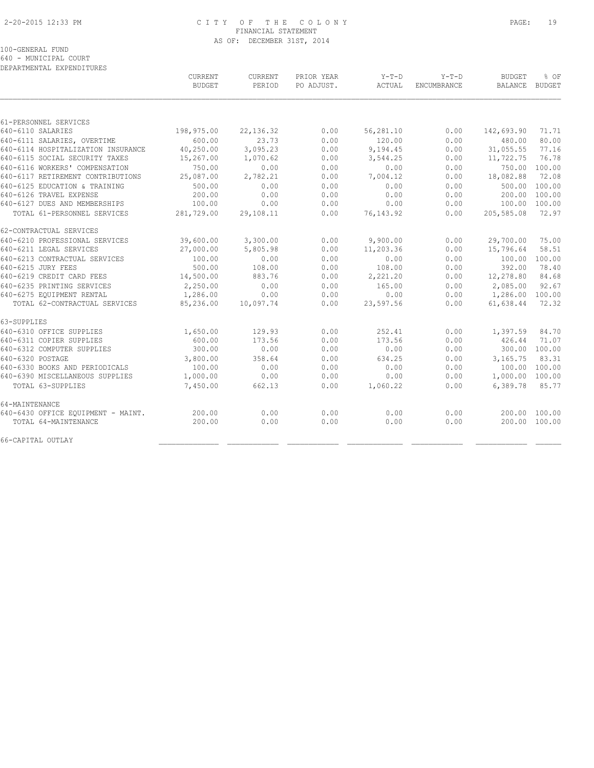### 2-20-2015 12:33 PM C I T Y O F T H E C O L O N Y PAGE: 19 FINANCIAL STATEMENT AS OF: DECEMBER 31ST, 2014

100-GENERAL FUND

640 - MUNICIPAL COURT DEPARTMENTAL EXPENDITURES

|                                    | <b>CURRENT</b><br><b>BUDGET</b> | CURRENT<br>PERIOD | PRIOR YEAR<br>PO ADJUST. | $Y-T-D$<br>ACTUAL | $Y-T-D$<br>ENCUMBRANCE | <b>BUDGET</b><br><b>BALANCE</b> | % OF<br><b>BUDGET</b> |
|------------------------------------|---------------------------------|-------------------|--------------------------|-------------------|------------------------|---------------------------------|-----------------------|
|                                    |                                 |                   |                          |                   |                        |                                 |                       |
| 61-PERSONNEL SERVICES              |                                 |                   |                          |                   |                        |                                 |                       |
| 640-6110 SALARIES                  | 198,975.00                      | 22, 136.32        | 0.00                     | 56,281.10         | 0.00                   | 142,693.90                      | 71.71                 |
| 640-6111 SALARIES, OVERTIME        | 600.00                          | 23.73             | 0.00                     | 120.00            | 0.00                   | 480.00                          | 80.00                 |
| 640-6114 HOSPITALIZATION INSURANCE | 40,250.00                       | 3,095.23          | 0.00                     | 9,194.45          | 0.00                   | 31,055.55                       | 77.16                 |
| 640-6115 SOCIAL SECURITY TAXES     | 15,267.00                       | 1,070.62          | 0.00                     | 3,544.25          | 0.00                   | 11,722.75                       | 76.78                 |
| 640-6116 WORKERS' COMPENSATION     | 750.00                          | 0.00              | 0.00                     | 0.00              | 0.00                   | 750.00                          | 100.00                |
| 640-6117 RETIREMENT CONTRIBUTIONS  | 25,087.00                       | 2,782.21          | 0.00                     | 7,004.12          | 0.00                   | 18,082.88                       | 72.08                 |
| 640-6125 EDUCATION & TRAINING      | 500.00                          | 0.00              | 0.00                     | 0.00              | 0.00                   | 500.00                          | 100.00                |
| 640-6126 TRAVEL EXPENSE            | 200.00                          | 0.00              | 0.00                     | 0.00              | 0.00                   | 200.00                          | 100.00                |
| 640-6127 DUES AND MEMBERSHIPS      | 100.00                          | 0.00              | 0.00                     | 0.00              | 0.00                   |                                 | 100.00 100.00         |
| TOTAL 61-PERSONNEL SERVICES        | 281,729.00                      | 29,108.11         | 0.00                     | 76, 143.92        | 0.00                   | 205,585.08                      | 72.97                 |
| 62-CONTRACTUAL SERVICES            |                                 |                   |                          |                   |                        |                                 |                       |
| 640-6210 PROFESSIONAL SERVICES     | 39,600.00                       | 3,300.00          | 0.00                     | 9,900.00          | 0.00                   | 29,700.00                       | 75.00                 |
| 640-6211 LEGAL SERVICES            | 27,000.00                       | 5,805.98          | 0.00                     | 11,203.36         | 0.00                   | 15,796.64                       | 58.51                 |
| 640-6213 CONTRACTUAL SERVICES      | 100.00                          | 0.00              | 0.00                     | 0.00              | 0.00                   | 100.00                          | 100.00                |
| 640-6215 JURY FEES                 | 500.00                          | 108.00            | 0.00                     | 108.00            | 0.00                   | 392.00                          | 78.40                 |
| 640-6219 CREDIT CARD FEES          | 14,500.00                       | 883.76            | 0.00                     | 2,221.20          | 0.00                   | 12,278.80                       | 84.68                 |
| 640-6235 PRINTING SERVICES         | 2,250.00                        | 0.00              | 0.00                     | 165.00            | 0.00                   | 2,085.00                        | 92.67                 |
| 640-6275 EQUIPMENT RENTAL          | 1,286.00                        | 0.00              | 0.00                     | 0.00              | 0.00                   | 1,286.00                        | 100.00                |
| TOTAL 62-CONTRACTUAL SERVICES      | 85,236.00                       | 10,097.74         | 0.00                     | 23,597.56         | 0.00                   | 61,638.44                       | 72.32                 |
| 63-SUPPLIES                        |                                 |                   |                          |                   |                        |                                 |                       |
| 640-6310 OFFICE SUPPLIES           | 1,650.00                        | 129.93            | 0.00                     | 252.41            | 0.00                   | 1,397.59                        | 84.70                 |
| 640-6311 COPIER SUPPLIES           | 600.00                          | 173.56            | 0.00                     | 173.56            | 0.00                   | 426.44                          | 71.07                 |
| 640-6312 COMPUTER SUPPLIES         | 300.00                          | 0.00              | 0.00                     | 0.00              | 0.00                   |                                 | 300.00 100.00         |
| 640-6320 POSTAGE                   | 3,800.00                        | 358.64            | 0.00                     | 634.25            | 0.00                   | 3,165.75                        | 83.31                 |
| 640-6330 BOOKS AND PERIODICALS     | 100.00                          | 0.00              | 0.00                     | 0.00              | 0.00                   | 100.00                          | 100.00                |
| 640-6390 MISCELLANEOUS SUPPLIES    | 1,000.00                        | 0.00              | 0.00                     | 0.00              | 0.00                   | 1,000.00 100.00                 |                       |
| TOTAL 63-SUPPLIES                  | 7,450.00                        | 662.13            | 0.00                     | 1,060.22          | 0.00                   | 6,389.78                        | 85.77                 |
| 64-MAINTENANCE                     |                                 |                   |                          |                   |                        |                                 |                       |
| 640-6430 OFFICE EQUIPMENT - MAINT. | 200.00                          | 0.00              | 0.00                     | 0.00              | 0.00                   |                                 | 200.00 100.00         |
| TOTAL 64-MAINTENANCE               | 200.00                          | 0.00              | 0.00                     | 0.00              | 0.00                   |                                 | 200.00 100.00         |
| 66-CAPITAL OUTLAY                  |                                 |                   |                          |                   |                        |                                 |                       |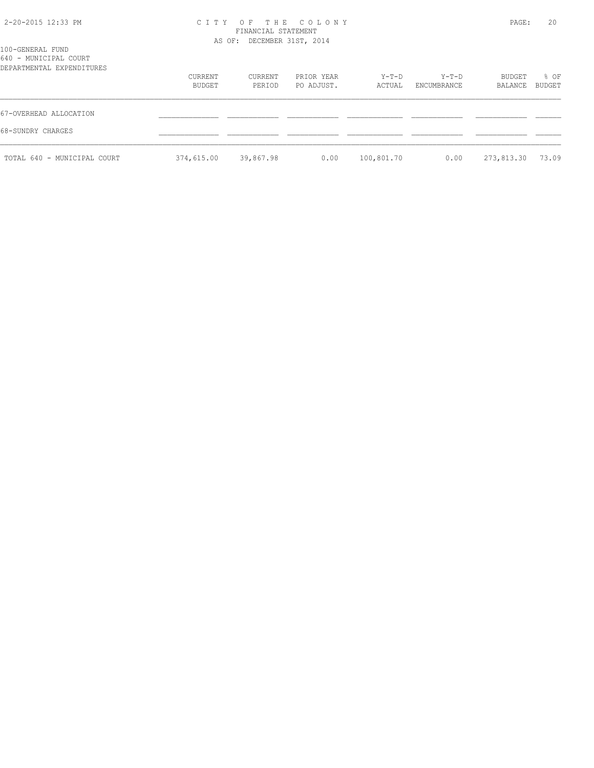### 2-20-2015 12:33 PM C I T Y O F T H E C O L O N Y PAGE: 20 FINANCIAL STATEMENT AS OF: DECEMBER 31ST, 2014

| 100-GENERAL FUND<br>640 - MUNICIPAL COURT<br>DEPARTMENTAL EXPENDITURES |                   |                   |                          |                   |                      |                   |                |
|------------------------------------------------------------------------|-------------------|-------------------|--------------------------|-------------------|----------------------|-------------------|----------------|
|                                                                        | CURRENT<br>BUDGET | CURRENT<br>PERIOD | PRIOR YEAR<br>PO ADJUST. | $Y-T-D$<br>ACTUAL | Y-T-D<br>ENCUMBRANCE | BUDGET<br>BALANCE | % OF<br>BUDGET |
| 67-OVERHEAD ALLOCATION                                                 |                   |                   |                          |                   |                      |                   |                |
| 68-SUNDRY CHARGES                                                      |                   |                   |                          |                   |                      |                   |                |
| TOTAL 640 - MUNICIPAL COURT                                            | 374,615.00        | 39,867.98         | 0.00                     | 100,801.70        | 0.00                 | 273,813.30        | 73.09          |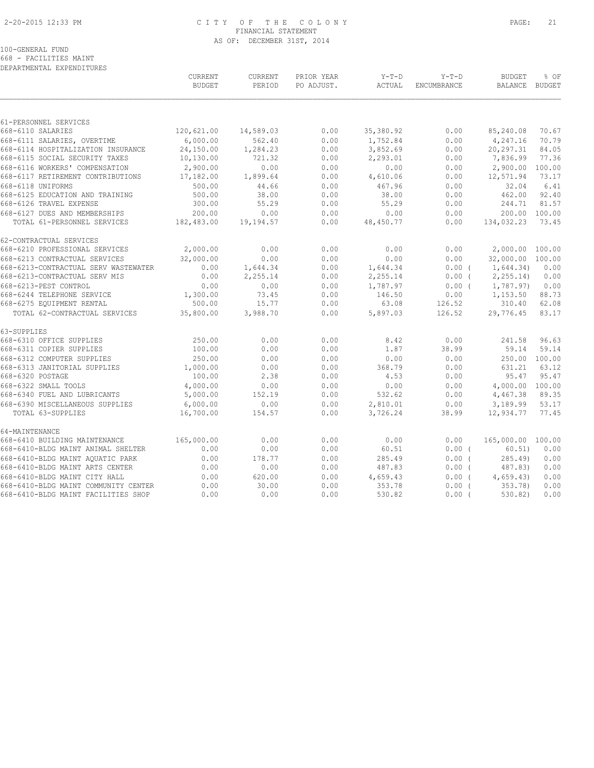### 2-20-2015 12:33 PM C I T Y O F T H E C O L O N Y PAGE: 21 FINANCIAL STATEMENT AS OF: DECEMBER 31ST, 2014

#### 100-GENERAL FUND

668 - FACILITIES MAINT DEPARTMENTAL EXPENDITURES

|                                      | CURRENT<br><b>BUDGET</b> | CURRENT<br>PERIOD | PRIOR YEAR<br>PO ADJUST. | $Y-T-D$<br>ACTUAL | $Y-T-D$<br>ENCUMBRANCE | <b>BUDGET</b><br><b>BALANCE</b> | % OF<br><b>BUDGET</b> |
|--------------------------------------|--------------------------|-------------------|--------------------------|-------------------|------------------------|---------------------------------|-----------------------|
|                                      |                          |                   |                          |                   |                        |                                 |                       |
| 61-PERSONNEL SERVICES                |                          |                   |                          |                   |                        |                                 |                       |
| 668-6110 SALARIES                    | 120,621.00               | 14,589.03         | 0.00                     | 35,380.92         | 0.00                   | 85,240.08                       | 70.67                 |
| 668-6111 SALARIES, OVERTIME          | 6,000.00                 | 562.40            | 0.00                     | 1,752.84          | 0.00                   | 4,247.16                        | 70.79                 |
| 668-6114 HOSPITALIZATION INSURANCE   | 24,150.00                | 1,284.23          | 0.00                     | 3,852.69          | 0.00                   | 20, 297.31                      | 84.05                 |
| 668-6115 SOCIAL SECURITY TAXES       | 10,130.00                | 721.32            | 0.00                     | 2,293.01          | 0.00                   | 7,836.99                        | 77.36                 |
| 668-6116 WORKERS' COMPENSATION       | 2,900.00                 | 0.00              | 0.00                     | 0.00              | 0.00                   | 2,900.00                        | 100.00                |
| 668-6117 RETIREMENT CONTRIBUTIONS    | 17,182.00                | 1,899.64          | 0.00                     | 4,610.06          | 0.00                   | 12,571.94                       | 73.17                 |
| 668-6118 UNIFORMS                    | 500.00                   | 44.66             | 0.00                     | 467.96            | 0.00                   | 32.04                           | 6.41                  |
| 668-6125 EDUCATION AND TRAINING      | 500.00                   | 38.00             | 0.00                     | 38.00             | 0.00                   | 462.00                          | 92.40                 |
| 668-6126 TRAVEL EXPENSE              | 300.00                   | 55.29             | 0.00                     | 55.29             | 0.00                   | 244.71                          | 81.57                 |
| 668-6127 DUES AND MEMBERSHIPS        | 200.00                   | 0.00              | 0.00                     | 0.00              | 0.00                   | 200.00                          | 100.00                |
| TOTAL 61-PERSONNEL SERVICES          | 182,483.00               | 19,194.57         | 0.00                     | 48,450.77         | 0.00                   | 134,032.23                      | 73.45                 |
| 62-CONTRACTUAL SERVICES              |                          |                   |                          |                   |                        |                                 |                       |
| 668-6210 PROFESSIONAL SERVICES       | 2,000.00                 | 0.00              | 0.00                     | 0.00              | 0.00                   | 2,000.00 100.00                 |                       |
| 668-6213 CONTRACTUAL SERVICES        | 32,000.00                | 0.00              | 0.00                     | 0.00              | 0.00                   | 32,000.00 100.00                |                       |
| 668-6213-CONTRACTUAL SERV WASTEWATER | 0.00                     | 1,644.34          | 0.00                     | 1,644.34          | $0.00$ (               | 1,644.34)                       | 0.00                  |
| 668-6213-CONTRACTUAL SERV MIS        | 0.00                     | 2,255.14          | 0.00                     | 2,255.14          | $0.00$ (               | 2, 255.14                       | 0.00                  |
| 668-6213-PEST CONTROL                | 0.00                     | 0.00              | 0.00                     | 1,787.97          | $0.00$ (               | 1,787.97)                       | 0.00                  |
| 668-6244 TELEPHONE SERVICE           | 1,300.00                 | 73.45             | 0.00                     | 146.50            | 0.00                   | 1,153.50                        | 88.73                 |
| 668-6275 EQUIPMENT RENTAL            | 500.00                   | 15.77             | 0.00                     | 63.08             | 126.52                 | 310.40                          | 62.08                 |
| TOTAL 62-CONTRACTUAL SERVICES        | 35,800.00                | 3,988.70          | 0.00                     | 5,897.03          | 126.52                 | 29,776.45                       | 83.17                 |
| 63-SUPPLIES                          |                          |                   |                          |                   |                        |                                 |                       |
| 668-6310 OFFICE SUPPLIES             | 250.00                   | 0.00              | 0.00                     | 8.42              | 0.00                   | 241.58                          | 96.63                 |
| 668-6311 COPIER SUPPLIES             | 100.00                   | 0.00              | 0.00                     | 1.87              | 38.99                  | 59.14                           | 59.14                 |
| 668-6312 COMPUTER SUPPLIES           | 250.00                   | 0.00              | 0.00                     | 0.00              | 0.00                   |                                 | 250.00 100.00         |
| 668-6313 JANITORIAL SUPPLIES         | 1,000.00                 | 0.00              | 0.00                     | 368.79            | 0.00                   | 631.21                          | 63.12                 |
| 668-6320 POSTAGE                     | 100.00                   | 2.38              | 0.00                     | 4.53              | 0.00                   | 95.47                           | 95.47                 |
| 668-6322 SMALL TOOLS                 | 4,000.00                 | 0.00              | 0.00                     | 0.00              | 0.00                   | 4,000.00 100.00                 |                       |
| 668-6340 FUEL AND LUBRICANTS         | 5,000.00                 | 152.19            | 0.00                     | 532.62            | 0.00                   | 4,467.38                        | 89.35                 |
| 668-6390 MISCELLANEOUS SUPPLIES      | 6,000.00                 | 0.00              | 0.00                     | 2,810.01          | 0.00                   | 3,189.99                        | 53.17                 |
| TOTAL 63-SUPPLIES                    | 16,700.00                | 154.57            | 0.00                     | 3,726.24          | 38.99                  | 12,934.77                       | 77.45                 |
| 64-MAINTENANCE                       |                          |                   |                          |                   |                        |                                 |                       |
| 668-6410 BUILDING MAINTENANCE        | 165,000.00               | 0.00              | 0.00                     | 0.00              | 0.00                   | 165,000.00 100.00               |                       |
| 668-6410-BLDG MAINT ANIMAL SHELTER   | 0.00                     | 0.00              | 0.00                     | 60.51             | $0.00$ (               | 60.51)                          | 0.00                  |
| 668-6410-BLDG MAINT AOUATIC PARK     | 0.00                     | 178.77            | 0.00                     | 285.49            | 0.00(                  | 285.49                          | 0.00                  |
| 668-6410-BLDG MAINT ARTS CENTER      | 0.00                     | 0.00              | 0.00                     | 487.83            | $0.00$ (               | 487.83)                         | 0.00                  |
| 668-6410-BLDG MAINT CITY HALL        | 0.00                     | 620.00            | 0.00                     | 4,659.43          | $0.00$ (               | 4,659.43                        | 0.00                  |
| 668-6410-BLDG MAINT COMMUNITY CENTER | 0.00                     | 30.00             | 0.00                     | 353.78            | 0.00(                  | 353.78)                         | 0.00                  |
| 668-6410-BLDG MAINT FACILITIES SHOP  | 0.00                     | 0.00              | 0.00                     | 530.82            | $0.00$ (               | 530.82)                         | 0.00                  |
|                                      |                          |                   |                          |                   |                        |                                 |                       |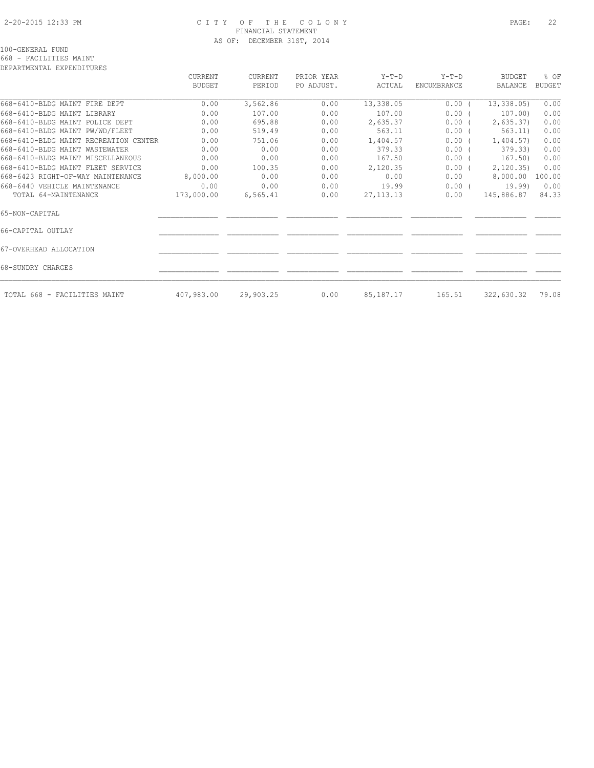### 2-20-2015 12:33 PM C I T Y O F T H E C O L O N Y PAGE: 22 FINANCIAL STATEMENT AS OF: DECEMBER 31ST, 2014

#### 100-GENERAL FUND

668 - FACILITIES MAINT

| DEPARTMENTAL EXPENDITURES             |                |           |            |             |                    |                |               |
|---------------------------------------|----------------|-----------|------------|-------------|--------------------|----------------|---------------|
|                                       | <b>CURRENT</b> | CURRENT   | PRIOR YEAR | Y-T-D       | $Y-T-D$            | BUDGET         | % OF          |
|                                       | <b>BUDGET</b>  | PERIOD    | PO ADJUST. | ACTUAL      | <b>ENCUMBRANCE</b> | <b>BALANCE</b> | <b>BUDGET</b> |
| 668-6410-BLDG MAINT FIRE DEPT         | 0.00           | 3,562.86  | 0.00       | 13,338.05   | $0.00$ (           | 13, 338.05     | 0.00          |
| 668-6410-BLDG MAINT LIBRARY           | 0.00           | 107.00    | 0.00       | 107.00      | $0.00$ (           | 107.00)        | 0.00          |
| 668-6410-BLDG MAINT POLICE DEPT       | 0.00           | 695.88    | 0.00       | 2,635.37    | $0.00$ (           | 2,635.37       | 0.00          |
| 668-6410-BLDG MAINT PW/WD/FLEET       | 0.00           | 519.49    | 0.00       | 563.11      | $0.00$ (           | 563.11)        | 0.00          |
| 668-6410-BLDG MAINT RECREATION CENTER | 0.00           | 751.06    | 0.00       | 1,404.57    | $0.00$ (           | 1,404.57       | 0.00          |
| 668-6410-BLDG MAINT WASTEWATER        | 0.00           | 0.00      | 0.00       | 379.33      | $0.00$ (           | 379.33)        | 0.00          |
| 668-6410-BLDG MAINT MISCELLANEOUS     | 0.00           | 0.00      | 0.00       | 167.50      | $0.00$ (           | 167.50)        | 0.00          |
| 668-6410-BLDG MAINT FLEET SERVICE     | 0.00           | 100.35    | 0.00       | 2,120.35    | 0.00(              | 2,120.35       | 0.00          |
| 668-6423 RIGHT-OF-WAY MAINTENANCE     | 8,000.00       | 0.00      | 0.00       | 0.00        | 0.00               | 8,000.00       | 100.00        |
| 668-6440 VEHICLE MAINTENANCE          | 0.00           | 0.00      | 0.00       | 19.99       | 0.00(              | 19.99)         | 0.00          |
| TOTAL 64-MAINTENANCE                  | 173,000.00     | 6, 565.41 | 0.00       | 27, 113. 13 | 0.00               | 145,886.87     | 84.33         |
| 65-NON-CAPITAL                        |                |           |            |             |                    |                |               |
| 66-CAPITAL OUTLAY                     |                |           |            |             |                    |                |               |
| 67-OVERHEAD ALLOCATION                |                |           |            |             |                    |                |               |
| 68-SUNDRY CHARGES                     |                |           |            |             |                    |                |               |
| TOTAL 668 - FACILITIES MAINT          | 407,983.00     | 29,903.25 | 0.00       | 85,187.17   | 165.51             | 322,630.32     | 79.08         |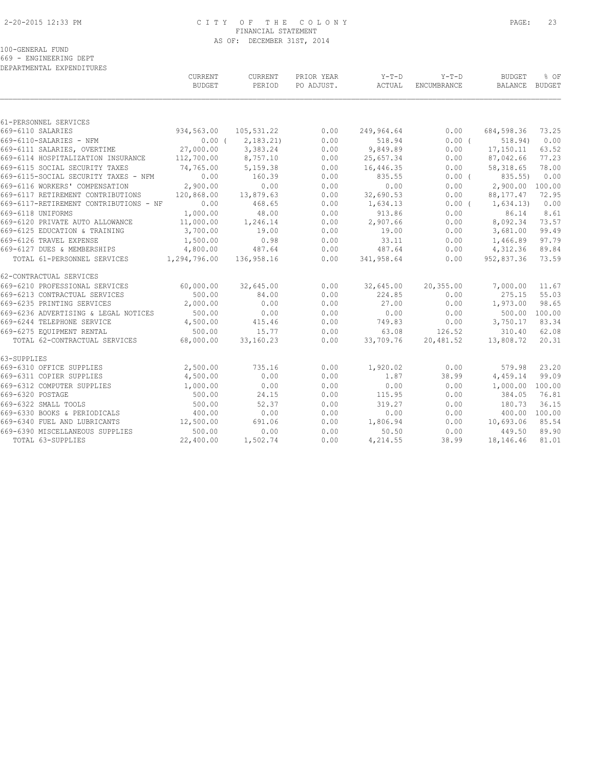### 2-20-2015 12:33 PM C I T Y O F T H E C O L O N Y PAGE: 23 FINANCIAL STATEMENT AS OF: DECEMBER 31ST, 2014

100-GENERAL FUND

669 - ENGINEERING DEPT

| DEPARTMENTAL EXPENDITURES              |               |            |            |            |             |               |        |
|----------------------------------------|---------------|------------|------------|------------|-------------|---------------|--------|
|                                        | CURRENT       | CURRENT    | PRIOR YEAR | Y-T-D      | $Y-T-D$     | <b>BUDGET</b> | % OF   |
|                                        | <b>BUDGET</b> | PERIOD     | PO ADJUST. | ACTUAL     | ENCUMBRANCE | BALANCE       | BUDGET |
|                                        |               |            |            |            |             |               |        |
| 61-PERSONNEL SERVICES                  |               |            |            |            |             |               |        |
| 669-6110 SALARIES                      | 934,563.00    | 105,531.22 | 0.00       | 249,964.64 | 0.00        | 684,598.36    | 73.25  |
| 669-6110-SALARIES - NFM                | $0.00$ (      | 2,183.21   | 0.00       | 518.94     | 0.00(       | 518.94)       | 0.00   |
| 669-6111 SALARIES, OVERTIME            | 27,000.00     | 3,383.24   | 0.00       | 9,849.89   | 0.00        | 17,150.11     | 63.52  |
| 669-6114 HOSPITALIZATION INSURANCE     | 112,700.00    | 8,757.10   | 0.00       | 25,657.34  | 0.00        | 87,042.66     | 77.23  |
| 669-6115 SOCIAL SECURITY TAXES         | 74,765.00     | 5,159.38   | 0.00       | 16,446.35  | 0.00        | 58, 318.65    | 78.00  |
| 669-6115-SOCIAL SECURITY TAXES - NFM   | 0.00          | 160.39     | 0.00       | 835.55     | $0.00$ (    | 835.55)       | 0.00   |
| 669-6116 WORKERS' COMPENSATION         | 2,900.00      | 0.00       | 0.00       | 0.00       | 0.00        | 2,900.00      | 100.00 |
| 669-6117 RETIREMENT CONTRIBUTIONS      | 120,868.00    | 13,879.63  | 0.00       | 32,690.53  | 0.00        | 88, 177. 47   | 72.95  |
| 669-6117-RETIREMENT CONTRIBUTIONS - NF | 0.00          | 468.65     | 0.00       | 1,634.13   | $0.00$ (    | 1,634.13)     | 0.00   |
| 669-6118 UNIFORMS                      | 1,000.00      | 48.00      | 0.00       | 913.86     | 0.00        | 86.14         | 8.61   |
| 669-6120 PRIVATE AUTO ALLOWANCE        | 11,000.00     | 1,246.14   | 0.00       | 2,907.66   | 0.00        | 8,092.34      | 73.57  |
| 669-6125 EDUCATION & TRAINING          | 3,700.00      | 19.00      | 0.00       | 19.00      | 0.00        | 3,681.00      | 99.49  |
| 669-6126 TRAVEL EXPENSE                | 1,500.00      | 0.98       | 0.00       | 33.11      | 0.00        | 1,466.89      | 97.79  |
| 669-6127 DUES & MEMBERSHIPS            | 4,800.00      | 487.64     | 0.00       | 487.64     | 0.00        | 4,312.36      | 89.84  |
| TOTAL 61-PERSONNEL SERVICES            | 1,294,796.00  | 136,958.16 | 0.00       | 341,958.64 | 0.00        | 952,837.36    | 73.59  |
| 62-CONTRACTUAL SERVICES                |               |            |            |            |             |               |        |
| 669-6210 PROFESSIONAL SERVICES         | 60,000.00     | 32,645.00  | 0.00       | 32,645.00  | 20,355.00   | 7,000.00      | 11.67  |
| 669-6213 CONTRACTUAL SERVICES          | 500.00        | 84.00      | 0.00       | 224.85     | 0.00        | 275.15        | 55.03  |
| 669-6235 PRINTING SERVICES             | 2,000.00      | 0.00       | 0.00       | 27.00      | 0.00        | 1,973.00      | 98.65  |
| 669-6236 ADVERTISING & LEGAL NOTICES   | 500.00        | 0.00       | 0.00       | 0.00       | 0.00        | 500.00        | 100.00 |
| 669-6244 TELEPHONE SERVICE             | 4,500.00      | 415.46     | 0.00       | 749.83     | 0.00        | 3,750.17      | 83.34  |
| 669-6275 EQUIPMENT RENTAL              | 500.00        | 15.77      | 0.00       | 63.08      | 126.52      | 310.40        | 62.08  |
| TOTAL 62-CONTRACTUAL SERVICES          | 68,000.00     | 33,160.23  | 0.00       | 33,709.76  | 20,481.52   | 13,808.72     | 20.31  |
| 63-SUPPLIES                            |               |            |            |            |             |               |        |
| 669-6310 OFFICE SUPPLIES               | 2,500.00      | 735.16     | 0.00       | 1,920.02   | 0.00        | 579.98        | 23.20  |
| 669-6311 COPIER SUPPLIES               | 4,500.00      | 0.00       | 0.00       | 1.87       | 38.99       | 4,459.14      | 99.09  |
| 669-6312 COMPUTER SUPPLIES             | 1,000.00      | 0.00       | 0.00       | 0.00       | 0.00        | 1,000.00      | 100.00 |
| 669-6320 POSTAGE                       | 500.00        | 24.15      | 0.00       | 115.95     | 0.00        | 384.05        | 76.81  |
| 669-6322 SMALL TOOLS                   | 500.00        | 52.37      | 0.00       | 319.27     | 0.00        | 180.73        | 36.15  |
| 669-6330 BOOKS & PERIODICALS           | 400.00        | 0.00       | 0.00       | 0.00       | 0.00        | 400.00        | 100.00 |
| 669-6340 FUEL AND LUBRICANTS           | 12,500.00     | 691.06     | 0.00       | 1,806.94   | 0.00        | 10,693.06     | 85.54  |
| 669-6390 MISCELLANEOUS SUPPLIES        | 500.00        | 0.00       | 0.00       | 50.50      | 0.00        | 449.50        | 89.90  |
| TOTAL 63-SUPPLIES                      | 22,400.00     | 1,502.74   | 0.00       | 4,214.55   | 38.99       | 18,146.46     | 81.01  |
|                                        |               |            |            |            |             |               |        |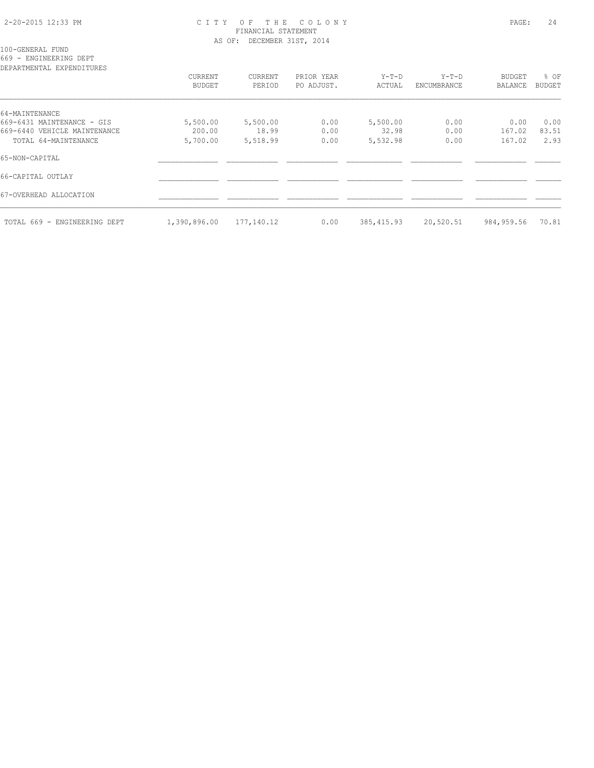### 2-20-2015 12:33 PM C I T Y O F T H E C O L O N Y PAGE: 24 FINANCIAL STATEMENT AS OF: DECEMBER 31ST, 2014

100-GENERAL FUND

669 - ENGINEERING DEPT

| DEPARTMENTAL EXPENDITURES    |               |            |            |             |             |            |               |
|------------------------------|---------------|------------|------------|-------------|-------------|------------|---------------|
|                              | CURRENT       | CURRENT    | PRIOR YEAR | $Y-T-D$     | $Y-T-D$     | BUDGET     | % OF          |
|                              | <b>BUDGET</b> | PERIOD     | PO ADJUST. | ACTUAL      | ENCUMBRANCE | BALANCE    | <b>BUDGET</b> |
| 64-MAINTENANCE               |               |            |            |             |             |            |               |
| 669-6431 MAINTENANCE - GIS   | 5,500.00      | 5,500.00   | 0.00       | 5,500.00    | 0.00        | 0.00       | 0.00          |
| 669-6440 VEHICLE MAINTENANCE | 200.00        | 18.99      | 0.00       | 32.98       | 0.00        | 167.02     | 83.51         |
| TOTAL 64-MAINTENANCE         | 5,700.00      | 5,518.99   | 0.00       | 5,532.98    | 0.00        | 167.02     | 2.93          |
| 65-NON-CAPITAL               |               |            |            |             |             |            |               |
| 66-CAPITAL OUTLAY            |               |            |            |             |             |            |               |
| 67-OVERHEAD ALLOCATION       |               |            |            |             |             |            |               |
| TOTAL 669 - ENGINEERING DEPT | 1,390,896.00  | 177,140.12 | 0.00       | 385, 415.93 | 20,520.51   | 984,959.56 | 70.81         |
|                              |               |            |            |             |             |            |               |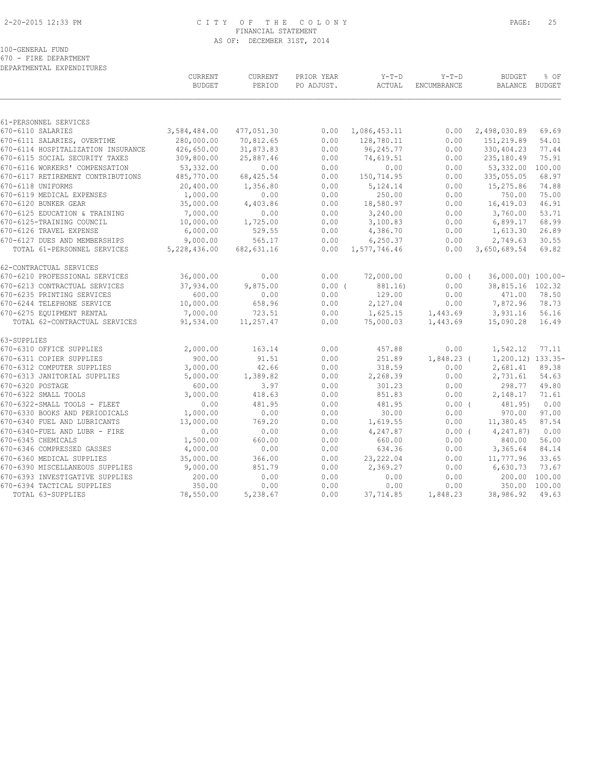### 2-20-2015 12:33 PM C I T Y O F T H E C O L O N Y PAGE: 25 FINANCIAL STATEMENT AS OF: DECEMBER 31ST, 2014

|                                                 | <b>CURRENT</b><br><b>BUDGET</b> | CURRENT<br>PERIOD | PRIOR YEAR<br>PO ADJUST. | $Y-T-D$<br>ACTUAL | $Y-T-D$<br>ENCUMBRANCE | <b>BUDGET</b><br>BALANCE BUDGET | % OF            |
|-------------------------------------------------|---------------------------------|-------------------|--------------------------|-------------------|------------------------|---------------------------------|-----------------|
|                                                 |                                 |                   |                          |                   |                        |                                 |                 |
| 61-PERSONNEL SERVICES<br>670-6110 SALARIES      | 3,584,484.00                    | 477,051.30        | 0.00                     | 1,086,453.11      | 0.00                   | 2,498,030.89                    | 69.69           |
| 670-6111 SALARIES, OVERTIME                     | 280,000.00                      | 70,812.65         | 0.00                     | 128,780.11        | 0.00                   | 151,219.89                      | 54.01           |
| 670-6114 HOSPITALIZATION INSURANCE              | 426,650.00                      | 31,873.83         | 0.00                     | 96,245.77         | 0.00                   | 330,404.23                      | 77.44           |
| 670-6115 SOCIAL SECURITY TAXES                  | 309,800.00                      | 25,887.46         | 0.00                     | 74,619.51         | 0.00                   | 235,180.49                      | 75.91           |
| 670-6116 WORKERS' COMPENSATION                  | 53,332.00                       | 0.00              | 0.00                     | 0.00              | 0.00                   | 53,332.00                       | 100.00          |
| 670-6117 RETIREMENT CONTRIBUTIONS               | 485,770.00                      | 68, 425.54        | 0.00                     | 150,714.95        | 0.00                   | 335,055.05                      | 68.97           |
| 670-6118 UNIFORMS                               | 20,400.00                       | 1,356.80          | 0.00                     | 5,124.14          | 0.00                   | 15,275.86                       | 74.88           |
| 670-6119 MEDICAL EXPENSES                       | 1,000.00                        | 0.00              | 0.00                     | 250.00            | 0.00                   | 750.00                          | 75.00           |
| 670-6120 BUNKER GEAR                            | 35,000.00                       | 4,403.86          | 0.00                     | 18,580.97         | 0.00                   | 16,419.03                       | 46.91           |
| 670-6125 EDUCATION & TRAINING                   | 7,000.00                        | 0.00              | 0.00                     | 3,240.00          | 0.00                   | 3,760.00                        | 53.71           |
| 670-6125-TRAINING COUNCIL                       | 10,000.00                       | 1,725.00          | 0.00                     | 3,100.83          | 0.00                   | 6,899.17                        | 68.99           |
| 670-6126 TRAVEL EXPENSE                         | 6,000.00                        | 529.55            | 0.00                     | 4,386.70          | 0.00                   | 1,613.30                        | 26.89           |
| 670-6127 DUES AND MEMBERSHIPS                   | 9,000.00                        | 565.17            | 0.00                     | 6, 250.37         | 0.00                   | 2,749.63                        | 30.55           |
| TOTAL 61-PERSONNEL SERVICES                     | 5,228,436.00                    | 682, 631.16       | 0.00                     | 1,577,746.46      | 0.00                   | 3,650,689.54                    | 69.82           |
| 62-CONTRACTUAL SERVICES                         |                                 |                   |                          |                   |                        |                                 |                 |
| 670-6210 PROFESSIONAL SERVICES                  | 36,000.00                       | 0.00              | 0.00                     | 72,000.00         | $0.00$ (               | 36,000.00) 100.00-              |                 |
| 670-6213 CONTRACTUAL SERVICES                   | 37,934.00                       | 9,875.00          | 0.00(                    | 881.16)           | 0.00                   | 38,815.16 102.32                |                 |
| 670-6235 PRINTING SERVICES                      | 600.00                          | 0.00              | 0.00                     | 129.00            | 0.00                   | 471.00                          | 78.50           |
| 670-6244 TELEPHONE SERVICE                      | 10,000.00                       | 658.96            | 0.00                     | 2,127.04          | 0.00                   | 7,872.96                        | 78.73           |
| 670-6275 EQUIPMENT RENTAL                       | 7,000.00                        | 723.51            | 0.00                     | 1,625.15          | 1,443.69               | 3,931.16                        | 56.16           |
| TOTAL 62-CONTRACTUAL SERVICES                   | 91,534.00                       | 11,257.47         | 0.00                     | 75,000.03         | 1,443.69               | 15,090.28                       | 16.49           |
| 63-SUPPLIES                                     |                                 |                   |                          |                   |                        |                                 |                 |
| 670-6310 OFFICE SUPPLIES                        | 2,000.00                        | 163.14            | 0.00                     | 457.88            | 0.00                   | 1,542.12                        | 77.11           |
| 670-6311 COPIER SUPPLIES                        | 900.00                          | 91.51             | 0.00                     | 251.89            | $1,848.23$ (           | 1,200.12) 133.35-               |                 |
| 670-6312 COMPUTER SUPPLIES                      | 3,000.00                        | 42.66             | 0.00                     | 318.59            | 0.00                   | 2,681.41                        | 89.38           |
| 670-6313 JANITORIAL SUPPLIES                    | 5,000.00                        | 1,389.82          | 0.00                     | 2,268.39          | 0.00                   | 2,731.61                        | 54.63           |
| 670-6320 POSTAGE                                | 600.00                          | 3.97              | 0.00                     | 301.23            | 0.00                   | 298.77                          | 49.80           |
| 670-6322 SMALL TOOLS                            | 3,000.00                        | 418.63            | 0.00                     | 851.83            | 0.00                   | 2,148.17                        | 71.61           |
| 670-6322-SMALL TOOLS - FLEET                    | 0.00                            | 481.95            | 0.00                     | 481.95            | 0.00(                  | 481.95)                         | 0.00            |
| 670-6330 BOOKS AND PERIODICALS                  | 1,000.00                        | 0.00              | 0.00                     | 30.00             | 0.00                   | 970.00                          | 97.00           |
| 670-6340 FUEL AND LUBRICANTS                    | 13,000.00                       | 769.20            | 0.00                     | 1,619.55          | 0.00                   | 11,380.45                       | 87.54           |
| 670-6340-FUEL AND LUBR - FIRE                   | 0.00                            | 0.00              | 0.00                     | 4,247.87          | 0.00(                  | 4,247.87)                       | 0.00            |
| 670-6345 CHEMICALS                              | 1,500.00                        | 660.00            | 0.00                     | 660.00            | 0.00                   | 840.00                          | 56.00           |
| 670-6346 COMPRESSED GASSES                      | 4,000.00                        | 0.00              | 0.00                     | 634.36            | 0.00                   | 3,365.64                        | 84.14           |
| 670-6360 MEDICAL SUPPLIES                       | 35,000.00                       | 366.00            | 0.00                     | 23, 222.04        | 0.00                   | 11,777.96                       | 33.65           |
| 670-6390 MISCELLANEOUS SUPPLIES                 | 9,000.00                        | 851.79            | 0.00                     | 2,369.27          | 0.00                   | 6,630.73                        | 73.67           |
| 670-6393 INVESTIGATIVE SUPPLIES                 | 200.00                          | 0.00              | 0.00                     | 0.00              | 0.00                   | 200.00                          | 100.00          |
| 670-6394 TACTICAL SUPPLIES<br>TOTAL 63-SUPPLIES | 350.00<br>78,550.00             | 0.00<br>5,238.67  | 0.00<br>0.00             | 0.00<br>37,714.85 | 0.00<br>1,848.23       | 350.00<br>38,986.92             | 100.00<br>49.63 |
|                                                 |                                 |                   |                          |                   |                        |                                 |                 |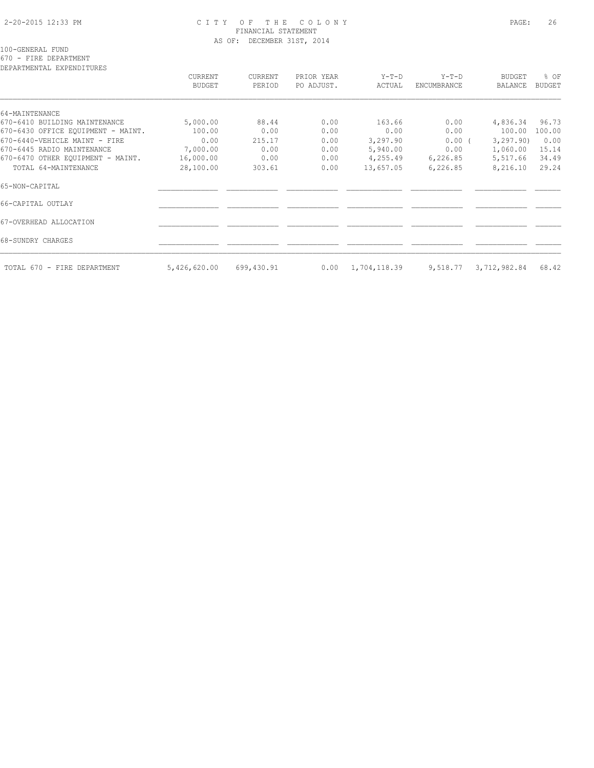### 2-20-2015 12:33 PM C I T Y O F T H E C O L O N Y PAGE: 26 FINANCIAL STATEMENT AS OF: DECEMBER 31ST, 2014

100-GENERAL FUND

670 - FIRE DEPARTMENT

DEPARTMENTAL EXPENDITURES

| DEFAKIMENTAL EAFENDITUKES          | <b>CURRENT</b><br>BUDGET | CURRENT<br>PERIOD | PRIOR YEAR<br>PO ADJUST. | $Y-T-D$<br>ACTUAL | $Y-T-D$<br>ENCUMBRANCE | <b>BUDGET</b><br><b>BALANCE</b> | % OF<br><b>BUDGET</b> |
|------------------------------------|--------------------------|-------------------|--------------------------|-------------------|------------------------|---------------------------------|-----------------------|
| 64-MAINTENANCE                     |                          |                   |                          |                   |                        |                                 |                       |
| 670-6410 BUILDING MAINTENANCE      | 5,000.00                 | 88.44             | 0.00                     | 163.66            | 0.00                   | 4,836.34                        | 96.73                 |
| 670-6430 OFFICE EQUIPMENT - MAINT. | 100.00                   | 0.00              | 0.00                     | 0.00              | 0.00                   | 100.00                          | 100.00                |
| 670-6440-VEHICLE MAINT - FIRE      | 0.00                     | 215.17            | 0.00                     | 3,297.90          | $0.00$ (               | 3, 297, 90)                     | 0.00                  |
| 670-6445 RADIO MAINTENANCE         | 7,000.00                 | 0.00              | 0.00                     | 5,940.00          | 0.00                   | 1,060.00                        | 15.14                 |
| 670-6470 OTHER EOUIPMENT - MAINT.  | 16,000.00                | 0.00              | 0.00                     | 4,255.49          | 6,226.85               | 5,517.66                        | 34.49                 |
| TOTAL 64-MAINTENANCE               | 28,100.00                | 303.61            | 0.00                     | 13,657.05         | 6,226.85               | 8,216.10                        | 29.24                 |
| 65-NON-CAPITAL                     |                          |                   |                          |                   |                        |                                 |                       |
| 66-CAPITAL OUTLAY                  |                          |                   |                          |                   |                        |                                 |                       |
| 67-OVERHEAD ALLOCATION             |                          |                   |                          |                   |                        |                                 |                       |
| 68-SUNDRY CHARGES                  |                          |                   |                          |                   |                        |                                 |                       |
| TOTAL 670 - FIRE DEPARTMENT        | 5,426,620.00             | 699,430.91        | 0.00                     | 1,704,118.39      | 9,518.77               | 3,712,982.84                    | 68.42                 |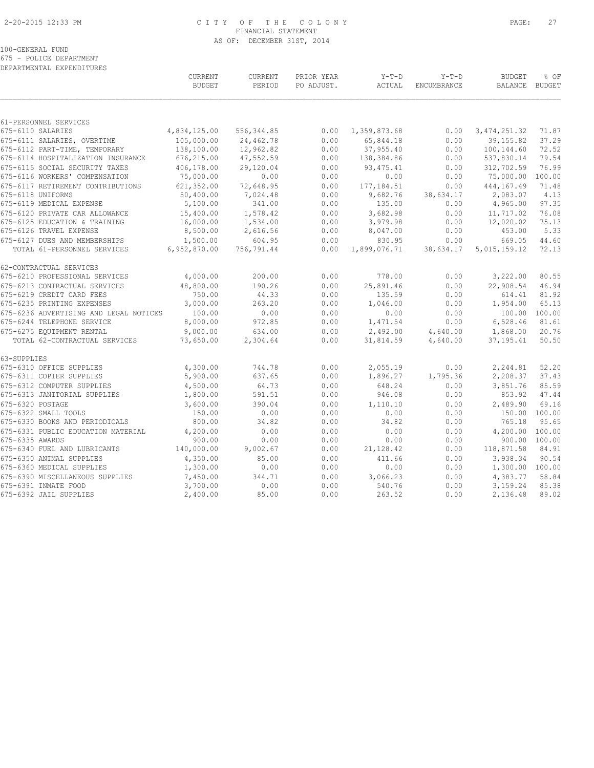### 2-20-2015 12:33 PM C I T Y O F T H E C O L O N Y PAGE: 27 FINANCIAL STATEMENT AS OF: DECEMBER 31ST, 2014

#### 100-GENERAL FUND

675 - POLICE DEPARTMENT DEPARTMENTAL EXPENDITURES

|                                        | CURRENT<br><b>BUDGET</b> | <b>CURRENT</b><br>PERIOD | PRIOR YEAR<br>PO ADJUST. | $Y-T-D$<br>ACTUAL | $Y-T-D$<br>ENCUMBRANCE | <b>BUDGET</b><br>BALANCE | % OF<br><b>BUDGET</b> |
|----------------------------------------|--------------------------|--------------------------|--------------------------|-------------------|------------------------|--------------------------|-----------------------|
| 61-PERSONNEL SERVICES                  |                          |                          |                          |                   |                        |                          |                       |
| 675-6110 SALARIES                      | 4,834,125.00             | 556, 344.85              | 0.00                     | 1,359,873.68      | 0.00                   | 3, 474, 251.32           | 71.87                 |
| 675-6111 SALARIES, OVERTIME            | 105,000.00               | 24,462.78                | 0.00                     | 65,844.18         | 0.00                   | 39, 155.82               | 37.29                 |
| 675-6112 PART-TIME, TEMPORARY          | 138,100.00               | 12,962.82                | 0.00                     | 37,955.40         | 0.00                   | 100,144.60               | 72.52                 |
| 675-6114 HOSPITALIZATION INSURANCE     | 676,215.00               | 47,552.59                | 0.00                     | 138,384.86        | 0.00                   | 537,830.14               | 79.54                 |
| 675-6115 SOCIAL SECURITY TAXES         | 406,178.00               | 29,120.04                | 0.00                     | 93, 475.41        | 0.00                   | 312,702.59               | 76.99                 |
| 675-6116 WORKERS' COMPENSATION         | 75,000.00                | 0.00                     | 0.00                     | 0.00              | 0.00                   | 75,000.00                | 100.00                |
| 675-6117 RETIREMENT CONTRIBUTIONS      | 621,352.00               | 72,648.95                | 0.00                     | 177, 184.51       | 0.00                   | 444, 167.49              | 71.48                 |
| 675-6118 UNIFORMS                      | 50,400.00                | 7,024.48                 | 0.00                     | 9,682.76          | 38,634.17              | 2,083.07                 | 4.13                  |
| 675-6119 MEDICAL EXPENSE               | 5,100.00                 | 341.00                   | 0.00                     | 135.00            | 0.00                   | 4,965.00                 | 97.35                 |
| 675-6120 PRIVATE CAR ALLOWANCE         | 15,400.00                | 1,578.42                 | 0.00                     | 3,682.98          | 0.00                   | 11,717.02                | 76.08                 |
| 675-6125 EDUCATION & TRAINING          | 16,000.00                | 1,534.00                 | 0.00                     | 3,979.98          | 0.00                   | 12,020.02                | 75.13                 |
| 675-6126 TRAVEL EXPENSE                | 8,500.00                 | 2,616.56                 | 0.00                     | 8,047.00          | 0.00                   | 453.00                   | 5.33                  |
| 675-6127 DUES AND MEMBERSHIPS          | 1,500.00                 | 604.95                   | 0.00                     | 830.95            | 0.00                   | 669.05                   | 44.60                 |
| TOTAL 61-PERSONNEL SERVICES            | 6,952,870.00             | 756,791.44               | 0.00                     | 1,899,076.71      | 38,634.17              | 5,015,159.12             | 72.13                 |
| 62-CONTRACTUAL SERVICES                |                          |                          |                          |                   |                        |                          |                       |
| 675-6210 PROFESSIONAL SERVICES         | 4,000.00                 | 200.00                   | 0.00                     | 778.00            | 0.00                   | 3,222.00                 | 80.55                 |
| 675-6213 CONTRACTUAL SERVICES          | 48,800.00                | 190.26                   | 0.00                     | 25,891.46         | 0.00                   | 22,908.54                | 46.94                 |
| 675-6219 CREDIT CARD FEES              | 750.00                   | 44.33                    | 0.00                     | 135.59            | 0.00                   | 614.41                   | 81.92                 |
| 675-6235 PRINTING EXPENSES             | 3,000.00                 | 263.20                   | 0.00                     | 1,046.00          | 0.00                   | 1,954.00                 | 65.13                 |
| 675-6236 ADVERTISING AND LEGAL NOTICES | 100.00                   | 0.00                     | 0.00                     | 0.00              | 0.00                   |                          | 100.00 100.00         |
| 675-6244 TELEPHONE SERVICE             | 8,000.00                 | 972.85                   | 0.00                     | 1,471.54          | 0.00                   | 6,528.46                 | 81.61                 |
| 675-6275 EQUIPMENT RENTAL              | 9,000.00                 | 634.00                   | 0.00                     | 2,492.00          | 4,640.00               | 1,868.00                 | 20.76                 |
| TOTAL 62-CONTRACTUAL SERVICES          | 73,650.00                | 2,304.64                 | 0.00                     | 31,814.59         | 4,640.00               | 37, 195.41               | 50.50                 |
| 63-SUPPLIES                            |                          |                          |                          |                   |                        |                          |                       |
| 675-6310 OFFICE SUPPLIES               | 4,300.00                 | 744.78                   | 0.00                     | 2,055.19          | 0.00                   | 2,244.81                 | 52.20                 |
| 675-6311 COPIER SUPPLIES               | 5,900.00                 | 637.65                   | 0.00                     | 1,896.27          | 1,795.36               | 2,208.37                 | 37.43                 |
| 675-6312 COMPUTER SUPPLIES             | 4,500.00                 | 64.73                    | 0.00                     | 648.24            | 0.00                   | 3,851.76                 | 85.59                 |
| 675-6313 JANITORIAL SUPPLIES           | 1,800.00                 | 591.51                   | 0.00                     | 946.08            | 0.00                   | 853.92                   | 47.44                 |
| 675-6320 POSTAGE                       | 3,600.00                 | 390.04                   | 0.00                     | 1,110.10          | 0.00                   | 2,489.90                 | 69.16                 |
| 675-6322 SMALL TOOLS                   | 150.00                   | 0.00                     | 0.00                     | 0.00              | 0.00                   | 150.00                   | 100.00                |
| 675-6330 BOOKS AND PERIODICALS         | 800.00                   | 34.82                    | 0.00                     | 34.82             | 0.00                   | 765.18                   | 95.65                 |
| 675-6331 PUBLIC EDUCATION MATERIAL     | 4,200.00                 | 0.00                     | 0.00                     | 0.00              | 0.00                   | 4,200.00                 | 100.00                |
| 675-6335 AWARDS                        | 900.00                   | 0.00                     | 0.00                     | 0.00              | 0.00                   |                          | 900.00 100.00         |
| 675-6340 FUEL AND LUBRICANTS           | 140,000.00               | 9,002.67                 | 0.00                     | 21,128.42         | 0.00                   | 118,871.58               | 84.91                 |
| 675-6350 ANIMAL SUPPLIES               | 4,350.00                 | 85.00                    | 0.00                     | 411.66            | 0.00                   | 3,938.34                 | 90.54                 |
| 675-6360 MEDICAL SUPPLIES              | 1,300.00                 | 0.00                     | 0.00                     | 0.00              | 0.00                   | 1,300.00 100.00          |                       |
| 675-6390 MISCELLANEOUS SUPPLIES        | 7,450.00                 | 344.71                   | 0.00                     | 3,066.23          | 0.00                   | 4,383.77                 | 58.84                 |
| 675-6391 INMATE FOOD                   | 3,700.00                 | 0.00                     | 0.00                     | 540.76            | 0.00                   | 3,159.24                 | 85.38                 |
| 675-6392 JAIL SUPPLIES                 | 2,400.00                 | 85.00                    | 0.00                     | 263.52            | 0.00                   | 2,136.48                 | 89.02                 |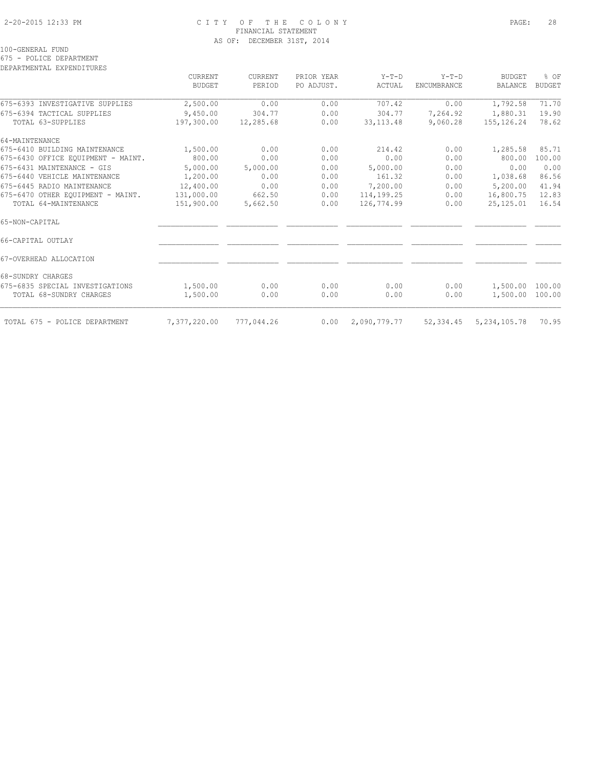### 2-20-2015 12:33 PM C I T Y O F T H E C O L O N Y PAGE: 28 FINANCIAL STATEMENT AS OF: DECEMBER 31ST, 2014

100-GENERAL FUND

675 - POLICE DEPARTMENT

| DEPARTMENTAL EXPENDITURES |  |
|---------------------------|--|
|                           |  |

| CURRENT<br><b>BUDGET</b> | CURRENT<br>PERIOD | PRIOR YEAR<br>PO ADJUST. | $Y-T-D$<br>ACTUAL | $Y-T-D$<br>ENCUMBRANCE | <b>BUDGET</b><br><b>BALANCE</b> | % OF<br><b>BUDGET</b> |
|--------------------------|-------------------|--------------------------|-------------------|------------------------|---------------------------------|-----------------------|
|                          |                   |                          |                   |                        |                                 |                       |
| 9,450.00                 | 304.77            | 0.00                     | 304.77            | 7,264.92               | 1,880.31                        | 19.90                 |
| 197,300.00               | 12,285.68         | 0.00                     | 33, 113. 48       | 9,060.28               | 155, 126. 24                    | 78.62                 |
|                          |                   |                          |                   |                        |                                 |                       |
| 1,500.00                 | 0.00              | 0.00                     | 214.42            | 0.00                   | 1,285.58                        | 85.71                 |
| 800.00                   | 0.00              | 0.00                     | 0.00              | 0.00                   | 800.00                          | 100.00                |
| 5,000.00                 | 5,000.00          | 0.00                     | 5,000.00          | 0.00                   | 0.00                            | 0.00                  |
| 1,200.00                 | 0.00              | 0.00                     | 161.32            | 0.00                   | 1,038.68                        | 86.56                 |
| 12,400.00                | 0.00              | 0.00                     | 7,200.00          | 0.00                   | 5,200.00                        | 41.94                 |
| 131,000.00               | 662.50            | 0.00                     | 114,199.25        | 0.00                   | 16,800.75                       | 12.83                 |
| 151,900.00               | 5,662.50          | 0.00                     | 126,774.99        | 0.00                   | 25,125.01                       | 16.54                 |
|                          |                   |                          |                   |                        |                                 |                       |
|                          |                   |                          |                   |                        |                                 |                       |
|                          |                   |                          |                   |                        |                                 |                       |
|                          |                   |                          |                   |                        |                                 |                       |
| 1,500.00                 | 0.00              | 0.00                     | 0.00              | 0.00                   | 1,500.00                        | 100.00                |
| 1,500.00                 | 0.00              | 0.00                     | 0.00              | 0.00                   |                                 | 100.00                |
| 7,377,220.00             | 777,044.26        | 0.00                     | 2,090,779.77      | 52,334.45              | 5, 234, 105.78                  | 70.95                 |
|                          |                   |                          |                   |                        |                                 | 1,500.00              |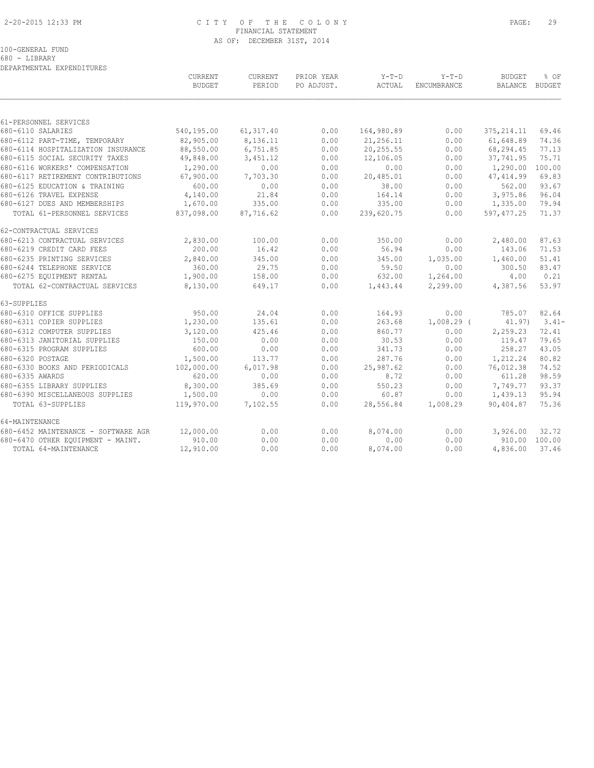### 2-20-2015 12:33 PM C I T Y O F T H E C O L O N Y PAGE: 29 FINANCIAL STATEMENT AS OF: DECEMBER 31ST, 2014

680 - LIBRARY DEPARTMENTAL EXPENDITURES

|                                     | CURRENT<br><b>BUDGET</b> | CURRENT<br>PERIOD | PRIOR YEAR<br>PO ADJUST. | $Y-T-D$<br>ACTUAL | $Y-T-D$<br><b>ENCUMBRANCE</b> | <b>BUDGET</b><br>BALANCE | % OF<br><b>BUDGET</b> |
|-------------------------------------|--------------------------|-------------------|--------------------------|-------------------|-------------------------------|--------------------------|-----------------------|
|                                     |                          |                   |                          |                   |                               |                          |                       |
| 61-PERSONNEL SERVICES               |                          |                   |                          |                   |                               |                          |                       |
| 680-6110 SALARIES                   | 540,195.00               | 61, 317.40        | 0.00                     | 164,980.89        | 0.00                          | 375, 214.11              | 69.46                 |
| 680-6112 PART-TIME, TEMPORARY       | 82,905.00                | 8,136.11          | 0.00                     | 21,256.11         | 0.00                          | 61,648.89                | 74.36                 |
| 680-6114 HOSPITALIZATION INSURANCE  | 88,550.00                | 6,751.85          | 0.00                     | 20,255.55         | 0.00                          | 68,294.45                | 77.13                 |
| 680-6115 SOCIAL SECURITY TAXES      | 49,848.00                | 3,451.12          | 0.00                     | 12,106.05         | 0.00                          | 37,741.95                | 75.71                 |
| 680-6116 WORKERS' COMPENSATION      | 1,290.00                 | 0.00              | 0.00                     | 0.00              | 0.00                          | 1,290.00                 | 100.00                |
| 680-6117 RETIREMENT CONTRIBUTIONS   | 67,900.00                | 7,703.30          | 0.00                     | 20,485.01         | 0.00                          | 47, 414.99               | 69.83                 |
| 680-6125 EDUCATION & TRAINING       | 600.00                   | 0.00              | 0.00                     | 38.00             | 0.00                          | 562.00                   | 93.67                 |
| 680-6126 TRAVEL EXPENSE             | 4,140.00                 | 21.84             | 0.00                     | 164.14            | 0.00                          | 3,975.86                 | 96.04                 |
| 680-6127 DUES AND MEMBERSHIPS       | 1,670.00                 | 335.00            | 0.00                     | 335.00            | 0.00                          | 1,335.00                 | 79.94                 |
| TOTAL 61-PERSONNEL SERVICES         | 837,098.00               | 87,716.62         | 0.00                     | 239,620.75        | 0.00                          | 597, 477.25              | 71.37                 |
| 62-CONTRACTUAL SERVICES             |                          |                   |                          |                   |                               |                          |                       |
| 680-6213 CONTRACTUAL SERVICES       | 2,830.00                 | 100.00            | 0.00                     | 350.00            | 0.00                          | 2,480.00                 | 87.63                 |
| 680-6219 CREDIT CARD FEES           | 200.00                   | 16.42             | 0.00                     | 56.94             | 0.00                          | 143.06                   | 71.53                 |
| 680-6235 PRINTING SERVICES          | 2,840.00                 | 345.00            | 0.00                     | 345.00            | 1,035.00                      | 1,460.00                 | 51.41                 |
| 680-6244 TELEPHONE SERVICE          | 360.00                   | 29.75             | 0.00                     | 59.50             | 0.00                          | 300.50                   | 83.47                 |
| 680-6275 EQUIPMENT RENTAL           | 1,900.00                 | 158.00            | 0.00                     | 632.00            | 1,264.00                      | 4.00                     | 0.21                  |
| TOTAL 62-CONTRACTUAL SERVICES       | 8,130.00                 | 649.17            | 0.00                     | 1,443.44          | 2,299.00                      | 4,387.56                 | 53.97                 |
| 63-SUPPLIES                         |                          |                   |                          |                   |                               |                          |                       |
| 680-6310 OFFICE SUPPLIES            | 950.00                   | 24.04             | 0.00                     | 164.93            | 0.00                          | 785.07                   | 82.64                 |
| 680-6311 COPIER SUPPLIES            | 1,230.00                 | 135.61            | 0.00                     | 263.68            | $1,008.29$ (                  | 41.97)                   | $3.41-$               |
| 680-6312 COMPUTER SUPPLIES          | 3,120.00                 | 425.46            | 0.00                     | 860.77            | 0.00                          | 2,259.23                 | 72.41                 |
| 680-6313 JANITORIAL SUPPLIES        | 150.00                   | 0.00              | 0.00                     | 30.53             | 0.00                          | 119.47                   | 79.65                 |
| 680-6315 PROGRAM SUPPLIES           | 600.00                   | 0.00              | 0.00                     | 341.73            | 0.00                          | 258.27                   | 43.05                 |
| 680-6320 POSTAGE                    | 1,500.00                 | 113.77            | 0.00                     | 287.76            | 0.00                          | 1,212.24                 | 80.82                 |
| 680-6330 BOOKS AND PERIODICALS      | 102,000.00               | 6,017.98          | 0.00                     | 25,987.62         | 0.00                          | 76,012.38                | 74.52                 |
| 680-6335 AWARDS                     | 620.00                   | 0.00              | 0.00                     | 8.72              | 0.00                          | 611.28                   | 98.59                 |
| 680-6355 LIBRARY SUPPLIES           | 8,300.00                 | 385.69            | 0.00                     | 550.23            | 0.00                          | 7,749.77                 | 93.37                 |
| 680-6390 MISCELLANEOUS SUPPLIES     | 1,500.00                 | 0.00              | 0.00                     | 60.87             | 0.00                          | 1,439.13                 | 95.94                 |
| TOTAL 63-SUPPLIES                   | 119,970.00               | 7,102.55          | 0.00                     | 28,556.84         | 1,008.29                      | 90,404.87                | 75.36                 |
| 64-MAINTENANCE                      |                          |                   |                          |                   |                               |                          |                       |
| 680-6452 MAINTENANCE - SOFTWARE AGR | 12,000.00                | 0.00              | 0.00                     | 8,074.00          | 0.00                          | 3,926.00                 | 32.72                 |
| 680-6470 OTHER EOUIPMENT - MAINT.   | 910.00                   | 0.00              | 0.00                     | 0.00              | 0.00                          |                          | 910.00 100.00         |
| TOTAL 64-MAINTENANCE                | 12,910.00                | 0.00              | 0.00                     | 8,074.00          | 0.00                          | 4,836.00                 | 37.46                 |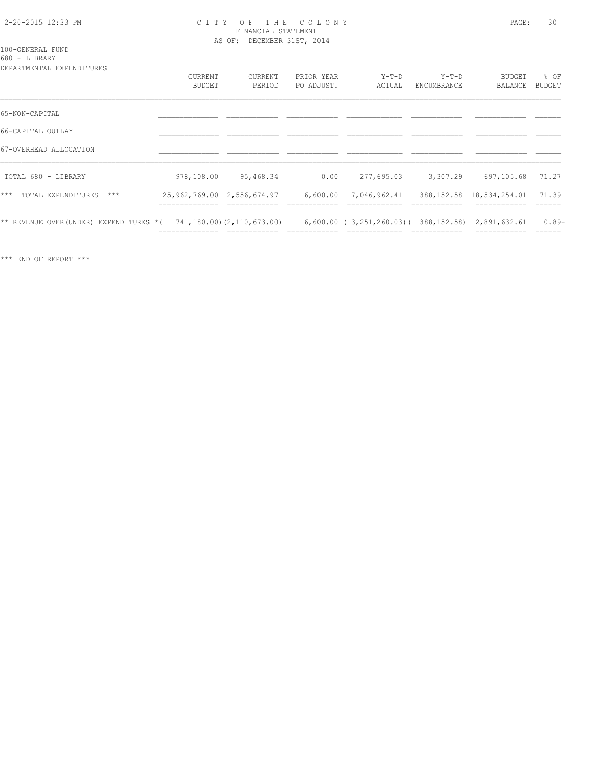### 2-20-2015 12:33 PM C I T Y O F T H E C O L O N Y PAGE: 30 FINANCIAL STATEMENT AS OF: DECEMBER 31ST, 2014

#### 100-GENERAL FUND 680 - LIBRARY

| DEPARTMENTAL EXPENDITURES              |                                                  |                            |                          |                                                     |                        |                             |                  |
|----------------------------------------|--------------------------------------------------|----------------------------|--------------------------|-----------------------------------------------------|------------------------|-----------------------------|------------------|
|                                        | <b>CURRENT</b><br>BUDGET                         | <b>CURRENT</b><br>PERIOD   | PRIOR YEAR<br>PO ADJUST. | $Y-T-D$<br>ACTUAL                                   | $Y-T-D$<br>ENCUMBRANCE | <b>BUDGET</b><br>BALANCE    | % OF<br>BUDGET   |
| 65-NON-CAPITAL                         |                                                  |                            |                          |                                                     |                        |                             |                  |
| 66-CAPITAL OUTLAY                      |                                                  |                            |                          |                                                     |                        |                             |                  |
| 67-OVERHEAD ALLOCATION                 |                                                  |                            |                          |                                                     |                        |                             |                  |
| TOTAL 680 - LIBRARY                    | 978,108.00                                       | 95,468.34                  | 0.00                     | 277,695.03                                          | 3,307.29               | 697,105.68                  | 71.27            |
| $***$<br>TOTAL EXPENDITURES<br>$***$   | 25, 962, 769.00 2, 556, 674.97<br>______________ |                            | 6,600.00                 | 7,046,962.41                                        |                        | 388, 152.58 18, 534, 254.01 | 71.39<br>------- |
| ** REVENUE OVER(UNDER) EXPENDITURES *( |                                                  | 741,180.00) (2,110,673.00) |                          | $6,600.00$ (3,251,260.03) (388,152.58) 2,891,632.61 |                        |                             | $0.89-$          |

\*\*\* END OF REPORT \*\*\*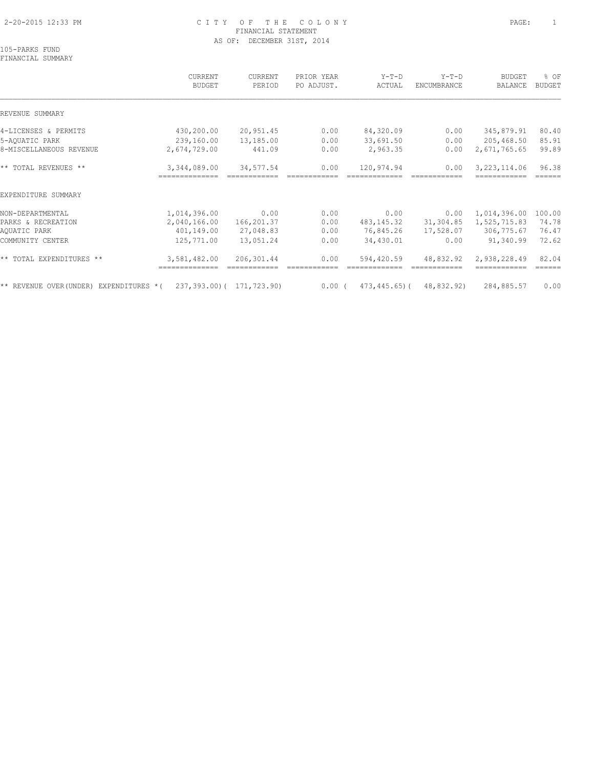### 2-20-2015 12:33 PM C I T Y O F T H E C O L O N Y PAGE: 1 FINANCIAL STATEMENT AS OF: DECEMBER 31ST, 2014

105-PARKS FUND FINANCIAL SUMMARY

# CURRENT CURRENT PRIOR YEAR Y-T-D Y-T-D BUDGET % OF BUDGET PERIOD PO ADJUST. ACTUAL ENCUMBRANCE BALANCE BUDGET  $\mathcal{L} = \{ \mathcal{L} = \{ \mathcal{L} = \{ \mathcal{L} = \{ \mathcal{L} = \{ \mathcal{L} = \{ \mathcal{L} = \{ \mathcal{L} = \{ \mathcal{L} = \{ \mathcal{L} = \{ \mathcal{L} = \{ \mathcal{L} = \{ \mathcal{L} = \{ \mathcal{L} = \{ \mathcal{L} = \{ \mathcal{L} = \{ \mathcal{L} = \{ \mathcal{L} = \{ \mathcal{L} = \{ \mathcal{L} = \{ \mathcal{L} = \{ \mathcal{L} = \{ \mathcal{L} = \{ \mathcal{L} = \{ \mathcal{$ REVENUE SUMMARY 4-LICENSES & PERMITS 430,200.00 20,951.45 0.00 84,320.09 0.00 345,879.91 80.40 5-AQUATIC PARK 239,160.00 13,185.00 0.00 33,691.50 0.00 205,468.50 85.91 8-MISCELLANEOUS REVENUE 2,674,729.00 441.09 0.00 2,963.35 0.00 2,671,765.65 99.89 \*\* TOTAL REVENUES \*\* 3,344,089.00 34,577.54 0.00 120,974.94 0.00 3,223,114.06 96.38 ============== ============ ============ ============= ============ ============ ====== EXPENDITURE SUMMARY NON-DEPARTMENTAL 1,014,396.00 0.00 0.00 0.00 0.00 1,014,396.00 100.00 PARKS & RECREATION 2,040,166.00 166,201.37 0.00 483,145.32 31,304.85 1,525,715.83 74.78 AQUATIC PARK 401,149.00 27,048.83 0.00 76,845.26 17,528.07 306,775.67 76.47 COMMUNITY CENTER 125,771.00 13,051.24 0.00 34,430.01 0.00 91,340.99 72.62 \*\* TOTAL EXPENDITURES \*\* 3,581,482.00 206,301.44 0.00 594,420.59 48,832.92 2,938,228.49 82.04 ============== ============ ============ ============= ============ ============ ====== \*\* REVENUE OVER(UNDER) EXPENDITURES \*( 237,393.00)( 171,723.90) 0.00 ( 473,445.65)( 48,832.92) 284,885.57 0.00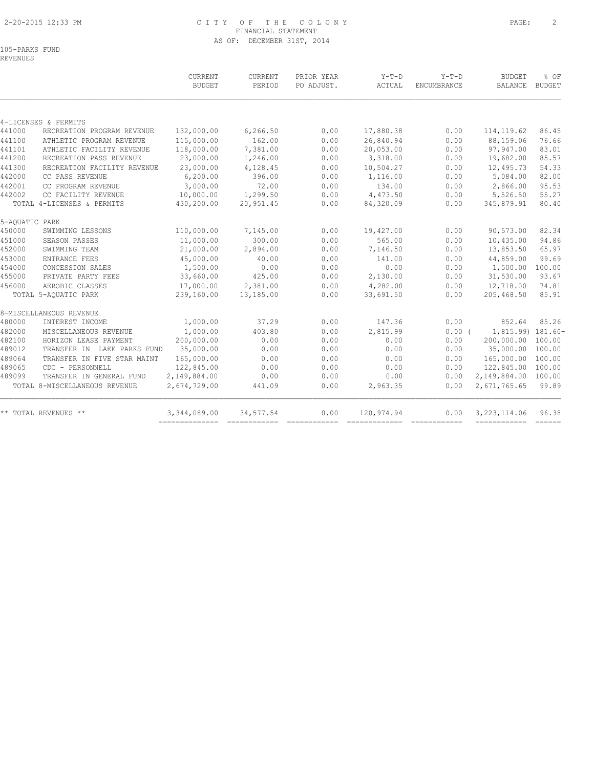### 2-20-2015 12:33 PM C I T Y O F T H E C O L O N Y PAGE: 2 FINANCIAL STATEMENT AS OF: DECEMBER 31ST, 2014

|                |                               | <b>CURRENT</b><br><b>BUDGET</b> | <b>CURRENT</b><br>PERIOD | PRIOR YEAR<br>PO ADJUST. | $Y-T-D$<br>ACTUAL | $Y-T-D$<br><b>ENCUMBRANCE</b> | <b>BUDGET</b><br>BALANCE | % OF<br><b>BUDGET</b> |
|----------------|-------------------------------|---------------------------------|--------------------------|--------------------------|-------------------|-------------------------------|--------------------------|-----------------------|
|                | 4-LICENSES & PERMITS          |                                 |                          |                          |                   |                               |                          |                       |
| 441000         | RECREATION PROGRAM REVENUE    | 132,000.00                      | 6,266.50                 | 0.00                     | 17,880.38         | 0.00                          | 114, 119.62              | 86.45                 |
| 441100         | ATHLETIC PROGRAM REVENUE      | 115,000.00                      | 162.00                   | 0.00                     | 26,840.94         | 0.00                          | 88,159.06                | 76.66                 |
| 441101         | ATHLETIC FACILITY REVENUE     | 118,000.00                      | 7,381.00                 | 0.00                     | 20,053.00         | 0.00                          | 97,947.00                | 83.01                 |
| 441200         | RECREATION PASS REVENUE       | 23,000.00                       | 1,246.00                 | 0.00                     | 3,318.00          | 0.00                          | 19,682.00                | 85.57                 |
| 441300         | RECREATION FACILITY REVENUE   | 23,000.00                       | 4,128.45                 | 0.00                     | 10,504.27         | 0.00                          | 12,495.73                | 54.33                 |
| 442000         | CC PASS REVENUE               | 6, 200.00                       | 396.00                   | 0.00                     | 1,116.00          | 0.00                          | 5,084.00                 | 82.00                 |
| 442001         | CC PROGRAM REVENUE            | 3,000.00                        | 72.00                    | 0.00                     | 134.00            | 0.00                          | 2,866.00                 | 95.53                 |
| 442002         | CC FACILITY REVENUE           | 10,000.00                       | 1,299.50                 | 0.00                     | 4,473.50          | 0.00                          | 5,526.50                 | 55.27                 |
|                | TOTAL 4-LICENSES & PERMITS    | 430,200.00                      | 20,951.45                | 0.00                     | 84,320.09         | 0.00                          | 345,879.91               | 80.40                 |
|                |                               |                                 |                          |                          |                   |                               |                          |                       |
| 5-AOUATIC PARK |                               |                                 |                          |                          |                   |                               |                          |                       |
| 450000         | SWIMMING LESSONS              | 110,000.00                      | 7,145.00                 | 0.00                     | 19,427.00         | 0.00                          | 90,573.00                | 82.34                 |
| 451000         | SEASON PASSES                 | 11,000.00                       | 300.00                   | 0.00                     | 565.00            | 0.00                          | 10,435.00                | 94.86                 |
| 452000         | SWIMMING TEAM                 | 21,000.00                       | 2,894.00                 | 0.00                     | 7,146.50          | 0.00                          | 13,853.50                | 65.97                 |
| 453000         | ENTRANCE FEES                 | 45,000.00                       | 40.00                    | 0.00                     | 141.00            | 0.00                          | 44,859.00                | 99.69                 |
| 454000         | CONCESSION SALES              | 1,500.00                        | 0.00                     | 0.00                     | 0.00              | 0.00                          | 1,500.00                 | 100.00                |
| 455000         | PRIVATE PARTY FEES            | 33,660.00                       | 425.00                   | 0.00                     | 2,130.00          | 0.00                          | 31,530.00                | 93.67                 |
| 456000         | AEROBIC CLASSES               | 17,000.00                       | 2,381.00                 | 0.00                     | 4,282.00          | 0.00                          | 12,718.00                | 74.81                 |
|                | TOTAL 5-AOUATIC PARK          | 239,160.00                      | 13,185.00                | 0.00                     | 33,691.50         | 0.00                          | 205,468.50               | 85.91                 |
|                | 8-MISCELLANEOUS REVENUE       |                                 |                          |                          |                   |                               |                          |                       |
| 480000         | INTEREST INCOME               | 1,000.00                        | 37.29                    | 0.00                     | 147.36            | 0.00                          | 852.64                   | 85.26                 |
| 482000         | MISCELLANEOUS REVENUE         | 1,000.00                        | 403.80                   | 0.00                     | 2,815.99          | 0.00(                         | 1,815.99) 181.60-        |                       |
| 482100         | HORIZON LEASE PAYMENT         | 200,000.00                      | 0.00                     | 0.00                     | 0.00              | 0.00                          | 200,000.00               | 100.00                |
| 489012         | TRANSFER IN LAKE PARKS FUND   | 35,000.00                       | 0.00                     | 0.00                     | 0.00              | 0.00                          | 35,000.00                | 100.00                |
| 489064         | TRANSFER IN FIVE STAR MAINT   | 165,000.00                      | 0.00                     | 0.00                     | 0.00              | 0.00                          | 165,000.00 100.00        |                       |
| 489065         | CDC - PERSONNELL              | 122,845.00                      | 0.00                     | 0.00                     | 0.00              | 0.00                          | 122,845.00               | 100.00                |
| 489099         | TRANSFER IN GENERAL FUND      | 2,149,884.00                    | 0.00                     | 0.00                     | 0.00              | 0.00                          | 2,149,884.00             | 100.00                |
|                | TOTAL 8-MISCELLANEOUS REVENUE | 2,674,729.00                    | 441.09                   | 0.00                     | 2,963.35          | 0.00                          | 2,671,765.65             | 99.89                 |
|                | ** TOTAL REVENUES **          | 3,344,089.00                    | 34, 577.54               | 0.00                     | 120,974.94        | 0.00                          | 3, 223, 114.06           | 96.38                 |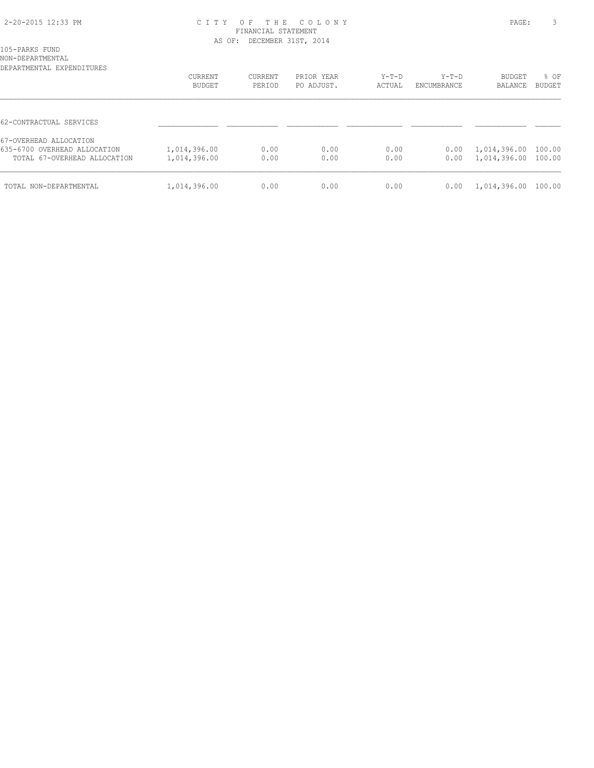### 2-20-2015 12:33 PM C I T Y O F T H E C O L O N Y PAGE: 3 FINANCIAL STATEMENT AS OF: DECEMBER 31ST, 2014

| 105-PARKS FUND   |  |
|------------------|--|
| NON-DEPARTMENTAL |  |

| DEPARTMENTAL EXPENDITURES                                                              | CURRENT<br>BUDGET            | CURRENT<br>PERIOD | PRIOR YEAR<br>PO ADJUST. | $Y-T-D$<br>ACTUAL | $Y-T-D$<br>ENCUMBRANCE | BUDGET<br>BALANCE            | % OF<br>BUDGET   |
|----------------------------------------------------------------------------------------|------------------------------|-------------------|--------------------------|-------------------|------------------------|------------------------------|------------------|
| 62-CONTRACTUAL SERVICES                                                                |                              |                   |                          |                   |                        |                              |                  |
| 67-OVERHEAD ALLOCATION<br>635-6700 OVERHEAD ALLOCATION<br>TOTAL 67-OVERHEAD ALLOCATION | 1,014,396.00<br>1,014,396.00 | 0.00<br>0.00      | 0.00<br>0.00             | 0.00<br>0.00      | 0.00<br>0.00           | 1,014,396.00<br>1,014,396.00 | 100.00<br>100.00 |
| TOTAL NON-DEPARTMENTAL                                                                 | 1,014,396.00                 | 0.00              | 0.00                     | 0.00              | 0.00                   | 1,014,396.00                 | 100.00           |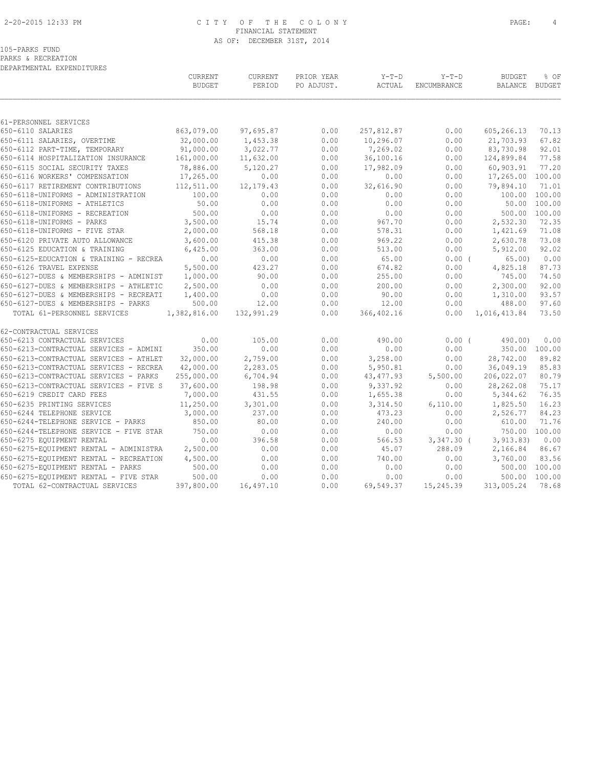### 2-20-2015 12:33 PM C I T Y O F T H E C O L O N Y PAGE: 4 FINANCIAL STATEMENT AS OF: DECEMBER 31ST, 2014

PARKS & RECREATION DEPARTMENTAL EXPENDITURES

|                                                                   | CURRENT<br><b>BUDGET</b> | CURRENT<br>PERIOD | PRIOR YEAR<br>PO ADJUST. | $Y-T-D$<br>ACTUAL | $Y-T-D$<br>ENCUMBRANCE | <b>BUDGET</b><br>BALANCE | % OF<br>BUDGET                |
|-------------------------------------------------------------------|--------------------------|-------------------|--------------------------|-------------------|------------------------|--------------------------|-------------------------------|
|                                                                   |                          |                   |                          |                   |                        |                          |                               |
| 61-PERSONNEL SERVICES                                             |                          |                   |                          |                   |                        |                          |                               |
| 650-6110 SALARIES                                                 | 863,079.00               | 97,695.87         | 0.00                     | 257,812.87        | 0.00                   | 605,266.13               | 70.13                         |
| 650-6111 SALARIES, OVERTIME                                       | 32,000.00                | 1,453.38          | 0.00                     | 10,296.07         | 0.00                   | 21,703.93                | 67.82                         |
| 650-6112 PART-TIME, TEMPORARY                                     | 91,000.00                | 3,022.77          | 0.00                     | 7,269.02          | 0.00                   | 83,730.98                | 92.01                         |
| 650-6114 HOSPITALIZATION INSURANCE                                | 161,000.00               | 11,632.00         | 0.00                     | 36,100.16         | 0.00                   | 124,899.84               | 77.58                         |
| 650-6115 SOCIAL SECURITY TAXES                                    | 78,886.00                | 5,120.27          | 0.00                     | 17,982.09         | 0.00                   | 60,903.91                | 77.20<br>100.00               |
| 650-6116 WORKERS' COMPENSATION                                    | 17,265.00                | 0.00              | 0.00                     | 0.00              | 0.00                   | 17,265.00                |                               |
| 650-6117 RETIREMENT CONTRIBUTIONS                                 | 112,511.00               | 12, 179. 43       | 0.00                     | 32,616.90         | 0.00                   | 79,894.10                | 71.01                         |
| 650-6118-UNIFORMS - ADMINISTRATION                                | 100.00<br>50.00          | 0.00<br>0.00      | 0.00<br>0.00             | 0.00              | 0.00                   |                          | 100.00 100.00<br>50.00 100.00 |
| 650-6118-UNIFORMS - ATHLETICS                                     |                          |                   |                          | 0.00              | 0.00                   |                          |                               |
| 650-6118-UNIFORMS - RECREATION                                    | 500.00<br>3,500.00       | 0.00              | 0.00                     | 0.00              | 0.00                   | 500.00 100.00            |                               |
| 650-6118-UNIFORMS - PARKS                                         | 2,000.00                 | 15.74             | 0.00<br>0.00             | 967.70            | 0.00                   | 2,532.30                 | 72.35                         |
| 650-6118-UNIFORMS - FIVE STAR                                     |                          | 568.18            |                          | 578.31            | 0.00                   | 1,421.69                 | 71.08                         |
| 650-6120 PRIVATE AUTO ALLOWANCE                                   | 3,600.00<br>6,425.00     | 415.38            | 0.00<br>0.00             | 969.22            | 0.00                   | 2,630.78                 | 73.08<br>92.02                |
| 650-6125 EDUCATION & TRAINING                                     |                          | 363.00            |                          | 513.00            | 0.00                   | 5,912.00                 |                               |
| 650-6125-EDUCATION & TRAINING - RECREA                            | 0.00                     | 0.00<br>423.27    | 0.00                     | 65.00             | 0.00(                  | 65.00                    | 0.00<br>87.73                 |
| 650-6126 TRAVEL EXPENSE<br>650-6127-DUES & MEMBERSHIPS - ADMINIST | 5,500.00<br>1,000.00     | 90.00             | 0.00<br>0.00             | 674.82<br>255.00  | 0.00<br>0.00           | 4,825.18<br>745.00       | 74.50                         |
|                                                                   |                          |                   |                          |                   |                        |                          |                               |
| 650-6127-DUES & MEMBERSHIPS - ATHLETIC                            | 2,500.00                 | 0.00              | 0.00                     | 200.00            | 0.00                   | 2,300.00                 | 92.00                         |
| 650-6127-DUES & MEMBERSHIPS - RECREATI                            | 1,400.00                 | 0.00              | 0.00                     | 90.00             | 0.00                   | 1,310.00                 | 93.57                         |
| 650-6127-DUES & MEMBERSHIPS - PARKS                               | 500.00                   | 12.00             | 0.00                     | 12.00             | 0.00                   | 488.00                   | 97.60                         |
| TOTAL 61-PERSONNEL SERVICES                                       | 1,382,816.00             | 132,991.29        | 0.00                     | 366, 402.16       | 0.00                   | 1,016,413.84             | 73.50                         |
| 62-CONTRACTUAL SERVICES                                           |                          |                   |                          |                   |                        |                          |                               |
| 650-6213 CONTRACTUAL SERVICES                                     | 0.00                     | 105.00            | 0.00                     | 490.00            | 0.00(                  | 490.00)                  | 0.00                          |
| 650-6213-CONTRACTUAL SERVICES - ADMINI                            | 350.00                   | 0.00              | 0.00                     | 0.00              | 0.00                   |                          | 350.00 100.00                 |
| 650-6213-CONTRACTUAL SERVICES - ATHLET                            | 32,000.00                | 2,759.00          | 0.00                     | 3,258.00          | 0.00                   | 28,742.00                | 89.82                         |
| 650-6213-CONTRACTUAL SERVICES - RECREA                            | 42,000.00                | 2,283.05          | 0.00                     | 5,950.81          | 0.00                   | 36,049.19                | 85.83                         |
| 650-6213-CONTRACTUAL SERVICES - PARKS                             | 255,000.00               | 6,704.94          | 0.00                     | 43, 477.93        | 5,500.00               | 206,022.07               | 80.79                         |
| 650-6213-CONTRACTUAL SERVICES - FIVE S                            | 37,600.00                | 198.98            | 0.00                     | 9,337.92          | 0.00                   | 28,262.08                | 75.17                         |
| 650-6219 CREDIT CARD FEES                                         | 7,000.00                 | 431.55            | 0.00                     | 1,655.38          | 0.00                   | 5,344.62                 | 76.35                         |
| 650-6235 PRINTING SERVICES                                        | 11,250.00                | 3,301.00          | 0.00                     | 3,314.50          | 6,110.00               | 1,825.50                 | 16.23                         |
| 650-6244 TELEPHONE SERVICE                                        | 3,000.00                 | 237.00            | 0.00                     | 473.23            | 0.00                   | 2,526.77                 | 84.23                         |
| 650-6244-TELEPHONE SERVICE - PARKS                                | 850.00                   | 80.00             | 0.00                     | 240.00            | 0.00                   | 610.00                   | 71.76                         |
| 650-6244-TELEPHONE SERVICE - FIVE STAR                            | 750.00                   | 0.00              | 0.00                     | 0.00              | 0.00                   | 750.00                   | 100.00                        |
| 650-6275 EQUIPMENT RENTAL                                         | 0.00                     | 396.58            | 0.00                     | 566.53            | $3,347.30$ (           | 3, 913.83)               | 0.00                          |
| 650-6275-EQUIPMENT RENTAL - ADMINISTRA                            | 2,500.00                 | 0.00              | 0.00                     | 45.07             | 288.09                 | 2,166.84                 | 86.67                         |
| 650-6275-EQUIPMENT RENTAL - RECREATION                            | 4,500.00                 | 0.00              | 0.00                     | 740.00            | 0.00                   | 3,760.00                 | 83.56                         |
| 650-6275-EQUIPMENT RENTAL - PARKS                                 | 500.00                   | 0.00              | 0.00                     | 0.00              | 0.00                   | 500.00                   | 100.00                        |
| 650-6275-EQUIPMENT RENTAL - FIVE STAR                             | 500.00                   | 0.00              | 0.00                     | 0.00              | 0.00                   | 500.00                   | 100.00                        |
| TOTAL 62-CONTRACTUAL SERVICES                                     | 397,800.00               | 16,497.10         | 0.00                     | 69,549.37         | 15,245.39              | 313,005.24               | 78.68                         |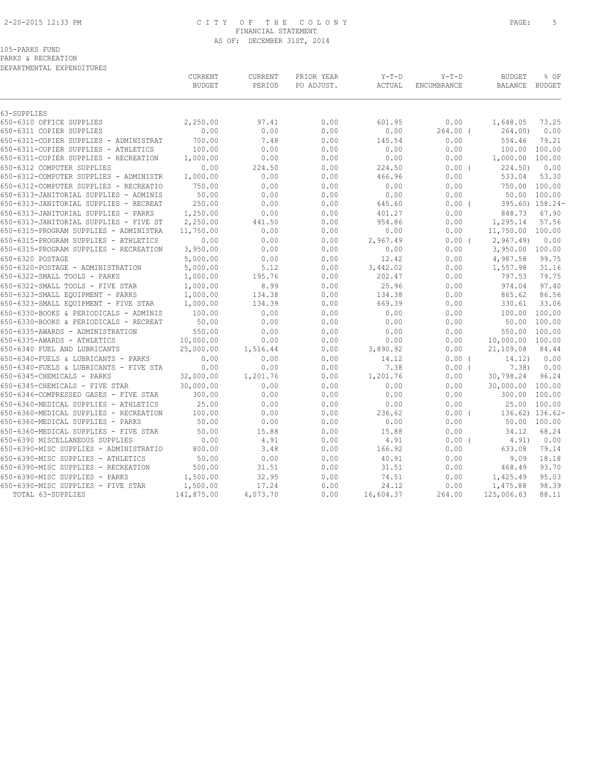### 2-20-2015 12:33 PM C I T Y O F T H E C O L O N Y PAGE: 5 FINANCIAL STATEMENT AS OF: DECEMBER 31ST, 2014

105-PARKS FUND

PARKS & RECREATION

| DEPARTMENTAL EXPENDITURES |
|---------------------------|

|                                        | CURRENT<br><b>BUDGET</b> | <b>CURRENT</b><br>PERIOD | PRIOR YEAR<br>PO ADJUST. | $Y-T-D$<br>ACTUAL | $Y-T-D$<br>ENCUMBRANCE | <b>BUDGET</b><br><b>BALANCE</b> | % OF<br>BUDGET  |
|----------------------------------------|--------------------------|--------------------------|--------------------------|-------------------|------------------------|---------------------------------|-----------------|
| 63-SUPPLIES                            |                          |                          |                          |                   |                        |                                 |                 |
| 650-6310 OFFICE SUPPLIES               | 2,250.00                 | 97.41                    | 0.00                     | 601.95            | 0.00                   | 1,648.05                        | 73.25           |
| 650-6311 COPIER SUPPLIES               | 0.00                     | 0.00                     | 0.00                     | 0.00              | $264.00$ (             | 264.00)                         | 0.00            |
| 650-6311-COPIER SUPPLIES - ADMINISTRAT | 700.00                   | 7.48                     | 0.00                     | 145.54            | 0.00                   | 554.46                          | 79.21           |
| 650-6311-COPIER SUPPLIES - ATHLETICS   | 100.00                   | 0.00                     | 0.00                     | 0.00              | 0.00                   | 100.00                          | 100.00          |
| 650-6311-COPIER SUPPLIES - RECREATION  | 1,000.00                 | 0.00                     | 0.00                     | 0.00              | 0.00                   | 1,000.00                        | 100.00          |
| 650-6312 COMPUTER SUPPLIES             | 0.00                     | 224.50                   | 0.00                     | 224.50            | 0.00(                  | 224.50)                         | 0.00            |
| 650-6312-COMPUTER SUPPLIES - ADMINISTR | 1,000.00                 | 0.00                     | 0.00                     | 466.96            | 0.00                   | 533.04                          | 53.30           |
| 650-6312-COMPUTER SUPPLIES - RECREATIO | 750.00                   | 0.00                     | 0.00                     | 0.00              | 0.00                   | 750.00                          | 100.00          |
| 650-6313-JANITORIAL SUPPLIES - ADMINIS | 50.00                    | 0.00                     | 0.00                     | 0.00              | 0.00                   | 50.00                           | 100.00          |
| 650-6313-JANITORIAL SUPPLIES - RECREAT | 250.00                   | 0.00                     | 0.00                     | 645.60            | $0.00$ (               |                                 | 395.60) 158.24- |
| 650-6313-JANITORIAL SUPPLIES - PARKS   | 1,250.00                 | 0.00                     | 0.00                     | 401.27            | 0.00                   | 848.73                          | 67.90           |
| 650-6313-JANITORIAL SUPPLIES - FIVE ST | 2,250.00                 | 441.50                   | 0.00                     | 954.86            | 0.00                   | 1,295.14                        | 57.56           |
| 650-6315-PROGRAM SUPPLIES - ADMINISTRA | 11,750.00                | 0.00                     | 0.00                     | 0.00              | 0.00                   | 11,750.00                       | 100.00          |
| 650-6315-PROGRAM SUPPLIES - ATHLETICS  | 0.00                     | 0.00                     | 0.00                     | 2,967.49          | 0.00(                  | 2,967.49                        | 0.00            |
| 650-6315-PROGRAM SUPPLIES - RECREATION | 3,950.00                 | 0.00                     | 0.00                     | 0.00              | 0.00                   | 3,950.00 100.00                 |                 |
| 650-6320 POSTAGE                       | 5,000.00                 | 0.00                     | 0.00                     | 12.42             | 0.00                   | 4,987.58                        | 99.75           |
| 650-6320-POSTAGE - ADMINISTRATION      | 5,000.00                 | 5.12                     | 0.00                     | 3,442.02          | 0.00                   | 1,557.98                        | 31.16           |
| 650-6322-SMALL TOOLS - PARKS           | 1,000.00                 | 195.76                   | 0.00                     | 202.47            | 0.00                   | 797.53                          | 79.75           |
| 650-6322-SMALL TOOLS - FIVE STAR       | 1,000.00                 | 8.99                     | 0.00                     | 25.96             | 0.00                   | 974.04                          | 97.40           |
| 650-6323-SMALL EQUIPMENT - PARKS       | 1,000.00                 | 134.38                   | 0.00                     | 134.38            | 0.00                   | 865.62                          | 86.56           |
| 650-6323-SMALL EQUIPMENT - FIVE STAR   | 1,000.00                 | 134.39                   | 0.00                     | 669.39            | 0.00                   | 330.61                          | 33.06           |
| 650-6330-BOOKS & PERIODICALS - ADMINIS | 100.00                   | 0.00                     | 0.00                     | 0.00              | 0.00                   | 100.00                          | 100.00          |
| 650-6330-BOOKS & PERIODICALS - RECREAT | 50.00                    | 0.00                     | 0.00                     | 0.00              | 0.00                   | 50.00                           | 100.00          |
| 650-6335-AWARDS - ADMINISTRATION       | 550.00                   | 0.00                     | 0.00                     | 0.00              | 0.00                   | 550.00                          | 100.00          |
| 650-6335-AWARDS - ATHLETICS            | 10,000.00                | 0.00                     | 0.00                     | 0.00              | 0.00                   | 10,000.00                       | 100.00          |
| 650-6340 FUEL AND LUBRICANTS           | 25,000.00                | 1,516.44                 | 0.00                     | 3,890.92          | 0.00                   | 21,109.08                       | 84.44           |
| 650-6340-FUELS & LUBRICANTS - PARKS    | 0.00                     | 0.00                     | 0.00                     | 14.12             | 0.00(                  | 14.12)                          | 0.00            |
| 650-6340-FUELS & LUBRICANTS - FIVE STA | 0.00                     | 0.00                     | 0.00                     | 7.38              | 0.00(                  | 7.38)                           | 0.00            |
| 650-6345-CHEMICALS - PARKS             | 32,000.00                | 1,201.76                 | 0.00                     | 1,201.76          | 0.00                   | 30,798.24                       | 96.24           |
| 650-6345-CHEMICALS - FIVE STAR         | 30,000.00                | 0.00                     | 0.00                     | 0.00              | 0.00                   | 30,000.00                       | 100.00          |
| 650-6346-COMPRESSED GASES - FIVE STAR  | 300.00                   | 0.00                     | 0.00                     | 0.00              | 0.00                   | 300.00                          | 100.00          |
| 650-6360-MEDICAL SUPPLIES - ATHLETICS  | 25.00                    | 0.00                     | 0.00                     | 0.00              | 0.00                   | 25.00                           | 100.00          |
| 650-6360-MEDICAL SUPPLIES - RECREATION | 100.00                   | 0.00                     | 0.00                     | 236.62            | $0.00$ (               |                                 | 136.62) 136.62- |
| 650-6360-MEDICAL SUPPLIES - PARKS      | 50.00                    | 0.00                     | 0.00                     | 0.00              | 0.00                   |                                 | 50.00 100.00    |
| 650-6360-MEDICAL SUPPLIES - FIVE STAR  | 50.00                    | 15.88                    | 0.00                     | 15.88             | 0.00                   | 34.12                           | 68.24           |
| 650-6390 MISCELLANEOUS SUPPLIES        | 0.00                     | 4.91                     | 0.00                     | 4.91              | 0.00(                  | 4.91)                           | 0.00            |
| 650-6390-MISC SUPPLIES - ADMINISTRATIO | 800.00                   | 3.48                     | 0.00                     | 166.92            | 0.00                   | 633.08                          | 79.14           |
| 650-6390-MISC SUPPLIES - ATHLETICS     | 50.00                    | 0.00                     | 0.00                     | 40.91             | 0.00                   | 9.09                            | 18.18           |
| 650-6390-MISC SUPPLIES - RECREATION    | 500.00                   | 31.51                    | 0.00                     | 31.51             | 0.00                   | 468.49                          | 93.70           |
| 650-6390-MISC SUPPLIES - PARKS         | 1,500.00                 | 32.95                    | 0.00                     | 74.51             | 0.00                   | 1,425.49                        | 95.03           |
| 650-6390-MISC SUPPLIES - FIVE STAR     | 1,500.00                 | 17.24                    | 0.00                     | 24.12             | 0.00                   | 1,475.88                        | 98.39           |
| TOTAL 63-SUPPLIES                      | 141,875.00               | 4,073.70                 | 0.00                     | 16,604.37         | 264.00                 | 125,006.63                      | 88.11           |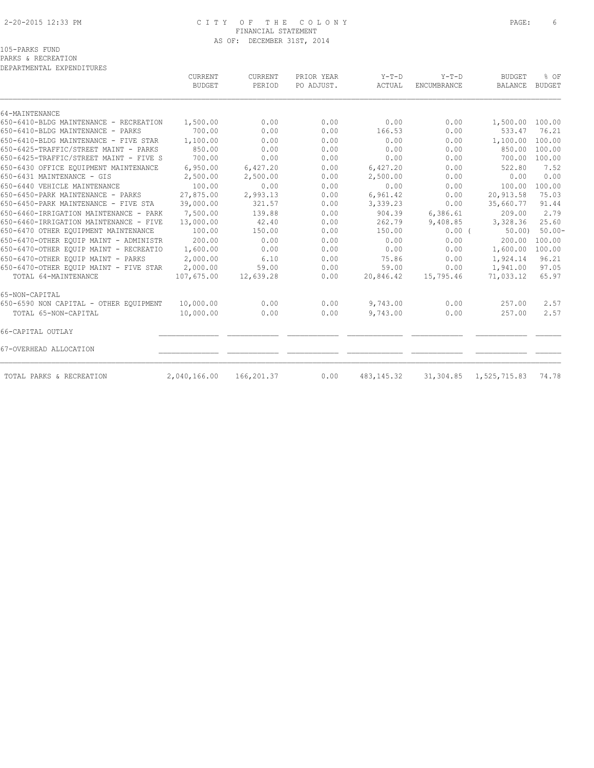### 2-20-2015 12:33 PM C I T Y O F T H E C O L O N Y PAGE: 6 FINANCIAL STATEMENT AS OF: DECEMBER 31ST, 2014

PARKS & RECREATION

| DEPARTMENTAL EXPENDITURES              |                          |                   |                          |                   |                               |                                 |                       |
|----------------------------------------|--------------------------|-------------------|--------------------------|-------------------|-------------------------------|---------------------------------|-----------------------|
|                                        | CURRENT<br><b>BUDGET</b> | CURRENT<br>PERIOD | PRIOR YEAR<br>PO ADJUST. | $Y-T-D$<br>ACTUAL | $Y-T-D$<br><b>ENCUMBRANCE</b> | <b>BUDGET</b><br><b>BALANCE</b> | % OF<br><b>BUDGET</b> |
| 64-MAINTENANCE                         |                          |                   |                          |                   |                               |                                 |                       |
| 650-6410-BLDG MAINTENANCE - RECREATION | 1,500.00                 | 0.00              | 0.00                     | 0.00              | 0.00                          | 1,500.00 100.00                 |                       |
| 650-6410-BLDG MAINTENANCE - PARKS      | 700.00                   | 0.00              | 0.00                     | 166.53            | 0.00                          | 533.47                          | 76.21                 |
| 650-6410-BLDG MAINTENANCE - FIVE STAR  | 1,100.00                 | 0.00              | 0.00                     | 0.00              | 0.00                          | 1,100.00                        | 100.00                |
| 650-6425-TRAFFIC/STREET MAINT - PARKS  | 850.00                   | 0.00              | 0.00                     | 0.00              | 0.00                          | 850.00                          | 100.00                |
| 650-6425-TRAFFIC/STREET MAINT - FIVE S | 700.00                   | 0.00              | 0.00                     | 0.00              | 0.00                          | 700.00                          | 100.00                |
| 650-6430 OFFICE EQUIPMENT MAINTENANCE  | 6,950.00                 | 6,427.20          | 0.00                     | 6,427.20          | 0.00                          | 522.80                          | 7.52                  |
| 650-6431 MAINTENANCE - GIS             | 2,500.00                 | 2,500.00          | 0.00                     | 2,500.00          | 0.00                          | 0.00                            | 0.00                  |
| 650-6440 VEHICLE MAINTENANCE           | 100.00                   | 0.00              | 0.00                     | 0.00              | 0.00                          | 100.00                          | 100.00                |
| 650-6450-PARK MAINTENANCE - PARKS      | 27,875.00                | 2,993.13          | 0.00                     | 6,961.42          | 0.00                          | 20,913.58                       | 75.03                 |
| 650-6450-PARK MAINTENANCE - FIVE STA   | 39,000.00                | 321.57            | 0.00                     | 3,339.23          | 0.00                          | 35,660.77                       | 91.44                 |
| 650-6460-IRRIGATION MAINTENANCE - PARK | 7,500.00                 | 139.88            | 0.00                     | 904.39            | 6,386.61                      | 209.00                          | 2.79                  |
| 650-6460-IRRIGATION MAINTENANCE - FIVE | 13,000.00                | 42.40             | 0.00                     | 262.79            | 9,408.85                      | 3,328.36                        | 25.60                 |
| 650-6470 OTHER EQUIPMENT MAINTENANCE   | 100.00                   | 150.00            | 0.00                     | 150.00            | $0.00$ (                      | 50.00                           | $50.00 -$             |
| 650-6470-OTHER EQUIP MAINT - ADMINISTR | 200.00                   | 0.00              | 0.00                     | 0.00              | 0.00                          | 200.00                          | 100.00                |
| 650-6470-OTHER EQUIP MAINT - RECREATIO | 1,600.00                 | 0.00              | 0.00                     | 0.00              | 0.00                          | 1,600.00                        | 100.00                |
| 650-6470-OTHER EOUIP MAINT - PARKS     | 2,000.00                 | 6.10              | 0.00                     | 75.86             | 0.00                          | 1,924.14                        | 96.21                 |
| 650-6470-OTHER EOUIP MAINT - FIVE STAR | 2,000.00                 | 59.00             | 0.00                     | 59.00             | 0.00                          | 1,941.00                        | 97.05                 |
| TOTAL 64-MAINTENANCE                   | 107,675.00               | 12,639.28         | 0.00                     | 20,846.42         | 15,795.46                     | 71,033.12                       | 65.97                 |
| 65-NON-CAPITAL                         |                          |                   |                          |                   |                               |                                 |                       |
| 650-6590 NON CAPITAL - OTHER EQUIPMENT | 10,000.00                | 0.00              | 0.00                     | 9,743.00          | 0.00                          | 257.00                          | 2.57                  |
| TOTAL 65-NON-CAPITAL                   | 10,000.00                | 0.00              | 0.00                     | 9,743.00          | 0.00                          | 257.00                          | 2.57                  |
| 66-CAPITAL OUTLAY                      |                          |                   |                          |                   |                               |                                 |                       |
| 67-OVERHEAD ALLOCATION                 |                          |                   |                          |                   |                               |                                 |                       |
| TOTAL PARKS & RECREATION               | 2,040,166.00             | 166,201.37        | 0.00                     | 483,145.32        |                               | 31, 304.85 1, 525, 715.83       | 74.78                 |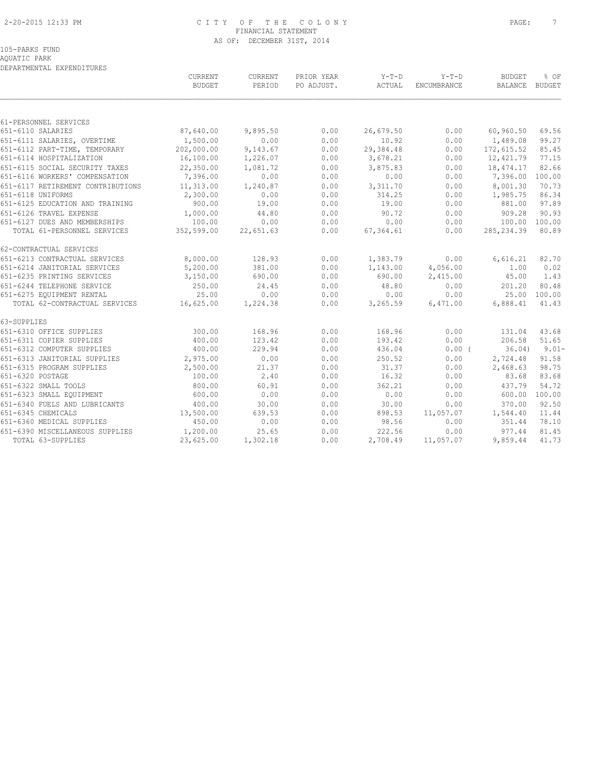### 2-20-2015 12:33 PM C I T Y O F T H E C O L O N Y PAGE: 7 FINANCIAL STATEMENT AS OF: DECEMBER 31ST, 2014

## 105-PARKS FUND

AQUATIC PARK

| $Y-T-D$<br>CURRENT<br>CURRENT<br>PRIOR YEAR<br>$Y-T-D$<br><b>BUDGET</b><br>% OF<br><b>BUDGET</b><br>PERIOD<br>PO ADJUST.<br>ACTUAL<br>ENCUMBRANCE<br>BALANCE BUDGET<br>651-6110 SALARIES<br>87,640.00<br>9,895.50<br>0.00<br>26,679.50<br>0.00<br>60,960.50<br>69.56<br>0.00<br>1,500.00<br>0.00<br>10.92<br>99.27<br>651-6111 SALARIES, OVERTIME<br>0.00<br>1,489.08<br>202,000.00<br>9,143.67<br>0.00<br>29,384.48<br>0.00<br>172,615.52<br>85.45<br>651-6112 PART-TIME, TEMPORARY<br>651-6114 HOSPITALIZATION<br>16,100.00<br>1,226.07<br>0.00<br>3,678.21<br>0.00<br>12,421.79<br>77.15<br>22,350.00<br>1,081.72<br>0.00<br>18,474.17<br>82.66<br>651-6115 SOCIAL SECURITY TAXES<br>3,875.83<br>0.00<br>651-6116 WORKERS' COMPENSATION<br>7,396.00<br>0.00<br>0.00<br>0.00<br>0.00<br>7,396.00<br>100.00<br>11,313.00<br>1,240.87<br>0.00<br>0.00<br>8,001.30<br>70.73<br>3,311.70<br>2,300.00<br>0.00<br>0.00<br>314.25<br>0.00<br>1,985.75<br>86.34<br>651-6125 EDUCATION AND TRAINING<br>900.00<br>19.00<br>0.00<br>19.00<br>97.89<br>0.00<br>881.00<br>44.80<br>0.00<br>90.72<br>0.00<br>909.28<br>90.93<br>1,000.00<br>100.00<br>0.00<br>0.00<br>0.00<br>0.00<br>100.00 100.00<br>TOTAL 61-PERSONNEL SERVICES<br>352,599.00<br>22,651.63<br>0.00<br>67,364.61<br>0.00<br>285, 234.39<br>80.89<br>8,000.00<br>128.93<br>0.00<br>1,383.79<br>0.00<br>6,616.21<br>82.70<br>5,200.00<br>0.00<br>381.00<br>1,143.00<br>4,056.00<br>1.00<br>0.02<br>3,150.00<br>690.00<br>0.00<br>1.43<br>690.00<br>2,415.00<br>45.00<br>250.00<br>24.45<br>0.00<br>48.80<br>0.00<br>201.20<br>80.48<br>25.00<br>0.00<br>0.00<br>0.00<br>0.00<br>25.00 100.00<br>16,625.00<br>0.00<br>6,888.41<br>TOTAL 62-CONTRACTUAL SERVICES<br>1,224.38<br>3,265.59<br>6,471.00<br>41.43<br>300.00<br>168.96<br>0.00<br>168.96<br>0.00<br>131.04<br>43.68<br>123.42<br>0.00<br>193.42<br>0.00<br>206.58<br>51.65<br>400.00<br>0.00<br>$9.01 -$<br>400.00<br>229.94<br>436.04<br>$0.00$ (<br>36.04)<br>2,975.00<br>0.00<br>0.00<br>250.52<br>0.00<br>2,724.48<br>91.58<br>21.37<br>0.00<br>2,468.63<br>98.75<br>2,500.00<br>31.37<br>0.00<br>2.40<br>0.00<br>16.32<br>0.00<br>83.68<br>83.68<br>100.00<br>60.91<br>0.00<br>362.21<br>54.72<br>800.00<br>0.00<br>437.79<br>600.00<br>0.00<br>0.00<br>0.00<br>0.00<br>600.00<br>100.00<br>92.50<br>651-6340 FUELS AND LUBRICANTS<br>400.00<br>30.00<br>0.00<br>0.00<br>370.00<br>30.00<br>13,500.00<br>639.53<br>0.00<br>11.44<br>898.53<br>11,057.07<br>1,544.40<br>98.56<br>450.00<br>0.00<br>0.00<br>0.00<br>351.44<br>78.10<br>0.00<br>651-6390 MISCELLANEOUS SUPPLIES<br>1,200.00<br>25.65<br>222.56<br>0.00<br>977.44<br>81.45<br>TOTAL 63-SUPPLIES<br>23,625.00<br>1,302.18<br>2,708.49<br>9,859.44<br>41.73<br>0.00<br>11,057.07 | DEPARTMENTAL EXPENDITURES         |  |  |  |  |  |  |  |  |
|--------------------------------------------------------------------------------------------------------------------------------------------------------------------------------------------------------------------------------------------------------------------------------------------------------------------------------------------------------------------------------------------------------------------------------------------------------------------------------------------------------------------------------------------------------------------------------------------------------------------------------------------------------------------------------------------------------------------------------------------------------------------------------------------------------------------------------------------------------------------------------------------------------------------------------------------------------------------------------------------------------------------------------------------------------------------------------------------------------------------------------------------------------------------------------------------------------------------------------------------------------------------------------------------------------------------------------------------------------------------------------------------------------------------------------------------------------------------------------------------------------------------------------------------------------------------------------------------------------------------------------------------------------------------------------------------------------------------------------------------------------------------------------------------------------------------------------------------------------------------------------------------------------------------------------------------------------------------------------------------------------------------------------------------------------------------------------------------------------------------------------------------------------------------------------------------------------------------------------------------------------------------------------------------------------------------------------------------------------------------------------------------------------------------------------------------------------------------------------------------------------------------------------------------------------------------------------------------------------------------------------------------------------------------------------------------------------------------------------------------------------------|-----------------------------------|--|--|--|--|--|--|--|--|
|                                                                                                                                                                                                                                                                                                                                                                                                                                                                                                                                                                                                                                                                                                                                                                                                                                                                                                                                                                                                                                                                                                                                                                                                                                                                                                                                                                                                                                                                                                                                                                                                                                                                                                                                                                                                                                                                                                                                                                                                                                                                                                                                                                                                                                                                                                                                                                                                                                                                                                                                                                                                                                                                                                                                                              |                                   |  |  |  |  |  |  |  |  |
|                                                                                                                                                                                                                                                                                                                                                                                                                                                                                                                                                                                                                                                                                                                                                                                                                                                                                                                                                                                                                                                                                                                                                                                                                                                                                                                                                                                                                                                                                                                                                                                                                                                                                                                                                                                                                                                                                                                                                                                                                                                                                                                                                                                                                                                                                                                                                                                                                                                                                                                                                                                                                                                                                                                                                              |                                   |  |  |  |  |  |  |  |  |
|                                                                                                                                                                                                                                                                                                                                                                                                                                                                                                                                                                                                                                                                                                                                                                                                                                                                                                                                                                                                                                                                                                                                                                                                                                                                                                                                                                                                                                                                                                                                                                                                                                                                                                                                                                                                                                                                                                                                                                                                                                                                                                                                                                                                                                                                                                                                                                                                                                                                                                                                                                                                                                                                                                                                                              | 61-PERSONNEL SERVICES             |  |  |  |  |  |  |  |  |
|                                                                                                                                                                                                                                                                                                                                                                                                                                                                                                                                                                                                                                                                                                                                                                                                                                                                                                                                                                                                                                                                                                                                                                                                                                                                                                                                                                                                                                                                                                                                                                                                                                                                                                                                                                                                                                                                                                                                                                                                                                                                                                                                                                                                                                                                                                                                                                                                                                                                                                                                                                                                                                                                                                                                                              |                                   |  |  |  |  |  |  |  |  |
|                                                                                                                                                                                                                                                                                                                                                                                                                                                                                                                                                                                                                                                                                                                                                                                                                                                                                                                                                                                                                                                                                                                                                                                                                                                                                                                                                                                                                                                                                                                                                                                                                                                                                                                                                                                                                                                                                                                                                                                                                                                                                                                                                                                                                                                                                                                                                                                                                                                                                                                                                                                                                                                                                                                                                              |                                   |  |  |  |  |  |  |  |  |
|                                                                                                                                                                                                                                                                                                                                                                                                                                                                                                                                                                                                                                                                                                                                                                                                                                                                                                                                                                                                                                                                                                                                                                                                                                                                                                                                                                                                                                                                                                                                                                                                                                                                                                                                                                                                                                                                                                                                                                                                                                                                                                                                                                                                                                                                                                                                                                                                                                                                                                                                                                                                                                                                                                                                                              |                                   |  |  |  |  |  |  |  |  |
|                                                                                                                                                                                                                                                                                                                                                                                                                                                                                                                                                                                                                                                                                                                                                                                                                                                                                                                                                                                                                                                                                                                                                                                                                                                                                                                                                                                                                                                                                                                                                                                                                                                                                                                                                                                                                                                                                                                                                                                                                                                                                                                                                                                                                                                                                                                                                                                                                                                                                                                                                                                                                                                                                                                                                              |                                   |  |  |  |  |  |  |  |  |
|                                                                                                                                                                                                                                                                                                                                                                                                                                                                                                                                                                                                                                                                                                                                                                                                                                                                                                                                                                                                                                                                                                                                                                                                                                                                                                                                                                                                                                                                                                                                                                                                                                                                                                                                                                                                                                                                                                                                                                                                                                                                                                                                                                                                                                                                                                                                                                                                                                                                                                                                                                                                                                                                                                                                                              |                                   |  |  |  |  |  |  |  |  |
|                                                                                                                                                                                                                                                                                                                                                                                                                                                                                                                                                                                                                                                                                                                                                                                                                                                                                                                                                                                                                                                                                                                                                                                                                                                                                                                                                                                                                                                                                                                                                                                                                                                                                                                                                                                                                                                                                                                                                                                                                                                                                                                                                                                                                                                                                                                                                                                                                                                                                                                                                                                                                                                                                                                                                              |                                   |  |  |  |  |  |  |  |  |
|                                                                                                                                                                                                                                                                                                                                                                                                                                                                                                                                                                                                                                                                                                                                                                                                                                                                                                                                                                                                                                                                                                                                                                                                                                                                                                                                                                                                                                                                                                                                                                                                                                                                                                                                                                                                                                                                                                                                                                                                                                                                                                                                                                                                                                                                                                                                                                                                                                                                                                                                                                                                                                                                                                                                                              | 651-6117 RETIREMENT CONTRIBUTIONS |  |  |  |  |  |  |  |  |
|                                                                                                                                                                                                                                                                                                                                                                                                                                                                                                                                                                                                                                                                                                                                                                                                                                                                                                                                                                                                                                                                                                                                                                                                                                                                                                                                                                                                                                                                                                                                                                                                                                                                                                                                                                                                                                                                                                                                                                                                                                                                                                                                                                                                                                                                                                                                                                                                                                                                                                                                                                                                                                                                                                                                                              | 651-6118 UNIFORMS                 |  |  |  |  |  |  |  |  |
|                                                                                                                                                                                                                                                                                                                                                                                                                                                                                                                                                                                                                                                                                                                                                                                                                                                                                                                                                                                                                                                                                                                                                                                                                                                                                                                                                                                                                                                                                                                                                                                                                                                                                                                                                                                                                                                                                                                                                                                                                                                                                                                                                                                                                                                                                                                                                                                                                                                                                                                                                                                                                                                                                                                                                              |                                   |  |  |  |  |  |  |  |  |
|                                                                                                                                                                                                                                                                                                                                                                                                                                                                                                                                                                                                                                                                                                                                                                                                                                                                                                                                                                                                                                                                                                                                                                                                                                                                                                                                                                                                                                                                                                                                                                                                                                                                                                                                                                                                                                                                                                                                                                                                                                                                                                                                                                                                                                                                                                                                                                                                                                                                                                                                                                                                                                                                                                                                                              | 651-6126 TRAVEL EXPENSE           |  |  |  |  |  |  |  |  |
|                                                                                                                                                                                                                                                                                                                                                                                                                                                                                                                                                                                                                                                                                                                                                                                                                                                                                                                                                                                                                                                                                                                                                                                                                                                                                                                                                                                                                                                                                                                                                                                                                                                                                                                                                                                                                                                                                                                                                                                                                                                                                                                                                                                                                                                                                                                                                                                                                                                                                                                                                                                                                                                                                                                                                              | 651-6127 DUES AND MEMBERSHIPS     |  |  |  |  |  |  |  |  |
|                                                                                                                                                                                                                                                                                                                                                                                                                                                                                                                                                                                                                                                                                                                                                                                                                                                                                                                                                                                                                                                                                                                                                                                                                                                                                                                                                                                                                                                                                                                                                                                                                                                                                                                                                                                                                                                                                                                                                                                                                                                                                                                                                                                                                                                                                                                                                                                                                                                                                                                                                                                                                                                                                                                                                              |                                   |  |  |  |  |  |  |  |  |
|                                                                                                                                                                                                                                                                                                                                                                                                                                                                                                                                                                                                                                                                                                                                                                                                                                                                                                                                                                                                                                                                                                                                                                                                                                                                                                                                                                                                                                                                                                                                                                                                                                                                                                                                                                                                                                                                                                                                                                                                                                                                                                                                                                                                                                                                                                                                                                                                                                                                                                                                                                                                                                                                                                                                                              | 62-CONTRACTUAL SERVICES           |  |  |  |  |  |  |  |  |
|                                                                                                                                                                                                                                                                                                                                                                                                                                                                                                                                                                                                                                                                                                                                                                                                                                                                                                                                                                                                                                                                                                                                                                                                                                                                                                                                                                                                                                                                                                                                                                                                                                                                                                                                                                                                                                                                                                                                                                                                                                                                                                                                                                                                                                                                                                                                                                                                                                                                                                                                                                                                                                                                                                                                                              | 651-6213 CONTRACTUAL SERVICES     |  |  |  |  |  |  |  |  |
|                                                                                                                                                                                                                                                                                                                                                                                                                                                                                                                                                                                                                                                                                                                                                                                                                                                                                                                                                                                                                                                                                                                                                                                                                                                                                                                                                                                                                                                                                                                                                                                                                                                                                                                                                                                                                                                                                                                                                                                                                                                                                                                                                                                                                                                                                                                                                                                                                                                                                                                                                                                                                                                                                                                                                              | 651-6214 JANITORIAL SERVICES      |  |  |  |  |  |  |  |  |
|                                                                                                                                                                                                                                                                                                                                                                                                                                                                                                                                                                                                                                                                                                                                                                                                                                                                                                                                                                                                                                                                                                                                                                                                                                                                                                                                                                                                                                                                                                                                                                                                                                                                                                                                                                                                                                                                                                                                                                                                                                                                                                                                                                                                                                                                                                                                                                                                                                                                                                                                                                                                                                                                                                                                                              | 651-6235 PRINTING SERVICES        |  |  |  |  |  |  |  |  |
|                                                                                                                                                                                                                                                                                                                                                                                                                                                                                                                                                                                                                                                                                                                                                                                                                                                                                                                                                                                                                                                                                                                                                                                                                                                                                                                                                                                                                                                                                                                                                                                                                                                                                                                                                                                                                                                                                                                                                                                                                                                                                                                                                                                                                                                                                                                                                                                                                                                                                                                                                                                                                                                                                                                                                              | 651-6244 TELEPHONE SERVICE        |  |  |  |  |  |  |  |  |
|                                                                                                                                                                                                                                                                                                                                                                                                                                                                                                                                                                                                                                                                                                                                                                                                                                                                                                                                                                                                                                                                                                                                                                                                                                                                                                                                                                                                                                                                                                                                                                                                                                                                                                                                                                                                                                                                                                                                                                                                                                                                                                                                                                                                                                                                                                                                                                                                                                                                                                                                                                                                                                                                                                                                                              | 651-6275 EQUIPMENT RENTAL         |  |  |  |  |  |  |  |  |
|                                                                                                                                                                                                                                                                                                                                                                                                                                                                                                                                                                                                                                                                                                                                                                                                                                                                                                                                                                                                                                                                                                                                                                                                                                                                                                                                                                                                                                                                                                                                                                                                                                                                                                                                                                                                                                                                                                                                                                                                                                                                                                                                                                                                                                                                                                                                                                                                                                                                                                                                                                                                                                                                                                                                                              |                                   |  |  |  |  |  |  |  |  |
|                                                                                                                                                                                                                                                                                                                                                                                                                                                                                                                                                                                                                                                                                                                                                                                                                                                                                                                                                                                                                                                                                                                                                                                                                                                                                                                                                                                                                                                                                                                                                                                                                                                                                                                                                                                                                                                                                                                                                                                                                                                                                                                                                                                                                                                                                                                                                                                                                                                                                                                                                                                                                                                                                                                                                              | 63-SUPPLIES                       |  |  |  |  |  |  |  |  |
|                                                                                                                                                                                                                                                                                                                                                                                                                                                                                                                                                                                                                                                                                                                                                                                                                                                                                                                                                                                                                                                                                                                                                                                                                                                                                                                                                                                                                                                                                                                                                                                                                                                                                                                                                                                                                                                                                                                                                                                                                                                                                                                                                                                                                                                                                                                                                                                                                                                                                                                                                                                                                                                                                                                                                              | 651-6310 OFFICE SUPPLIES          |  |  |  |  |  |  |  |  |
|                                                                                                                                                                                                                                                                                                                                                                                                                                                                                                                                                                                                                                                                                                                                                                                                                                                                                                                                                                                                                                                                                                                                                                                                                                                                                                                                                                                                                                                                                                                                                                                                                                                                                                                                                                                                                                                                                                                                                                                                                                                                                                                                                                                                                                                                                                                                                                                                                                                                                                                                                                                                                                                                                                                                                              | 651-6311 COPIER SUPPLIES          |  |  |  |  |  |  |  |  |
|                                                                                                                                                                                                                                                                                                                                                                                                                                                                                                                                                                                                                                                                                                                                                                                                                                                                                                                                                                                                                                                                                                                                                                                                                                                                                                                                                                                                                                                                                                                                                                                                                                                                                                                                                                                                                                                                                                                                                                                                                                                                                                                                                                                                                                                                                                                                                                                                                                                                                                                                                                                                                                                                                                                                                              | 651-6312 COMPUTER SUPPLIES        |  |  |  |  |  |  |  |  |
|                                                                                                                                                                                                                                                                                                                                                                                                                                                                                                                                                                                                                                                                                                                                                                                                                                                                                                                                                                                                                                                                                                                                                                                                                                                                                                                                                                                                                                                                                                                                                                                                                                                                                                                                                                                                                                                                                                                                                                                                                                                                                                                                                                                                                                                                                                                                                                                                                                                                                                                                                                                                                                                                                                                                                              | 651-6313 JANITORIAL SUPPLIES      |  |  |  |  |  |  |  |  |
|                                                                                                                                                                                                                                                                                                                                                                                                                                                                                                                                                                                                                                                                                                                                                                                                                                                                                                                                                                                                                                                                                                                                                                                                                                                                                                                                                                                                                                                                                                                                                                                                                                                                                                                                                                                                                                                                                                                                                                                                                                                                                                                                                                                                                                                                                                                                                                                                                                                                                                                                                                                                                                                                                                                                                              | 651-6315 PROGRAM SUPPLIES         |  |  |  |  |  |  |  |  |
|                                                                                                                                                                                                                                                                                                                                                                                                                                                                                                                                                                                                                                                                                                                                                                                                                                                                                                                                                                                                                                                                                                                                                                                                                                                                                                                                                                                                                                                                                                                                                                                                                                                                                                                                                                                                                                                                                                                                                                                                                                                                                                                                                                                                                                                                                                                                                                                                                                                                                                                                                                                                                                                                                                                                                              | 651-6320 POSTAGE                  |  |  |  |  |  |  |  |  |
|                                                                                                                                                                                                                                                                                                                                                                                                                                                                                                                                                                                                                                                                                                                                                                                                                                                                                                                                                                                                                                                                                                                                                                                                                                                                                                                                                                                                                                                                                                                                                                                                                                                                                                                                                                                                                                                                                                                                                                                                                                                                                                                                                                                                                                                                                                                                                                                                                                                                                                                                                                                                                                                                                                                                                              | 651-6322 SMALL TOOLS              |  |  |  |  |  |  |  |  |
|                                                                                                                                                                                                                                                                                                                                                                                                                                                                                                                                                                                                                                                                                                                                                                                                                                                                                                                                                                                                                                                                                                                                                                                                                                                                                                                                                                                                                                                                                                                                                                                                                                                                                                                                                                                                                                                                                                                                                                                                                                                                                                                                                                                                                                                                                                                                                                                                                                                                                                                                                                                                                                                                                                                                                              | 651-6323 SMALL EQUIPMENT          |  |  |  |  |  |  |  |  |
|                                                                                                                                                                                                                                                                                                                                                                                                                                                                                                                                                                                                                                                                                                                                                                                                                                                                                                                                                                                                                                                                                                                                                                                                                                                                                                                                                                                                                                                                                                                                                                                                                                                                                                                                                                                                                                                                                                                                                                                                                                                                                                                                                                                                                                                                                                                                                                                                                                                                                                                                                                                                                                                                                                                                                              |                                   |  |  |  |  |  |  |  |  |
|                                                                                                                                                                                                                                                                                                                                                                                                                                                                                                                                                                                                                                                                                                                                                                                                                                                                                                                                                                                                                                                                                                                                                                                                                                                                                                                                                                                                                                                                                                                                                                                                                                                                                                                                                                                                                                                                                                                                                                                                                                                                                                                                                                                                                                                                                                                                                                                                                                                                                                                                                                                                                                                                                                                                                              | 651-6345 CHEMICALS                |  |  |  |  |  |  |  |  |
|                                                                                                                                                                                                                                                                                                                                                                                                                                                                                                                                                                                                                                                                                                                                                                                                                                                                                                                                                                                                                                                                                                                                                                                                                                                                                                                                                                                                                                                                                                                                                                                                                                                                                                                                                                                                                                                                                                                                                                                                                                                                                                                                                                                                                                                                                                                                                                                                                                                                                                                                                                                                                                                                                                                                                              | 651-6360 MEDICAL SUPPLIES         |  |  |  |  |  |  |  |  |
|                                                                                                                                                                                                                                                                                                                                                                                                                                                                                                                                                                                                                                                                                                                                                                                                                                                                                                                                                                                                                                                                                                                                                                                                                                                                                                                                                                                                                                                                                                                                                                                                                                                                                                                                                                                                                                                                                                                                                                                                                                                                                                                                                                                                                                                                                                                                                                                                                                                                                                                                                                                                                                                                                                                                                              |                                   |  |  |  |  |  |  |  |  |
|                                                                                                                                                                                                                                                                                                                                                                                                                                                                                                                                                                                                                                                                                                                                                                                                                                                                                                                                                                                                                                                                                                                                                                                                                                                                                                                                                                                                                                                                                                                                                                                                                                                                                                                                                                                                                                                                                                                                                                                                                                                                                                                                                                                                                                                                                                                                                                                                                                                                                                                                                                                                                                                                                                                                                              |                                   |  |  |  |  |  |  |  |  |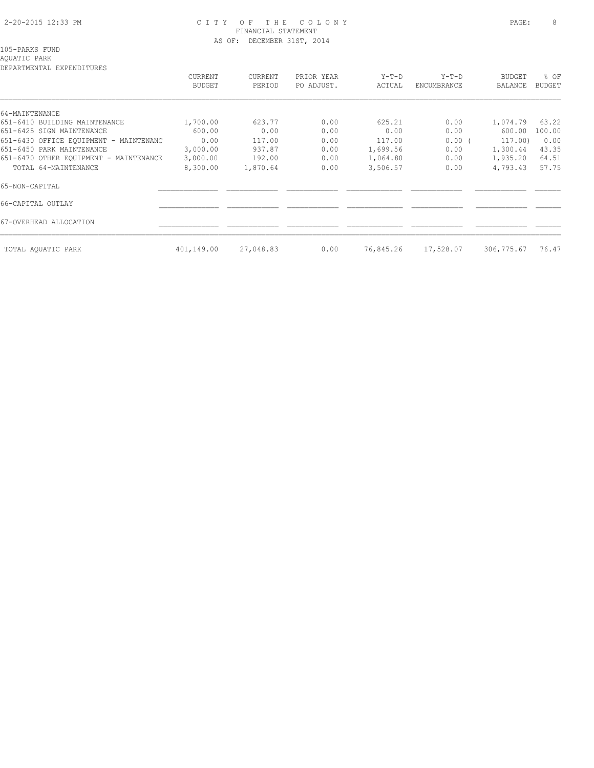### 2-20-2015 12:33 PM C I T Y O F T H E C O L O N Y PAGE: 8 FINANCIAL STATEMENT AS OF: DECEMBER 31ST, 2014

105-PARKS FUND

# AQUATIC PARK

| DEPARTMENTAL EXPENDITURES              |                          |                   |                          |                 |                        |                          |                |
|----------------------------------------|--------------------------|-------------------|--------------------------|-----------------|------------------------|--------------------------|----------------|
|                                        | CURRENT<br><b>BUDGET</b> | CURRENT<br>PERIOD | PRIOR YEAR<br>PO ADJUST. | Y-T-D<br>ACTUAL | $Y-T-D$<br>ENCUMBRANCE | <b>BUDGET</b><br>BALANCE | % OF<br>BUDGET |
|                                        |                          |                   |                          |                 |                        |                          |                |
| 64-MAINTENANCE                         |                          |                   |                          |                 |                        |                          |                |
| 651-6410 BUILDING MAINTENANCE          | 1,700.00                 | 623.77            | 0.00                     | 625.21          | 0.00                   | 1,074.79                 | 63.22          |
| 651-6425 SIGN MAINTENANCE              | 600.00                   | 0.00              | 0.00                     | 0.00            | 0.00                   | 600.00                   | 100.00         |
| 651-6430 OFFICE EOUIPMENT - MAINTENANC | 0.00                     | 117.00            | 0.00                     | 117.00          | 0.00(                  | 117.00)                  | 0.00           |
| 651-6450 PARK MAINTENANCE              | 3,000.00                 | 937.87            | 0.00                     | 1,699.56        | 0.00                   | 1,300.44                 | 43.35          |
| 651-6470 OTHER EQUIPMENT - MAINTENANCE | 3,000.00                 | 192.00            | 0.00                     | 1,064.80        | 0.00                   | 1,935.20                 | 64.51          |
| TOTAL 64-MAINTENANCE                   | 8,300.00                 | 1,870.64          | 0.00                     | 3,506.57        | 0.00                   | 4,793.43                 | 57.75          |
| 65-NON-CAPITAL                         |                          |                   |                          |                 |                        |                          |                |
| 66-CAPITAL OUTLAY                      |                          |                   |                          |                 |                        |                          |                |
| 67-OVERHEAD ALLOCATION                 |                          |                   |                          |                 |                        |                          |                |
| TOTAL AOUATIC PARK                     | 401,149.00               | 27,048.83         | 0.00                     | 76,845.26       | 17,528.07              | 306,775.67               | 76.47          |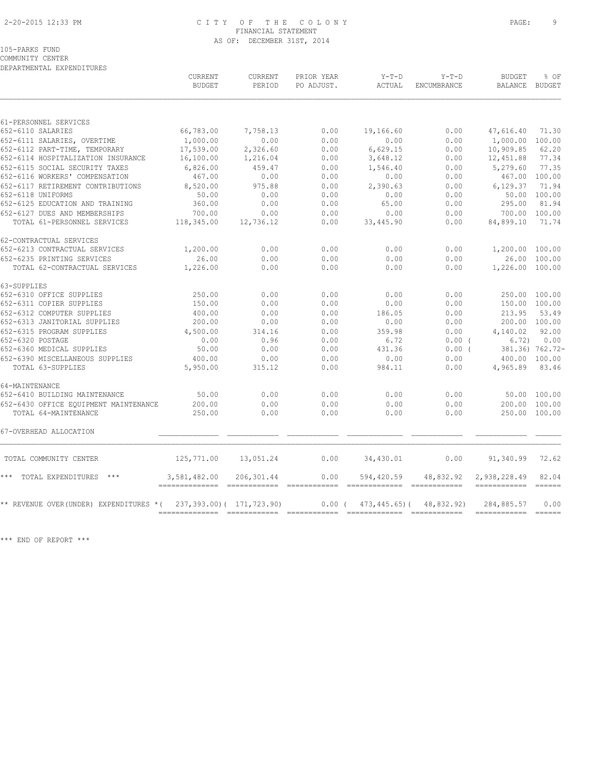### 2-20-2015 12:33 PM C I T Y O F T H E C O L O N Y PAGE: 9 FINANCIAL STATEMENT AS OF: DECEMBER 31ST, 2014

105-PARKS FUND

COMMUNITY CENTER DEPARTMENTAL EXPENDITURES

|                                        | CURRENT<br><b>BUDGET</b> | CURRENT<br>PERIOD         | PRIOR YEAR<br>PO ADJUST. | $Y-T-D$<br>ACTUAL  | $Y-T-D$<br>ENCUMBRANCE | <b>BUDGET</b><br>BALANCE           | % OF<br>BUDGET  |
|----------------------------------------|--------------------------|---------------------------|--------------------------|--------------------|------------------------|------------------------------------|-----------------|
| 61-PERSONNEL SERVICES                  |                          |                           |                          |                    |                        |                                    |                 |
| 652-6110 SALARIES                      | 66,783.00                | 7,758.13                  | 0.00                     | 19,166.60          | 0.00                   | 47,616.40                          | 71.30           |
| 652-6111 SALARIES, OVERTIME            | 1,000.00                 | 0.00                      | 0.00                     | 0.00               | 0.00                   | 1,000.00 100.00                    |                 |
| 652-6112 PART-TIME, TEMPORARY          | 17,539.00                | 2,326.60                  | 0.00                     | 6,629.15           | 0.00                   | 10,909.85                          | 62.20           |
| 652-6114 HOSPITALIZATION INSURANCE     | 16,100.00                | 1,216.04                  | 0.00                     | 3,648.12           | 0.00                   | 12,451.88                          | 77.34           |
| 652-6115 SOCIAL SECURITY TAXES         | 6,826.00                 | 459.47                    | 0.00                     | 1,546.40           | 0.00                   | 5,279.60                           | 77.35           |
| 652-6116 WORKERS' COMPENSATION         | 467.00                   | 0.00                      | 0.00                     | 0.00               | 0.00                   | 467.00 100.00                      |                 |
| 652-6117 RETIREMENT CONTRIBUTIONS      | 8,520.00                 | 975.88                    | 0.00                     | 2,390.63           | 0.00                   | 6,129.37                           | 71.94           |
| 652-6118 UNIFORMS                      | 50.00                    | 0.00                      | 0.00                     | 0.00               | 0.00                   |                                    | 50.00 100.00    |
| 652-6125 EDUCATION AND TRAINING        | 360.00                   | 0.00                      | 0.00                     | 65.00              | 0.00                   | 295.00                             | 81.94           |
| 652-6127 DUES AND MEMBERSHIPS          | 700.00                   | 0.00                      | 0.00                     | 0.00               | 0.00                   | 700.00 100.00                      |                 |
| TOTAL 61-PERSONNEL SERVICES            | 118,345.00               | 12,736.12                 | 0.00                     | 33, 445.90         | 0.00                   | 84,899.10                          | 71.74           |
| 62-CONTRACTUAL SERVICES                |                          |                           |                          |                    |                        |                                    |                 |
| 652-6213 CONTRACTUAL SERVICES          | 1,200.00                 | 0.00                      | 0.00                     | 0.00               | 0.00                   | 1,200.00 100.00                    |                 |
| 652-6235 PRINTING SERVICES             | 26.00                    | 0.00                      | 0.00                     | 0.00               | 0.00                   |                                    | 26.00 100.00    |
| TOTAL 62-CONTRACTUAL SERVICES          | 1,226.00                 | 0.00                      | 0.00                     | 0.00               | 0.00                   | 1,226.00 100.00                    |                 |
| 63-SUPPLIES                            |                          |                           |                          |                    |                        |                                    |                 |
| 652-6310 OFFICE SUPPLIES               | 250.00                   | 0.00                      | 0.00                     | 0.00               | 0.00                   | 250.00 100.00                      |                 |
| 652-6311 COPIER SUPPLIES               | 150.00                   | 0.00                      | 0.00                     | 0.00               | 0.00                   | 150.00 100.00                      |                 |
| 652-6312 COMPUTER SUPPLIES             | 400.00                   | 0.00                      | 0.00                     | 186.05             | 0.00                   | 213.95                             | 53.49           |
| 652-6313 JANITORIAL SUPPLIES           | 200.00                   | 0.00                      | 0.00                     | 0.00               | 0.00                   | 200.00 100.00                      |                 |
| 652-6315 PROGRAM SUPPLIES              | 4,500.00                 | 314.16                    | 0.00                     | 359.98             | 0.00                   | 4,140.02                           | 92.00           |
| 652-6320 POSTAGE                       | 0.00                     | 0.96                      | 0.00                     | 6.72               | $0.00$ (               | 6.72)                              | 0.00            |
| 652-6360 MEDICAL SUPPLIES              | 50.00                    | 0.00                      | 0.00                     | 431.36             | $0.00$ (               |                                    | 381.36) 762.72- |
| 652-6390 MISCELLANEOUS SUPPLIES        | 400.00                   | 0.00                      | 0.00                     | 0.00               | 0.00                   | 400.00 100.00                      |                 |
| TOTAL 63-SUPPLIES                      | 5,950.00                 | 315.12                    | 0.00                     | 984.11             | 0.00                   | 4,965.89                           | 83.46           |
| 64-MAINTENANCE                         |                          |                           |                          |                    |                        |                                    |                 |
| 652-6410 BUILDING MAINTENANCE          | 50.00                    | 0.00                      | 0.00                     | 0.00               | 0.00                   |                                    | 50.00 100.00    |
| 652-6430 OFFICE EQUIPMENT MAINTENANCE  | 200.00                   | 0.00                      | 0.00                     | 0.00               | 0.00                   | 200.00 100.00                      |                 |
| TOTAL 64-MAINTENANCE                   | 250.00                   | 0.00                      | 0.00                     | 0.00               | 0.00                   | 250.00 100.00                      |                 |
| 67-OVERHEAD ALLOCATION                 |                          |                           |                          |                    |                        |                                    |                 |
| TOTAL COMMUNITY CENTER                 | 125,771.00               | 13,051.24                 | 0.00                     | 34,430.01          | 0.00                   | 91,340.99                          | 72.62           |
| *** TOTAL EXPENDITURES ***             | 3,581,482.00             | 206,301.44                | 0.00                     | 594,420.59         | 48,832.92              | 2,938,228.49<br>------------ ----- | 82.04           |
| ** REVENUE OVER(UNDER) EXPENDITURES *( |                          | 237,393.00) ( 171,723.90) | $0.00$ (                 | $473, 445, 65$ ) ( | 48,832.92)             | 284,885.57                         | 0.00            |
|                                        |                          |                           |                          |                    |                        |                                    |                 |

\*\*\* END OF REPORT \*\*\*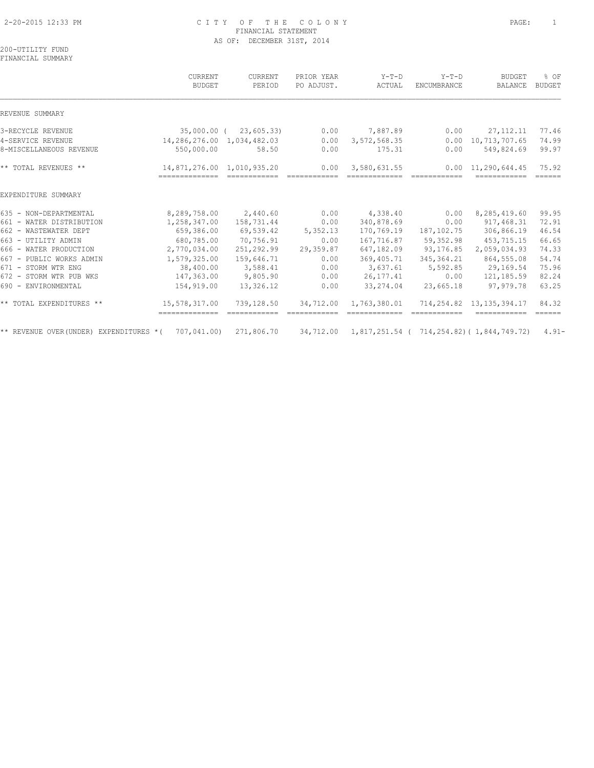### 2-20-2015 12:33 PM C I T Y O F T H E C O L O N Y PAGE: 1 FINANCIAL STATEMENT AS OF: DECEMBER 31ST, 2014

200-UTILITY FUND FINANCIAL SUMMARY

|                                              | CURRENT<br><b>BUDGET</b>                 | CURRENT<br>PERIOD | PRIOR YEAR<br>PO ADJUST. | $Y-T-D$<br>ACTUAL      | $Y-T-D$<br><b>ENCUMBRANCE</b> | <b>BUDGET</b><br>BALANCE                   | % OF<br><b>BUDGET</b>        |
|----------------------------------------------|------------------------------------------|-------------------|--------------------------|------------------------|-------------------------------|--------------------------------------------|------------------------------|
| REVENUE SUMMARY                              |                                          |                   |                          |                        |                               |                                            |                              |
| 3-RECYCLE REVENUE                            | 35,000.00 (                              | 23,605.33)        | 0.00                     | 7,887.89               | 0.00                          | 27, 112. 11                                | 77.46                        |
| 4-SERVICE REVENUE<br>8-MISCELLANEOUS REVENUE | 14,286,276.00 1,034,482.03<br>550,000.00 | 58.50             | 0.00<br>0.00             | 3,572,568.35<br>175.31 | 0.00<br>0.00                  | 10,713,707.65<br>549,824.69                | 74.99<br>99.97               |
| ** TOTAL REVENUES **                         | 14,871,276.00 1,010,935.20               |                   | 0.00                     | 3,580,631.55           |                               | $0.00 \quad 11.290.644.45$                 | 75.92<br>======              |
| EXPENDITURE SUMMARY                          |                                          |                   |                          |                        |                               |                                            |                              |
| 635 - NON-DEPARTMENTAL                       | 8,289,758.00                             | 2,440.60          | 0.00                     | 4,338.40               | 0.00                          | 8,285,419.60                               | 99.95                        |
| 661 - WATER DISTRIBUTION                     | 1,258,347.00                             | 158,731.44        | 0.00                     | 340,878.69             | 0.00                          | 917,468.31                                 | 72.91                        |
| 662 - WASTEWATER DEPT                        | 659,386.00                               | 69,539.42         | 5,352.13                 | 170,769.19             | 187,102.75                    | 306,866.19                                 | 46.54                        |
| 663 - UTILITY ADMIN                          | 680,785.00                               | 70,756.91         | 0.00                     | 167,716.87             | 59,352.98                     | 453,715.15                                 | 66.65                        |
| 666 - WATER PRODUCTION                       | 2,770,034.00                             | 251,292.99        | 29,359.87                | 647,182.09             | 93,176.85                     | 2,059,034.93                               | 74.33                        |
| 667 - PUBLIC WORKS ADMIN                     | 1,579,325.00                             | 159,646.71        | 0.00                     | 369, 405.71            | 345, 364.21                   | 864,555.08                                 | 54.74                        |
| 671 - STORM WTR ENG                          | 38,400.00                                | 3,588.41          | 0.00                     | 3,637.61               | 5,592.85                      | 29,169.54                                  | 75.96                        |
| 672 - STORM WTR PUB WKS                      | 147,363.00                               | 9,805.90          | 0.00                     | 26, 177. 41            | 0.00                          | 121,185.59                                 | 82.24                        |
| 690 - ENVIRONMENTAL                          | 154,919.00                               | 13,326.12         | 0.00                     | 33, 274.04             | 23,665.18                     | 97,979.78                                  | 63.25                        |
| ** TOTAL EXPENDITURES **                     | 15,578,317.00                            | 739,128.50        | 34,712.00                | 1,763,380.01           |                               | 714, 254, 82 13, 135, 394, 17              | 84.32<br>$=$ $=$ $=$ $=$ $=$ |
| ** REVENUE OVER(UNDER) EXPENDITURES *(       | 707,041.00)                              | 271,806.70        | 34,712.00                |                        |                               | 1,817,251.54 ( 714,254.82) ( 1,844,749.72) | $4.91 -$                     |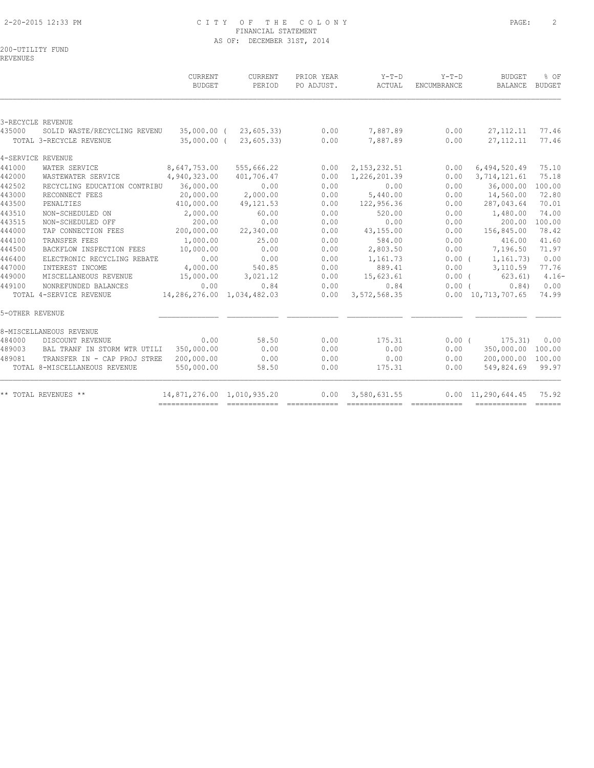### 2-20-2015 12:33 PM C I T Y O F T H E C O L O N Y PAGE: 2 FINANCIAL STATEMENT AS OF: DECEMBER 31ST, 2014

200-UTILITY FUND

REVENUES

|                 |                               | CURRENT<br><b>BUDGET</b>   | CURRENT<br>PERIOD | PRIOR YEAR<br>PO ADJUST. | Y-T-D<br>ACTUAL | $Y-T-D$<br><b>ENCUMBRANCE</b> | <b>BUDGET</b><br><b>BALANCE</b> | % OF<br><b>BUDGET</b> |
|-----------------|-------------------------------|----------------------------|-------------------|--------------------------|-----------------|-------------------------------|---------------------------------|-----------------------|
|                 | 3-RECYCLE REVENUE             |                            |                   |                          |                 |                               |                                 |                       |
| 435000          | SOLID WASTE/RECYCLING REVENU  | 35,000.00 (                | 23,605.33         | 0.00                     | 7,887.89        | 0.00                          | 27, 112. 11                     | 77.46                 |
|                 | TOTAL 3-RECYCLE REVENUE       | $35,000.00$ (              | 23,605.33         | 0.00                     | 7,887.89        | 0.00                          | 27, 112. 11                     | 77.46                 |
|                 | 4-SERVICE REVENUE             |                            |                   |                          |                 |                               |                                 |                       |
| 441000          | WATER SERVICE                 | 8,647,753.00               | 555,666.22        | 0.00                     | 2, 153, 232.51  | 0.00                          | 6,494,520.49                    | 75.10                 |
| 442000          | WASTEWATER SERVICE            | 4,940,323.00               | 401,706.47        | 0.00                     | 1,226,201.39    | 0.00                          | 3,714,121.61                    | 75.18                 |
| 442502          | RECYCLING EDUCATION CONTRIBU  | 36,000.00                  | 0.00              | 0.00                     | 0.00            | 0.00                          | 36,000.00                       | 100.00                |
| 443000          | RECONNECT FEES                | 20,000.00                  | 2,000.00          | 0.00                     | 5,440.00        | 0.00                          | 14,560.00                       | 72.80                 |
| 443500          | PENALTIES                     | 410,000.00                 | 49, 121.53        | 0.00                     | 122,956.36      | 0.00                          | 287,043.64                      | 70.01                 |
| 443510          | NON-SCHEDULED ON              | 2,000.00                   | 60.00             | 0.00                     | 520.00          | 0.00                          | 1,480.00                        | 74.00                 |
| 443515          | NON-SCHEDULED OFF             | 200.00                     | 0.00              | 0.00                     | 0.00            | 0.00                          | 200.00                          | 100.00                |
| 444000          | TAP CONNECTION FEES           | 200,000.00                 | 22,340.00         | 0.00                     | 43,155.00       | 0.00                          | 156,845.00                      | 78.42                 |
| 444100          | TRANSFER FEES                 | 1,000.00                   | 25.00             | 0.00                     | 584.00          | 0.00                          | 416.00                          | 41.60                 |
| 444500          | BACKFLOW INSPECTION FEES      | 10,000.00                  | 0.00              | 0.00                     | 2,803.50        | 0.00                          | 7,196.50                        | 71.97                 |
| 446400          | ELECTRONIC RECYCLING REBATE   | 0.00                       | 0.00              | 0.00                     | 1,161.73        | $0.00$ (                      | 1,161.73)                       | 0.00                  |
| 447000          | INTEREST INCOME               | 4,000.00                   | 540.85            | 0.00                     | 889.41          | 0.00                          | 3,110.59                        | 77.76                 |
| 449000          | MISCELLANEOUS REVENUE         | 15,000.00                  | 3,021.12          | 0.00                     | 15,623.61       | $0.00$ (                      | 623.61)                         | $4.16-$               |
| 449100          | NONREFUNDED BALANCES          | 0.00                       | 0.84              | 0.00                     | 0.84            | $0.00$ $($                    | 0.84)                           | 0.00                  |
|                 | TOTAL 4-SERVICE REVENUE       | 14,286,276.00 1,034,482.03 |                   | 0.00                     | 3,572,568.35    |                               | $0.00 \quad 10,713,707.65$      | 74.99                 |
| 5-OTHER REVENUE |                               |                            |                   |                          |                 |                               |                                 |                       |
|                 | 8-MISCELLANEOUS REVENUE       |                            |                   |                          |                 |                               |                                 |                       |
| 484000          | DISCOUNT REVENUE              | 0.00                       | 58.50             | 0.00                     | 175.31          | 0.00(                         | 175.31)                         | 0.00                  |
| 489003          | BAL TRANF IN STORM WTR UTILI  | 350,000.00                 | 0.00              | 0.00                     | 0.00            | 0.00                          | 350,000.00                      | 100.00                |
| 489081          | TRANSFER IN - CAP PROJ STREE  | 200,000.00                 | 0.00              | 0.00                     | 0.00            | 0.00                          | 200,000.00                      | 100.00                |
|                 | TOTAL 8-MISCELLANEOUS REVENUE | 550,000.00                 | 58.50             | 0.00                     | 175.31          | 0.00                          | 549,824.69                      | 99.97                 |
|                 | ** TOTAL REVENUES **          | 14,871,276.00 1,010,935.20 |                   | 0.00                     | 3,580,631.55    |                               | $0.00 \quad 11,290,644.45$      | 75.92                 |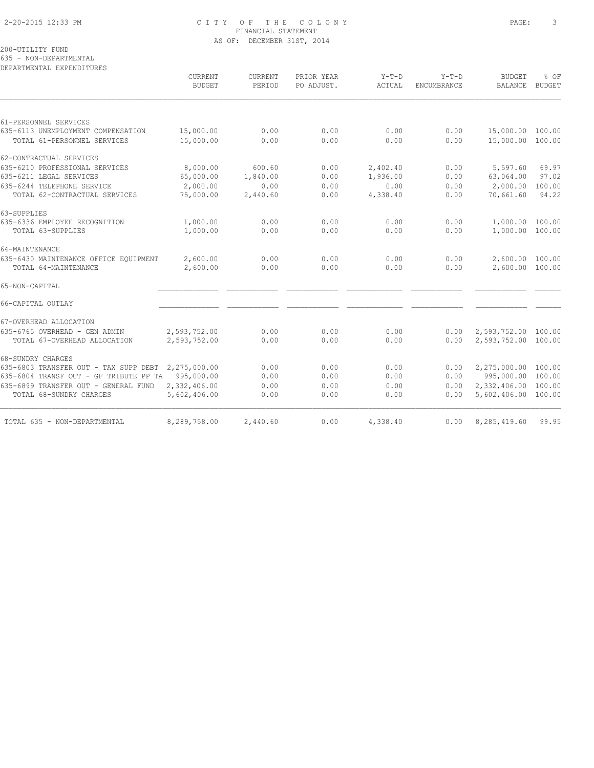### 2-20-2015 12:33 PM C I T Y O F T H E C O L O N Y PAGE: 3 FINANCIAL STATEMENT AS OF: DECEMBER 31ST, 2014

200-UTILITY FUND

635 - NON-DEPARTMENTAL DEPARTMENTAL EXPENDITURES

|                                                    | CURRENT<br><b>BUDGET</b> | CURRENT<br>PERIOD | PRIOR YEAR<br>PO ADJUST. | $Y-T-D$<br>ACTUAL | $Y-T-D$<br>ENCUMBRANCE | <b>BUDGET</b><br><b>BALANCE</b> | % OF<br><b>BUDGET</b> |
|----------------------------------------------------|--------------------------|-------------------|--------------------------|-------------------|------------------------|---------------------------------|-----------------------|
|                                                    |                          |                   |                          |                   |                        |                                 |                       |
| 61-PERSONNEL SERVICES                              |                          |                   |                          |                   |                        |                                 |                       |
| 635-6113 UNEMPLOYMENT COMPENSATION                 | 15,000.00                | 0.00              | 0.00                     | 0.00              | 0.00                   | 15,000.00 100.00                |                       |
| TOTAL 61-PERSONNEL SERVICES                        | 15,000.00                | 0.00              | 0.00                     | 0.00              | 0.00                   | 15,000.00 100.00                |                       |
| 62-CONTRACTUAL SERVICES                            |                          |                   |                          |                   |                        |                                 |                       |
| 635-6210 PROFESSIONAL SERVICES                     | 8,000.00                 | 600.60            | 0.00                     | 2,402.40          | 0.00                   | 5,597.60                        | 69.97                 |
| 635-6211 LEGAL SERVICES                            | 65,000.00                | 1,840.00          | 0.00                     | 1,936.00          | 0.00                   | 63,064.00                       | 97.02                 |
| 635-6244 TELEPHONE SERVICE                         | 2,000.00                 | 0.00              | 0.00                     | 0.00              | 0.00                   | 2,000.00                        | 100.00                |
| TOTAL 62-CONTRACTUAL SERVICES                      | 75,000.00                | 2,440.60          | 0.00                     | 4,338.40          | 0.00                   | 70,661.60                       | 94.22                 |
| 63-SUPPLIES                                        |                          |                   |                          |                   |                        |                                 |                       |
| 635-6336 EMPLOYEE RECOGNITION                      | 1,000.00                 | 0.00              | 0.00                     | 0.00              | 0.00                   | 1,000.00 100.00                 |                       |
| TOTAL 63-SUPPLIES                                  | 1,000.00                 | 0.00              | 0.00                     | 0.00              | 0.00                   | 1,000.00 100.00                 |                       |
| 64-MAINTENANCE                                     |                          |                   |                          |                   |                        |                                 |                       |
| 635-6430 MAINTENANCE OFFICE EQUIPMENT              | 2,600.00                 | 0.00              | 0.00                     | 0.00              | 0.00                   | 2,600.00 100.00                 |                       |
| TOTAL 64-MAINTENANCE                               | 2,600.00                 | 0.00              | 0.00                     | 0.00              | 0.00                   | 2,600.00 100.00                 |                       |
| 65-NON-CAPITAL                                     |                          |                   |                          |                   |                        |                                 |                       |
| 66-CAPITAL OUTLAY                                  |                          |                   |                          |                   |                        |                                 |                       |
| 67-OVERHEAD ALLOCATION                             |                          |                   |                          |                   |                        |                                 |                       |
| 635-6765 OVERHEAD - GEN ADMIN                      | 2,593,752.00             | 0.00              | 0.00                     | 0.00              | 0.00                   | 2,593,752.00 100.00             |                       |
| TOTAL 67-OVERHEAD ALLOCATION                       | 2,593,752.00             | 0.00              | 0.00                     | 0.00              | 0.00                   | 2,593,752.00 100.00             |                       |
| 68-SUNDRY CHARGES                                  |                          |                   |                          |                   |                        |                                 |                       |
| 635-6803 TRANSFER OUT - TAX SUPP DEBT 2,275,000.00 |                          | 0.00              | 0.00                     | 0.00              | 0.00                   | 2,275,000.00 100.00             |                       |
| 635-6804 TRANSF OUT - GF TRIBUTE PP TA 995,000.00  |                          | 0.00              | 0.00                     | 0.00              | 0.00                   | 995,000.00 100.00               |                       |
| 635-6899 TRANSFER OUT - GENERAL FUND               | 2,332,406.00             | 0.00              | 0.00                     | 0.00              | 0.00                   | 2,332,406.00 100.00             |                       |
| TOTAL 68-SUNDRY CHARGES                            | 5,602,406.00             | 0.00              | 0.00                     | 0.00              | 0.00                   | 5,602,406.00 100.00             |                       |
| TOTAL 635 - NON-DEPARTMENTAL                       | 8,289,758.00             | 2,440.60          | 0.00                     | 4,338.40          | 0.00                   | 8,285,419.60                    | 99.95                 |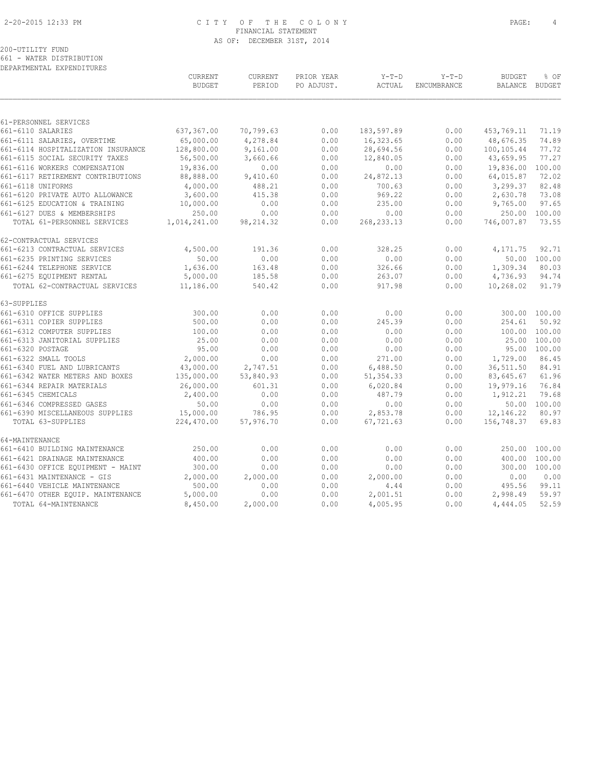### 2-20-2015 12:33 PM C I T Y O F T H E C O L O N Y PAGE: 4 FINANCIAL STATEMENT AS OF: DECEMBER 31ST, 2014

# 200-UTILITY FUND

661 - WATER DISTRIBUTION DEPARTMENTAL EXPENDITURES

|                                    | CURRENT<br><b>BUDGET</b> | CURRENT<br>PERIOD | PRIOR YEAR<br>PO ADJUST. | $Y-T-D$<br>ACTUAL | $Y-T-D$<br>ENCUMBRANCE | <b>BUDGET</b><br><b>BALANCE</b> | % OF<br>BUDGET |
|------------------------------------|--------------------------|-------------------|--------------------------|-------------------|------------------------|---------------------------------|----------------|
|                                    |                          |                   |                          |                   |                        |                                 |                |
| 61-PERSONNEL SERVICES              |                          |                   |                          |                   |                        |                                 |                |
| 661-6110 SALARIES                  | 637,367.00               | 70,799.63         | 0.00                     | 183,597.89        | 0.00                   | 453,769.11                      | 71.19          |
| 661-6111 SALARIES, OVERTIME        | 65,000.00                | 4,278.84          | 0.00                     | 16,323.65         | 0.00                   | 48,676.35                       | 74.89          |
| 661-6114 HOSPITALIZATION INSURANCE | 128,800.00               | 9,161.00          | 0.00                     | 28,694.56         | 0.00                   | 100,105.44                      | 77.72          |
| 661-6115 SOCIAL SECURITY TAXES     | 56,500.00                | 3,660.66          | 0.00                     | 12,840.05         | 0.00                   | 43,659.95                       | 77.27          |
| 661-6116 WORKERS COMPENSATION      | 19,836.00                | 0.00              | 0.00                     | 0.00              | 0.00                   | 19,836.00                       | 100.00         |
| 661-6117 RETIREMENT CONTRIBUTIONS  | 88,888.00                | 9,410.60          | 0.00                     | 24,872.13         | 0.00                   | 64,015.87                       | 72.02          |
| 661-6118 UNIFORMS                  | 4,000.00                 | 488.21            | 0.00                     | 700.63            | 0.00                   | 3,299.37                        | 82.48          |
| 661-6120 PRIVATE AUTO ALLOWANCE    | 3,600.00                 | 415.38            | 0.00                     | 969.22            | 0.00                   | 2,630.78                        | 73.08          |
| 661-6125 EDUCATION & TRAINING      | 10,000.00                | 0.00              | 0.00                     | 235.00            | 0.00                   | 9,765.00                        | 97.65          |
| 661-6127 DUES & MEMBERSHIPS        | 250.00                   | 0.00              | 0.00                     | 0.00              | 0.00                   | 250.00                          | 100.00         |
| TOTAL 61-PERSONNEL SERVICES        | 1,014,241.00             | 98, 214.32        | 0.00                     | 268, 233. 13      | 0.00                   | 746,007.87                      | 73.55          |
| 62-CONTRACTUAL SERVICES            |                          |                   |                          |                   |                        |                                 |                |
| 661-6213 CONTRACTUAL SERVICES      | 4,500.00                 | 191.36            | 0.00                     | 328.25            | 0.00                   | 4,171.75                        | 92.71          |
| 661-6235 PRINTING SERVICES         | 50.00                    | 0.00              | 0.00                     | 0.00              | 0.00                   | 50.00                           | 100.00         |
| 661-6244 TELEPHONE SERVICE         | 1,636.00                 | 163.48            | 0.00                     | 326.66            | 0.00                   | 1,309.34                        | 80.03          |
| 661-6275 EQUIPMENT RENTAL          | 5,000.00                 | 185.58            | 0.00                     | 263.07            | 0.00                   | 4,736.93                        | 94.74          |
| TOTAL 62-CONTRACTUAL SERVICES      | 11,186.00                | 540.42            | 0.00                     | 917.98            | 0.00                   | 10,268.02                       | 91.79          |
| 63-SUPPLIES                        |                          |                   |                          |                   |                        |                                 |                |
| 661-6310 OFFICE SUPPLIES           | 300.00                   | 0.00              | 0.00                     | 0.00              | 0.00                   |                                 | 300.00 100.00  |
| 661-6311 COPIER SUPPLIES           | 500.00                   | 0.00              | 0.00                     | 245.39            | 0.00                   | 254.61                          | 50.92          |
| 661-6312 COMPUTER SUPPLIES         | 100.00                   | 0.00              | 0.00                     | 0.00              | 0.00                   | 100.00                          | 100.00         |
| 661-6313 JANITORIAL SUPPLIES       | 25.00                    | 0.00              | 0.00                     | 0.00              | 0.00                   | 25.00                           | 100.00         |
| 661-6320 POSTAGE                   | 95.00                    | 0.00              | 0.00                     | 0.00              | 0.00                   |                                 | 95.00 100.00   |
| 661-6322 SMALL TOOLS               | 2,000.00                 | 0.00              | 0.00                     | 271.00            | 0.00                   | 1,729.00                        | 86.45          |
| 661-6340 FUEL AND LUBRICANTS       | 43,000.00                | 2,747.51          | 0.00                     | 6,488.50          | 0.00                   | 36,511.50                       | 84.91          |
| 661-6342 WATER METERS AND BOXES    | 135,000.00               | 53,840.93         | 0.00                     | 51, 354.33        | 0.00                   | 83,645.67                       | 61.96          |
| 661-6344 REPAIR MATERIALS          | 26,000.00                | 601.31            | 0.00                     | 6,020.84          | 0.00                   | 19,979.16                       | 76.84          |
| 661-6345 CHEMICALS                 | 2,400.00                 | 0.00              | 0.00                     | 487.79            | 0.00                   | 1,912.21                        | 79.68          |
| 661-6346 COMPRESSED GASES          | 50.00                    | 0.00              | 0.00                     | 0.00              | 0.00                   | 50.00                           | 100.00         |
| 661-6390 MISCELLANEOUS SUPPLIES    | 15,000.00                | 786.95            | 0.00                     | 2,853.78          | 0.00                   | 12,146.22                       | 80.97          |
| TOTAL 63-SUPPLIES                  | 224,470.00               | 57,976.70         | 0.00                     | 67,721.63         | 0.00                   | 156,748.37                      | 69.83          |
| 64-MAINTENANCE                     |                          |                   |                          |                   |                        |                                 |                |
| 661-6410 BUILDING MAINTENANCE      | 250.00                   | 0.00              | 0.00                     | 0.00              | 0.00                   | 250.00                          | 100.00         |
| 661-6421 DRAINAGE MAINTENANCE      | 400.00                   | 0.00              | 0.00                     | 0.00              | 0.00                   | 400.00                          | 100.00         |
| 661-6430 OFFICE EQUIPMENT - MAINT  | 300.00                   | 0.00              | 0.00                     | 0.00              | 0.00                   | 300.00                          | 100.00         |
| 661-6431 MAINTENANCE - GIS         | 2,000.00                 | 2,000.00          | 0.00                     | 2,000.00          | 0.00                   | 0.00                            | 0.00           |
| 661-6440 VEHICLE MAINTENANCE       | 500.00                   | 0.00              | 0.00                     | 4.44              | 0.00                   | 495.56                          | 99.11          |
| 661-6470 OTHER EQUIP. MAINTENANCE  | 5,000.00                 | 0.00              | 0.00                     | 2,001.51          | 0.00                   | 2,998.49                        | 59.97          |
| TOTAL 64-MAINTENANCE               | 8,450.00                 | 2,000.00          | 0.00                     | 4,005.95          | 0.00                   | 4,444.05                        | 52.59          |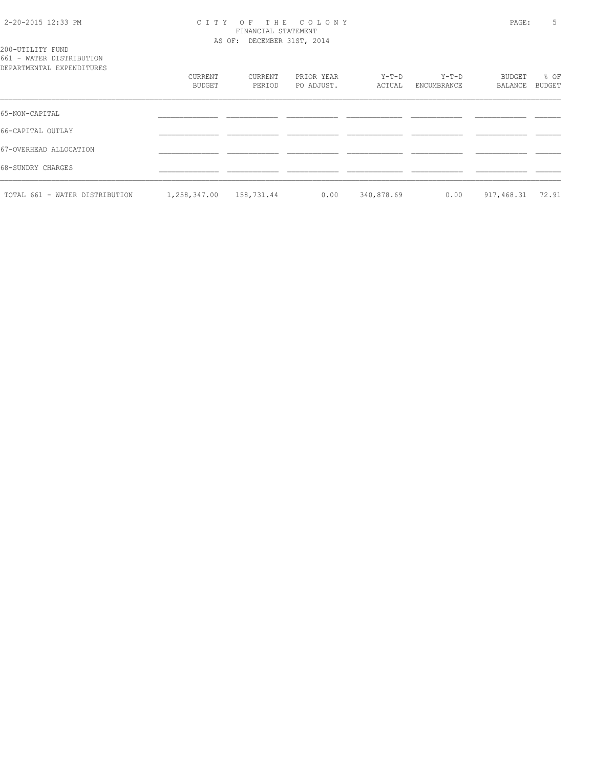### 2-20-2015 12:33 PM C I T Y O F T H E C O L O N Y PAGE: 5 FINANCIAL STATEMENT AS OF: DECEMBER 31ST, 2014

| 200-UTILITY FUND |                           |
|------------------|---------------------------|
|                  | 661 - WATER DISTRIBUTION  |
|                  | DEPARTMENTAL EXPENDITHERS |

| DEPARTMENTAL EXPENDITURES      |              |            |            |            |             |            |               |
|--------------------------------|--------------|------------|------------|------------|-------------|------------|---------------|
|                                | CURRENT      | CURRENT    | PRIOR YEAR | Y-T-D      | $Y-T-D$     | BUDGET     | % OF          |
|                                | BUDGET       | PERIOD     | PO ADJUST. | ACTUAL     | ENCUMBRANCE | BALANCE    | <b>BUDGET</b> |
| 65-NON-CAPITAL                 |              |            |            |            |             |            |               |
| 66-CAPITAL OUTLAY              |              |            |            |            |             |            |               |
| 67-OVERHEAD ALLOCATION         |              |            |            |            |             |            |               |
| 68-SUNDRY CHARGES              |              |            |            |            |             |            |               |
| TOTAL 661 - WATER DISTRIBUTION | 1,258,347.00 | 158,731.44 | 0.00       | 340,878.69 | 0.00        | 917,468.31 | 72.91         |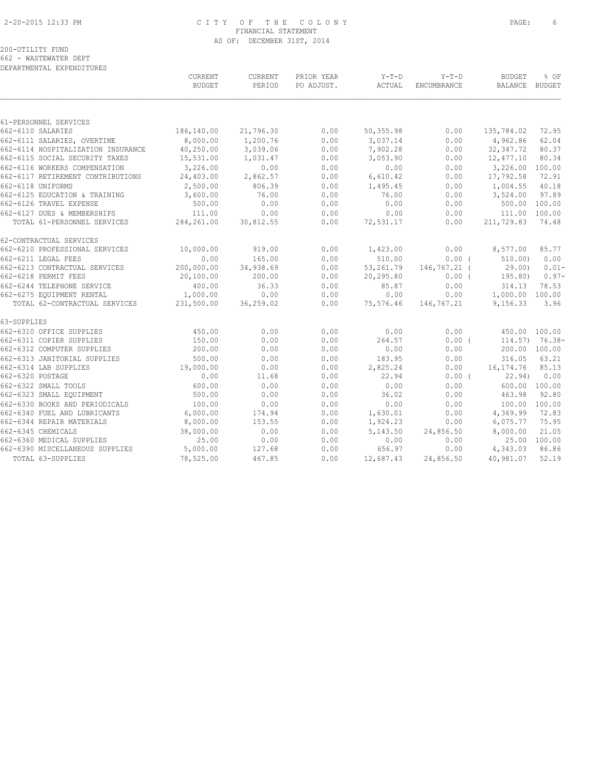### 2-20-2015 12:33 PM C I T Y O F T H E C O L O N Y PAGE: 6 FINANCIAL STATEMENT AS OF: DECEMBER 31ST, 2014

DEPARTMENTAL EXPENDITURES CURRENT CURRENT PRIOR YEAR Y-T-D Y-T-D BUDGET % OF

|                                    | <b>BUDGET</b> | PERIOD    | PO ADJUST. | ACTUAL    | ENCUMBRANCE  | BALANCE BUDGET  |                   |
|------------------------------------|---------------|-----------|------------|-----------|--------------|-----------------|-------------------|
|                                    |               |           |            |           |              |                 |                   |
| 61-PERSONNEL SERVICES              |               |           |            |           |              |                 |                   |
| 662-6110 SALARIES                  | 186,140.00    | 21,796.30 | 0.00       | 50,355.98 | 0.00         | 135,784.02      | 72.95             |
| 662-6111 SALARIES, OVERTIME        | 8,000.00      | 1,200.76  | 0.00       | 3,037.14  | 0.00         | 4,962.86        | 62.04             |
| 662-6114 HOSPITALIZATION INSURANCE | 40,250.00     | 3,039.06  | 0.00       | 7,902.28  | 0.00         | 32, 347.72      | 80.37             |
| 662-6115 SOCIAL SECURITY TAXES     | 15,531.00     | 1,031.47  | 0.00       | 3,053.90  | 0.00         | 12,477.10       | 80.34             |
| 662-6116 WORKERS COMPENSATION      | 3,226.00      | 0.00      | 0.00       | 0.00      | 0.00         | 3,226.00        | 100.00            |
| 662-6117 RETIREMENT CONTRIBUTIONS  | 24,403.00     | 2,862.57  | 0.00       | 6,610.42  | 0.00         | 17,792.58       | 72.91             |
| 662-6118 UNIFORMS                  | 2,500.00      | 806.39    | 0.00       | 1,495.45  | 0.00         | 1,004.55        | 40.18             |
| 662-6125 EDUCATION & TRAINING      | 3,600.00      | 76.00     | 0.00       | 76.00     | 0.00         | 3,524.00        | 97.89             |
| 662-6126 TRAVEL EXPENSE            | 500.00        | 0.00      | 0.00       | 0.00      | 0.00         |                 | 500.00 100.00     |
| 662-6127 DUES & MEMBERSHIPS        | 111.00        | 0.00      | 0.00       | 0.00      | 0.00         | 111.00 100.00   |                   |
| TOTAL 61-PERSONNEL SERVICES        | 284,261.00    | 30,812.55 | 0.00       | 72,531.17 | 0.00         | 211,729.83      | 74.48             |
| 62-CONTRACTUAL SERVICES            |               |           |            |           |              |                 |                   |
| 662-6210 PROFESSIONAL SERVICES     | 10,000.00     | 919.00    | 0.00       | 1,423.00  | 0.00         | 8,577.00        | 85.77             |
| 662-6211 LEGAL FEES                | 0.00          | 165.00    | 0.00       | 510.00    | 0.00(        | 510.00          | 0.00              |
| 662-6213 CONTRACTUAL SERVICES      | 200,000.00    | 34,938.69 | 0.00       | 53,261.79 | 146,767.21 ( | 29.00)          | $0.01 -$          |
| 662-6218 PERMIT FEES               | 20,100.00     | 200.00    | 0.00       | 20,295.80 | $0.00$ (     | 195.80)         | $0.97-$           |
| 662-6244 TELEPHONE SERVICE         | 400.00        | 36.33     | 0.00       | 85.87     | 0.00         | 314.13          | 78.53             |
| 662-6275 EQUIPMENT RENTAL          | 1,000.00      | 0.00      | 0.00       | 0.00      | 0.00         | 1,000.00 100.00 |                   |
| TOTAL 62-CONTRACTUAL SERVICES      | 231,500.00    | 36,259.02 | 0.00       | 75,576.46 | 146,767.21   | 9,156.33        | 3.96              |
| 63-SUPPLIES                        |               |           |            |           |              |                 |                   |
| 662-6310 OFFICE SUPPLIES           | 450.00        | 0.00      | 0.00       | 0.00      | 0.00         | 450.00 100.00   |                   |
| 662-6311 COPIER SUPPLIES           | 150.00        | 0.00      | 0.00       | 264.57    | $0.00$ (     |                 | $114.57$ ) 76.38- |
| 662-6312 COMPUTER SUPPLIES         | 200.00        | 0.00      | 0.00       | 0.00      | 0.00         |                 | 200.00 100.00     |
| 662-6313 JANITORIAL SUPPLIES       | 500.00        | 0.00      | 0.00       | 183.95    | 0.00         | 316.05          | 63.21             |
| 662-6314 LAB SUPPLIES              | 19,000.00     | 0.00      | 0.00       | 2,825.24  | 0.00         | 16, 174.76      | 85.13             |
| 662-6320 POSTAGE                   | 0.00          | 11.68     | 0.00       | 22.94     | 0.00(        | 22.94)          | 0.00              |
| 662-6322 SMALL TOOLS               | 600.00        | 0.00      | 0.00       | 0.00      | 0.00         |                 | 600.00 100.00     |
| 662-6323 SMALL EQUIPMENT           | 500.00        | 0.00      | 0.00       | 36.02     | 0.00         | 463.98          | 92.80             |
| 662-6330 BOOKS AND PERIODICALS     | 100.00        | 0.00      | 0.00       | 0.00      | 0.00         |                 | 100.00 100.00     |
| 662-6340 FUEL AND LUBRICANTS       | 6,000.00      | 174.94    | 0.00       | 1,630.01  | 0.00         | 4,369.99        | 72.83             |
| 662-6344 REPAIR MATERIALS          | 8,000.00      | 153.55    | 0.00       | 1,924.23  | 0.00         | 6,075.77        | 75.95             |
| 662-6345 CHEMICALS                 | 38,000.00     | 0.00      | 0.00       | 5,143.50  | 24,856.50    | 8,000.00        | 21.05             |
| 662-6360 MEDICAL SUPPLIES          | 25.00         | 0.00      | 0.00       | 0.00      | 0.00         |                 | 25.00 100.00      |
| 662-6390 MISCELLANEOUS SUPPLIES    | 5,000.00      | 127.68    | 0.00       | 656.97    | 0.00         | 4,343.03        | 86.86             |
| TOTAL 63-SUPPLIES                  | 78,525.00     | 467.85    | 0.00       | 12,687.43 | 24,856.50    | 40,981.07       | 52.19             |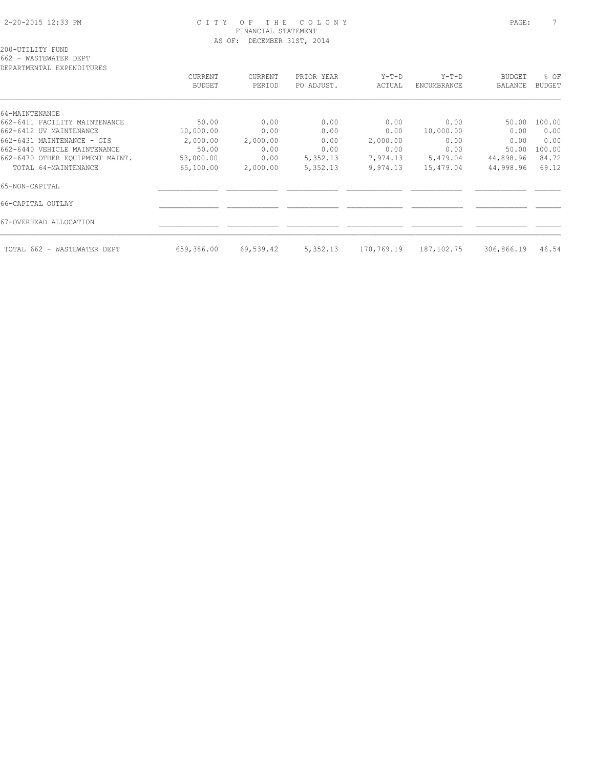### 2-20-2015 12:33 PM C I T Y O F T H E C O L O N Y PAGE: 7 FINANCIAL STATEMENT AS OF: DECEMBER 31ST, 2014

200-UTILITY FUND 662 - WASTEWATER DEPT

DEPARTMENTAL EXPENDITURES

| DEFANIMENIAL EAFENDIIUNES       | CURRENT<br><b>BUDGET</b> | CURRENT<br>PERIOD | PRIOR YEAR<br>PO ADJUST. | $Y-T-D$<br>ACTUAL | $Y-T-D$<br>ENCUMBRANCE | <b>BUDGET</b><br>BALANCE | % OF<br><b>BUDGET</b> |
|---------------------------------|--------------------------|-------------------|--------------------------|-------------------|------------------------|--------------------------|-----------------------|
| 64-MAINTENANCE                  |                          |                   |                          |                   |                        |                          |                       |
| 662-6411 FACILITY MAINTENANCE   | 50.00                    | 0.00              | 0.00                     | 0.00              | 0.00                   | 50.00                    | 100.00                |
| 662-6412 UV MAINTENANCE         | 10,000.00                | 0.00              | 0.00                     | 0.00              | 10,000.00              | 0.00                     | 0.00                  |
| 662-6431 MAINTENANCE - GIS      | 2,000.00                 | 2,000.00          | 0.00                     | 2,000.00          | 0.00                   | 0.00                     | 0.00                  |
| 662-6440 VEHICLE MAINTENANCE    | 50.00                    | 0.00              | 0.00                     | 0.00              | 0.00                   | 50.00                    | 100.00                |
| 662-6470 OTHER EQUIPMENT MAINT. | 53,000.00                | 0.00              | 5,352.13                 | 7,974.13          | 5,479.04               | 44,898.96                | 84.72                 |
| TOTAL 64-MAINTENANCE            | 65,100.00                | 2,000.00          | 5,352.13                 | 9,974.13          | 15,479.04              | 44,998.96                | 69.12                 |
| 65-NON-CAPITAL                  |                          |                   |                          |                   |                        |                          |                       |
| 66-CAPITAL OUTLAY               |                          |                   |                          |                   |                        |                          |                       |
| 67-OVERHEAD ALLOCATION          |                          |                   |                          |                   |                        |                          |                       |
| TOTAL 662 - WASTEWATER DEPT     | 659,386.00               | 69,539.42         | 5,352.13                 | 170,769.19        | 187,102.75             | 306,866.19               | 46.54                 |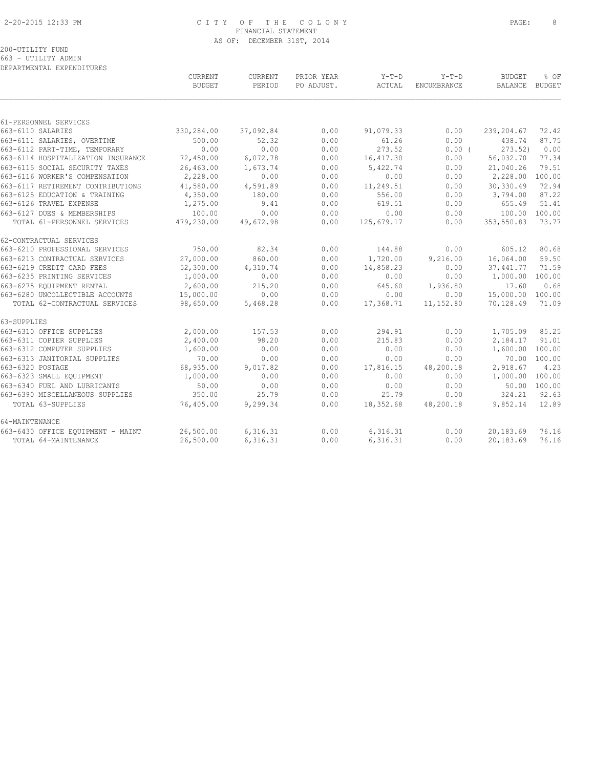### 2-20-2015 12:33 PM C I T Y O F T H E C O L O N Y PAGE: 8 FINANCIAL STATEMENT AS OF: DECEMBER 31ST, 2014

|                                    | CURRENT<br>BUDGET | CURRENT<br>PERIOD | PRIOR YEAR<br>PO ADJUST. | Y-T-D<br>ACTUAL | $Y-T-D$<br>ENCUMBRANCE | <b>BUDGET</b><br>BALANCE | % OF<br><b>BUDGET</b> |
|------------------------------------|-------------------|-------------------|--------------------------|-----------------|------------------------|--------------------------|-----------------------|
|                                    |                   |                   |                          |                 |                        |                          |                       |
| 61-PERSONNEL SERVICES              |                   |                   |                          |                 |                        |                          |                       |
| 663-6110 SALARIES                  | 330,284.00        | 37,092.84         | 0.00                     | 91,079.33       | 0.00                   | 239,204.67               | 72.42                 |
| 663-6111 SALARIES, OVERTIME        | 500.00            | 52.32             | 0.00                     | 61.26           | 0.00                   | 438.74                   | 87.75                 |
| 663-6112 PART-TIME, TEMPORARY      | 0.00              | 0.00              | 0.00                     | 273.52          | $0.00$ (               | 273.52)                  | 0.00                  |
| 663-6114 HOSPITALIZATION INSURANCE | 72,450.00         | 6,072.78          | 0.00                     | 16,417.30       | 0.00                   | 56,032.70                | 77.34                 |
| 663-6115 SOCIAL SECURITY TAXES     | 26,463.00         | 1,673.74          | 0.00                     | 5,422.74        | 0.00                   | 21,040.26                | 79.51                 |
| 663-6116 WORKER'S COMPENSATION     | 2,228.00          | 0.00              | 0.00                     | 0.00            | 0.00                   | 2,228.00                 | 100.00                |
| 663-6117 RETIREMENT CONTRIBUTIONS  | 41,580.00         | 4,591.89          | 0.00                     | 11,249.51       | 0.00                   | 30,330.49                | 72.94                 |
| 663-6125 EDUCATION & TRAINING      | 4,350.00          | 180.00            | 0.00                     | 556.00          | 0.00                   | 3,794.00                 | 87.22                 |
| 663-6126 TRAVEL EXPENSE            | 1,275.00          | 9.41              | 0.00                     | 619.51          | 0.00                   | 655.49                   | 51.41                 |
| 663-6127 DUES & MEMBERSHIPS        | 100.00            | 0.00              | 0.00                     | 0.00            | 0.00                   | 100.00                   | 100.00                |
| TOTAL 61-PERSONNEL SERVICES        | 479,230.00        | 49,672.98         | 0.00                     | 125,679.17      | 0.00                   | 353,550.83               | 73.77                 |
| 62-CONTRACTUAL SERVICES            |                   |                   |                          |                 |                        |                          |                       |
| 663-6210 PROFESSIONAL SERVICES     | 750.00            | 82.34             | 0.00                     | 144.88          | 0.00                   | 605.12                   | 80.68                 |
| 663-6213 CONTRACTUAL SERVICES      | 27,000.00         | 860.00            | 0.00                     | 1,720.00        | 9,216.00               | 16,064.00                | 59.50                 |
| 663-6219 CREDIT CARD FEES          | 52,300.00         | 4,310.74          | 0.00                     | 14,858.23       | 0.00                   | 37,441.77                | 71.59                 |
| 663-6235 PRINTING SERVICES         | 1,000.00          | 0.00              | 0.00                     | 0.00            | 0.00                   | 1,000.00                 | 100.00                |
| 663-6275 EQUIPMENT RENTAL          | 2,600.00          | 215.20            | 0.00                     | 645.60          | 1,936.80               | 17.60                    | 0.68                  |
| 663-6280 UNCOLLECTIBLE ACCOUNTS    | 15,000.00         | 0.00              | 0.00                     | 0.00            | 0.00                   | 15,000.00                | 100.00                |
| TOTAL 62-CONTRACTUAL SERVICES      | 98,650.00         | 5,468.28          | 0.00                     | 17,368.71       | 11,152.80              | 70,128.49                | 71.09                 |
| 63-SUPPLIES                        |                   |                   |                          |                 |                        |                          |                       |
| 663-6310 OFFICE SUPPLIES           | 2,000.00          | 157.53            | 0.00                     | 294.91          | 0.00                   | 1,705.09                 | 85.25                 |
| 663-6311 COPIER SUPPLIES           | 2,400.00          | 98.20             | 0.00                     | 215.83          | 0.00                   | 2,184.17                 | 91.01                 |
| 663-6312 COMPUTER SUPPLIES         | 1,600.00          | 0.00              | 0.00                     | 0.00            | 0.00                   | 1,600.00                 | 100.00                |
| 663-6313 JANITORIAL SUPPLIES       | 70.00             | 0.00              | 0.00                     | 0.00            | 0.00                   |                          | 70.00 100.00          |
| 663-6320 POSTAGE                   | 68,935.00         | 9,017.82          | 0.00                     | 17,816.15       | 48,200.18              | 2,918.67                 | 4.23                  |
| 663-6323 SMALL EQUIPMENT           | 1,000.00          | 0.00              | 0.00                     | 0.00            | 0.00                   | 1,000.00 100.00          |                       |
| 663-6340 FUEL AND LUBRICANTS       | 50.00             | 0.00              | 0.00                     | 0.00            | 0.00                   |                          | 50.00 100.00          |
| 663-6390 MISCELLANEOUS SUPPLIES    | 350.00            | 25.79             | 0.00                     | 25.79           | 0.00                   | 324.21                   | 92.63                 |
| TOTAL 63-SUPPLIES                  | 76,405.00         | 9,299.34          | 0.00                     | 18,352.68       | 48,200.18              | 9,852.14                 | 12.89                 |
| 64-MAINTENANCE                     |                   |                   |                          |                 |                        |                          |                       |
| 663-6430 OFFICE EQUIPMENT - MAINT  | 26,500.00         | 6,316.31          | 0.00                     | 6,316.31        | 0.00                   | 20,183.69                | 76.16                 |
| TOTAL 64-MAINTENANCE               | 26,500.00         | 6,316.31          | 0.00                     | 6,316.31        | 0.00                   | 20,183.69                | 76.16                 |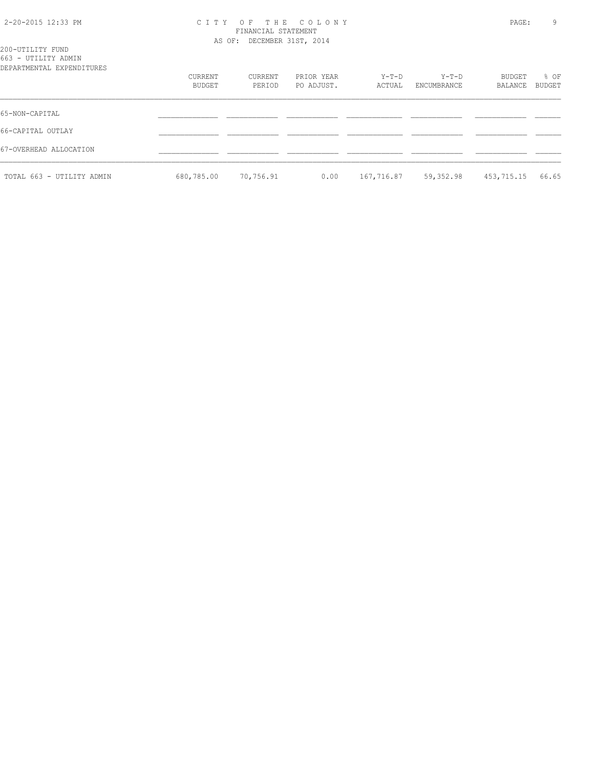### 2-20-2015 12:33 PM C I T Y O F T H E C O L O N Y PAGE: 9 FINANCIAL STATEMENT AS OF: DECEMBER 31ST, 2014

| 200-UTILITY FUND<br>663 - UTILITY ADMIN<br>DEPARTMENTAL EXPENDITURES |                   |                   |                          |                 |                      |                          |                       |
|----------------------------------------------------------------------|-------------------|-------------------|--------------------------|-----------------|----------------------|--------------------------|-----------------------|
|                                                                      | CURRENT<br>BUDGET | CURRENT<br>PERIOD | PRIOR YEAR<br>PO ADJUST. | Y-T-D<br>ACTUAL | Y-T-D<br>ENCUMBRANCE | BUDGET<br><b>BALANCE</b> | % OF<br><b>BUDGET</b> |
| 65-NON-CAPITAL                                                       |                   |                   |                          |                 |                      |                          |                       |
| 66-CAPITAL OUTLAY                                                    |                   |                   |                          |                 |                      |                          |                       |
| 67-OVERHEAD ALLOCATION                                               |                   |                   |                          |                 |                      |                          |                       |
| TOTAL 663 - UTILITY ADMIN                                            | 680,785.00        | 70,756.91         | 0.00                     | 167,716.87      | 59,352.98            | 453,715.15               | 66.65                 |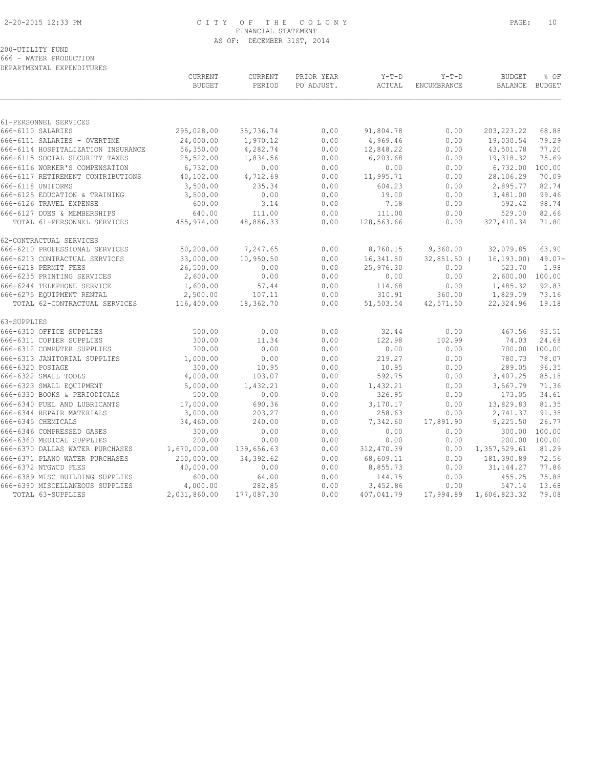### 2-20-2015 12:33 PM C I T Y O F T H E C O L O N Y PAGE: 10 FINANCIAL STATEMENT AS OF: DECEMBER 31ST, 2014

200-UTILITY FUND 666 - WATER PRODUCTION

DEPARTMENTAL EXPENDITURES

|                                                          | CURRENT<br><b>BUDGET</b> | CURRENT<br>PERIOD | PRIOR YEAR<br>PO ADJUST. | $Y-T-D$<br>ACTUAL  | $Y-T-D$<br>ENCUMBRANCE | <b>BUDGET</b><br><b>BALANCE</b> | % OF<br><b>BUDGET</b> |
|----------------------------------------------------------|--------------------------|-------------------|--------------------------|--------------------|------------------------|---------------------------------|-----------------------|
|                                                          |                          |                   |                          |                    |                        |                                 |                       |
| 61-PERSONNEL SERVICES<br>666-6110 SALARIES               | 295,028.00               | 35,736.74         | 0.00                     | 91,804.78          | 0.00                   | 203, 223. 22                    | 68.88                 |
| 666-6111 SALARIES - OVERTIME                             | 24,000.00                | 1,970.12          | 0.00                     | 4,969.46           | 0.00                   | 19,030.54                       | 79.29                 |
| 666-6114 HOSPITALIZATION INSURANCE                       | 56,350.00                | 4,282.74          | 0.00                     | 12,848.22          | 0.00                   | 43,501.78                       | 77.20                 |
| 666-6115 SOCIAL SECURITY TAXES                           | 25,522.00                | 1,834.56          | 0.00                     | 6,203.68           | 0.00                   | 19,318.32                       | 75.69                 |
| 666-6116 WORKER'S COMPENSATION                           | 6,732.00                 | 0.00              | 0.00                     | 0.00               | 0.00                   | 6,732.00                        | 100.00                |
| 666-6117 RETIREMENT CONTRIBUTIONS                        | 40,102.00                | 4,712.69          | 0.00                     | 11,995.71          | 0.00                   | 28,106.29                       | 70.09                 |
| 666-6118 UNIFORMS                                        | 3,500.00                 | 235.34            | 0.00                     | 604.23             | 0.00                   | 2,895.77                        | 82.74                 |
| 666-6125 EDUCATION & TRAINING                            | 3,500.00                 | 0.00              | 0.00                     | 19.00              | 0.00                   | 3,481.00                        | 99.46                 |
| 666-6126 TRAVEL EXPENSE                                  | 600.00                   | 3.14              | 0.00                     | 7.58               | 0.00                   | 592.42                          | 98.74                 |
| 666-6127 DUES & MEMBERSHIPS                              | 640.00                   | 111.00            | 0.00                     | 111.00             | 0.00                   | 529.00                          | 82.66                 |
| TOTAL 61-PERSONNEL SERVICES                              | 455,974.00               | 48,886.33         | 0.00                     | 128,563.66         | 0.00                   | 327, 410.34                     | 71.80                 |
| 62-CONTRACTUAL SERVICES                                  |                          |                   |                          |                    |                        |                                 |                       |
| 666-6210 PROFESSIONAL SERVICES                           | 50,200.00                | 7,247.65          | 0.00                     | 8,760.15           | 9,360.00               | 32,079.85                       | 63.90                 |
| 666-6213 CONTRACTUAL SERVICES                            | 33,000.00                | 10,950.50         | 0.00                     | 16,341.50          | $32,851.50$ (          | 16, 193, 00)                    | $49.07 -$             |
| 666-6218 PERMIT FEES                                     | 26,500.00                | 0.00              | 0.00                     | 25,976.30          | 0.00                   | 523.70                          | 1.98                  |
| 666-6235 PRINTING SERVICES                               | 2,600.00                 | 0.00              | 0.00                     | 0.00               | 0.00                   | 2,600.00                        | 100.00                |
| 666-6244 TELEPHONE SERVICE                               | 1,600.00                 | 57.44             | 0.00                     | 114.68             | 0.00                   | 1,485.32                        | 92.83                 |
| 666-6275 EQUIPMENT RENTAL                                | 2,500.00                 | 107.11            | 0.00                     | 310.91             | 360.00                 | 1,829.09                        | 73.16                 |
| TOTAL 62-CONTRACTUAL SERVICES                            | 116,400.00               | 18,362.70         | 0.00                     | 51,503.54          | 42,571.50              | 22,324.96                       | 19.18                 |
| 63-SUPPLIES                                              |                          |                   |                          |                    |                        |                                 |                       |
| 666-6310 OFFICE SUPPLIES                                 | 500.00                   | 0.00              | 0.00                     | 32.44              | 0.00                   | 467.56                          | 93.51                 |
| 666-6311 COPIER SUPPLIES                                 | 300.00                   | 11.34             | 0.00                     | 122.98             | 102.99                 | 74.03                           | 24.68                 |
| 666-6312 COMPUTER SUPPLIES                               | 700.00                   | 0.00              | 0.00                     | 0.00               | 0.00                   | 700.00                          | 100.00                |
| 666-6313 JANITORIAL SUPPLIES                             | 1,000.00                 | 0.00              | 0.00                     | 219.27             | 0.00                   | 780.73                          | 78.07                 |
| 666-6320 POSTAGE                                         | 300.00                   | 10.95             | 0.00                     | 10.95              | 0.00                   | 289.05                          | 96.35                 |
| 666-6322 SMALL TOOLS                                     | 4,000.00                 | 103.07            | 0.00                     | 592.75             | 0.00                   | 3,407.25                        | 85.18                 |
| 666-6323 SMALL EQUIPMENT<br>666-6330 BOOKS & PERIODICALS | 5,000.00<br>500.00       | 1,432.21<br>0.00  | 0.00<br>0.00             | 1,432.21<br>326.95 | 0.00<br>0.00           | 3,567.79<br>173.05              | 71.36<br>34.61        |
| 666-6340 FUEL AND LUBRICANTS                             | 17,000.00                | 690.36            | 0.00                     | 3,170.17           | 0.00                   | 13,829.83                       | 81.35                 |
| 666-6344 REPAIR MATERIALS                                | 3,000.00                 | 203.27            | 0.00                     | 258.63             | 0.00                   | 2,741.37                        | 91.38                 |
| 666-6345 CHEMICALS                                       | 34,460.00                | 240.00            | 0.00                     | 7,342.60           | 17,891.90              | 9,225.50                        | 26.77                 |
| 666-6346 COMPRESSED GASES                                | 300.00                   | 0.00              | 0.00                     | 0.00               | 0.00                   | 300.00                          | 100.00                |
| 666-6360 MEDICAL SUPPLIES                                | 200.00                   | 0.00              | 0.00                     | 0.00               | 0.00                   | 200.00                          | 100.00                |
| 666-6370 DALLAS WATER PURCHASES                          | 1,670,000.00             | 139,656.63        | 0.00                     | 312,470.39         | 0.00                   | 1,357,529.61                    | 81.29                 |
| 666-6371 PLANO WATER PURCHASES                           | 250,000.00               | 34, 392.62        | 0.00                     | 68,609.11          | 0.00                   | 181,390.89                      | 72.56                 |
| 666-6372 NTGWCD FEES                                     | 40,000.00                | 0.00              | 0.00                     | 8,855.73           | 0.00                   | 31, 144. 27                     | 77.86                 |
| 666-6389 MISC BUILDING SUPPLIES                          | 600.00                   | 64.00             | 0.00                     | 144.75             | 0.00                   | 455.25                          | 75.88                 |
| 666-6390 MISCELLANEOUS SUPPLIES                          | 4,000.00                 | 282.85            | 0.00                     | 3,452.86           | 0.00                   | 547.14                          | 13.68                 |
| TOTAL 63-SUPPLIES                                        | 2,031,860.00             | 177,087.30        | 0.00                     | 407,041.79         | 17,994.89              | 1,606,823.32                    | 79.08                 |
|                                                          |                          |                   |                          |                    |                        |                                 |                       |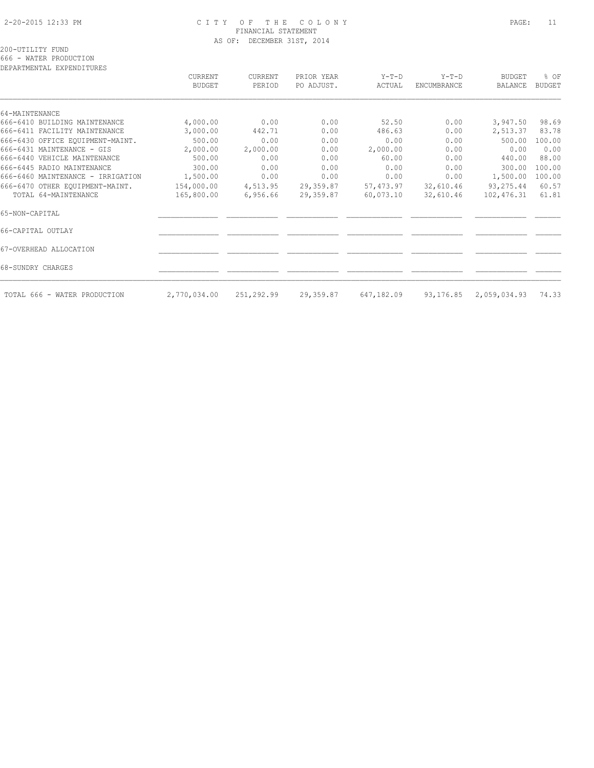### 2-20-2015 12:33 PM C I T Y O F T H E C O L O N Y PAGE: 11 FINANCIAL STATEMENT AS OF: DECEMBER 31ST, 2014

200-UTILITY FUND

666 - WATER PRODUCTION

| DEPARTMENTAL EXPENDITURES         |                          |                   |                          |                   |                        |                          |                       |
|-----------------------------------|--------------------------|-------------------|--------------------------|-------------------|------------------------|--------------------------|-----------------------|
|                                   | CURRENT<br><b>BUDGET</b> | CURRENT<br>PERIOD | PRIOR YEAR<br>PO ADJUST. | $Y-T-D$<br>ACTUAL | $Y-T-D$<br>ENCUMBRANCE | <b>BUDGET</b><br>BALANCE | % OF<br><b>BUDGET</b> |
| 64-MAINTENANCE                    |                          |                   |                          |                   |                        |                          |                       |
| 666-6410 BUILDING MAINTENANCE     | 4,000.00                 | 0.00              | 0.00                     | 52.50             | 0.00                   | 3,947.50                 | 98.69                 |
| 666-6411 FACILITY MAINTENANCE     | 3,000.00                 | 442.71            | 0.00                     | 486.63            | 0.00                   | 2,513.37                 | 83.78                 |
| 666-6430 OFFICE EQUIPMENT-MAINT.  | 500.00                   | 0.00              | 0.00                     | 0.00              | 0.00                   | 500.00                   | 100.00                |
| 666-6431 MAINTENANCE - GIS        | 2,000.00                 | 2,000.00          | 0.00                     | 2,000.00          | 0.00                   | 0.00                     | 0.00                  |
| 666-6440 VEHICLE MAINTENANCE      | 500.00                   | 0.00              | 0.00                     | 60.00             | 0.00                   | 440.00                   | 88.00                 |
| 666-6445 RADIO MAINTENANCE        | 300.00                   | 0.00              | 0.00                     | 0.00              | 0.00                   | 300.00                   | 100.00                |
| 666-6460 MAINTENANCE - IRRIGATION | 1,500.00                 | 0.00              | 0.00                     | 0.00              | 0.00                   | 1,500.00                 | 100.00                |
| 666-6470 OTHER EQUIPMENT-MAINT.   | 154,000.00               | 4,513.95          | 29,359.87                | 57,473.97         | 32,610.46              | 93, 275.44               | 60.57                 |
| TOTAL 64-MAINTENANCE              | 165,800.00               | 6,956.66          | 29,359.87                | 60,073.10         | 32,610.46              | 102,476.31               | 61.81                 |
| 65-NON-CAPITAL                    |                          |                   |                          |                   |                        |                          |                       |
| 66-CAPITAL OUTLAY                 |                          |                   |                          |                   |                        |                          |                       |
| 67-OVERHEAD ALLOCATION            |                          |                   |                          |                   |                        |                          |                       |
| 68-SUNDRY CHARGES                 |                          |                   |                          |                   |                        |                          |                       |
| TOTAL 666 - WATER PRODUCTION      | 2,770,034.00             | 251,292.99        | 29,359.87                | 647,182.09        | 93,176.85              | 2,059,034.93             | 74.33                 |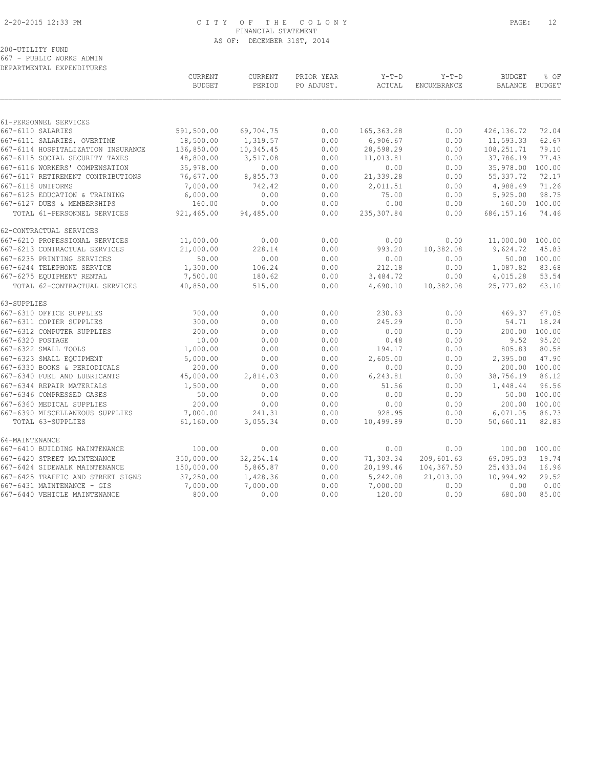### 2-20-2015 12:33 PM C I T Y O F T H E C O L O N Y PAGE: 12 FINANCIAL STATEMENT AS OF: DECEMBER 31ST, 2014

## 200-UTILITY FUND

667 - PUBLIC WORKS ADMIN

|                | DEPARTMENTAL EXPENDITURES                                         |                                 |                          |                          |                   |                        |                          |                       |
|----------------|-------------------------------------------------------------------|---------------------------------|--------------------------|--------------------------|-------------------|------------------------|--------------------------|-----------------------|
|                |                                                                   | <b>CURRENT</b><br><b>BUDGET</b> | <b>CURRENT</b><br>PERIOD | PRIOR YEAR<br>PO ADJUST. | $Y-T-D$<br>ACTUAL | $Y-T-D$<br>ENCUMBRANCE | <b>BUDGET</b><br>BALANCE | % OF<br><b>BUDGET</b> |
|                |                                                                   |                                 |                          |                          |                   |                        |                          |                       |
|                | 61-PERSONNEL SERVICES<br>667-6110 SALARIES                        | 591,500.00                      | 69,704.75                | 0.00                     | 165, 363.28       |                        |                          | 72.04                 |
|                |                                                                   | 18,500.00                       | 1,319.57                 | 0.00                     | 6,906.67          | 0.00<br>0.00           | 426,136.72<br>11,593.33  | 62.67                 |
|                | 667-6111 SALARIES, OVERTIME<br>667-6114 HOSPITALIZATION INSURANCE | 136,850.00                      | 10,345.45                | 0.00                     | 28,598.29         | 0.00                   | 108,251.71               | 79.10                 |
|                | 667-6115 SOCIAL SECURITY TAXES                                    | 48,800.00                       | 3,517.08                 | 0.00                     | 11,013.81         | 0.00                   | 37,786.19                | 77.43                 |
|                | 667-6116 WORKERS' COMPENSATION                                    | 35,978.00                       | 0.00                     | 0.00                     | 0.00              | 0.00                   | 35,978.00                | 100.00                |
|                | 667-6117 RETIREMENT CONTRIBUTIONS                                 | 76,677.00                       | 8,855.73                 | 0.00                     | 21,339.28         | 0.00                   | 55, 337.72               | 72.17                 |
|                | 667-6118 UNIFORMS                                                 | 7,000.00                        | 742.42                   | 0.00                     | 2,011.51          | 0.00                   | 4,988.49                 | 71.26                 |
|                | 667-6125 EDUCATION & TRAINING                                     | 6,000.00                        | 0.00                     | 0.00                     | 75.00             | 0.00                   | 5,925.00                 | 98.75                 |
|                | 667-6127 DUES & MEMBERSHIPS                                       | 160.00                          | 0.00                     | 0.00                     | 0.00              | 0.00                   | 160.00                   | 100.00                |
|                | TOTAL 61-PERSONNEL SERVICES                                       | 921,465.00                      | 94,485.00                | 0.00                     | 235,307.84        | 0.00                   | 686, 157. 16             | 74.46                 |
|                | 62-CONTRACTUAL SERVICES                                           |                                 |                          |                          |                   |                        |                          |                       |
|                | 667-6210 PROFESSIONAL SERVICES                                    | 11,000.00                       | 0.00                     | 0.00                     | 0.00              | 0.00                   | 11,000.00                | 100.00                |
|                | 667-6213 CONTRACTUAL SERVICES                                     | 21,000.00                       | 228.14                   | 0.00                     | 993.20            | 10,382.08              | 9,624.72                 | 45.83                 |
|                | 667-6235 PRINTING SERVICES                                        | 50.00                           | 0.00                     | 0.00                     | 0.00              | 0.00                   | 50.00                    | 100.00                |
|                | 667-6244 TELEPHONE SERVICE                                        | 1,300.00                        | 106.24                   | 0.00                     | 212.18            | 0.00                   | 1,087.82                 | 83.68                 |
|                | 667-6275 EQUIPMENT RENTAL                                         | 7,500.00                        | 180.62                   | 0.00                     | 3,484.72          | 0.00                   | 4,015.28                 | 53.54                 |
|                | TOTAL 62-CONTRACTUAL SERVICES                                     | 40,850.00                       | 515.00                   | 0.00                     | 4,690.10          | 10,382.08              | 25,777.82                | 63.10                 |
| 63-SUPPLIES    |                                                                   |                                 |                          |                          |                   |                        |                          |                       |
|                | 667-6310 OFFICE SUPPLIES                                          | 700.00                          | 0.00                     | 0.00                     | 230.63            | 0.00                   | 469.37                   | 67.05                 |
|                | 667-6311 COPIER SUPPLIES                                          | 300.00                          | 0.00                     | 0.00                     | 245.29            | 0.00                   | 54.71                    | 18.24                 |
|                | 667-6312 COMPUTER SUPPLIES                                        | 200.00                          | 0.00                     | 0.00                     | 0.00              | 0.00                   | 200.00                   | 100.00                |
|                | 667-6320 POSTAGE<br>667-6322 SMALL TOOLS                          | 10.00                           | 0.00<br>0.00             | 0.00                     | 0.48              | 0.00                   | 9.52<br>805.83           | 95.20<br>80.58        |
|                | 667-6323 SMALL EQUIPMENT                                          | 1,000.00                        |                          | 0.00                     | 194.17            | 0.00                   |                          |                       |
|                | 667-6330 BOOKS & PERIODICALS                                      | 5,000.00<br>200.00              | 0.00<br>0.00             | 0.00<br>0.00             | 2,605.00<br>0.00  | 0.00<br>0.00           | 2,395.00<br>200.00       | 47.90<br>100.00       |
|                | 667-6340 FUEL AND LUBRICANTS                                      | 45,000.00                       | 2,814.03                 | 0.00                     | 6,243.81          | 0.00                   | 38,756.19                | 86.12                 |
|                | 667-6344 REPAIR MATERIALS                                         | 1,500.00                        | 0.00                     | 0.00                     | 51.56             | 0.00                   | 1,448.44                 | 96.56                 |
|                | 667-6346 COMPRESSED GASES                                         | 50.00                           | 0.00                     | 0.00                     | 0.00              | 0.00                   |                          | 50.00 100.00          |
|                | 667-6360 MEDICAL SUPPLIES                                         | 200.00                          | 0.00                     | 0.00                     | 0.00              | 0.00                   | 200.00                   | 100.00                |
|                | 667-6390 MISCELLANEOUS SUPPLIES                                   | 7,000.00                        | 241.31                   | 0.00                     | 928.95            | 0.00                   | 6,071.05                 | 86.73                 |
|                | TOTAL 63-SUPPLIES                                                 | 61,160.00                       | 3,055.34                 | 0.00                     | 10,499.89         | 0.00                   | 50,660.11                | 82.83                 |
| 64-MAINTENANCE |                                                                   |                                 |                          |                          |                   |                        |                          |                       |
|                | 667-6410 BUILDING MAINTENANCE                                     | 100.00                          | 0.00                     | 0.00                     | 0.00              | 0.00                   | 100.00                   | 100.00                |
|                | 667-6420 STREET MAINTENANCE                                       | 350,000.00                      | 32, 254.14               | 0.00                     | 71,303.34         | 209,601.63             | 69,095.03                | 19.74                 |
|                | 667-6424 SIDEWALK MAINTENANCE                                     | 150,000.00                      | 5,865.87                 | 0.00                     | 20,199.46         | 104,367.50             | 25,433.04                | 16.96                 |
|                | 667-6425 TRAFFIC AND STREET SIGNS                                 | 37,250.00                       | 1,428.36                 | 0.00                     | 5,242.08          | 21,013.00              | 10,994.92                | 29.52                 |
|                | 667-6431 MAINTENANCE - GIS                                        | 7,000.00                        | 7,000.00                 | 0.00                     | 7,000.00          | 0.00                   | 0.00                     | 0.00                  |
|                | 667-6440 VEHICLE MAINTENANCE                                      | 800.00                          | 0.00                     | 0.00                     | 120.00            | 0.00                   | 680.00                   | 85.00                 |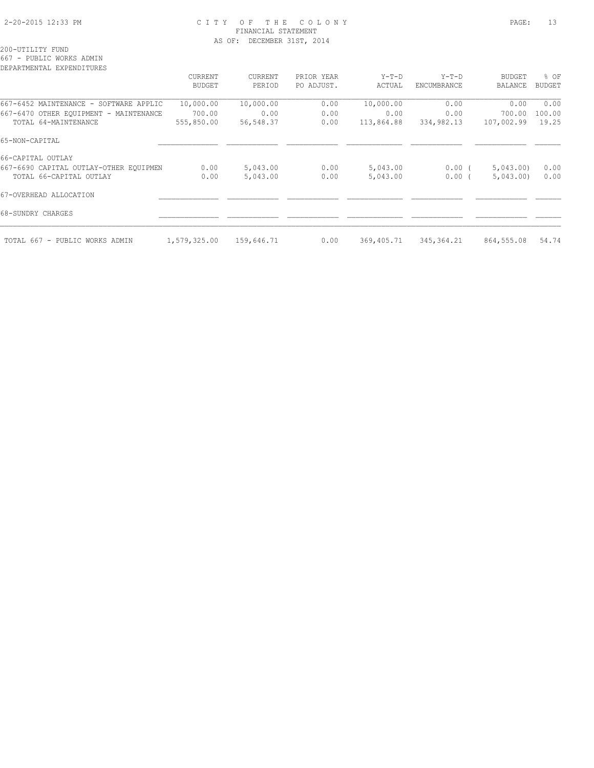### 2-20-2015 12:33 PM C I T Y O F T H E C O L O N Y PAGE: 13 FINANCIAL STATEMENT AS OF: DECEMBER 31ST, 2014

200-UTILITY FUND

667 - PUBLIC WORKS ADMIN

| DEPARTMENTAL EXPENDITURES              |                |            |            |            |             |               |               |
|----------------------------------------|----------------|------------|------------|------------|-------------|---------------|---------------|
|                                        | <b>CURRENT</b> | CURRENT    | PRIOR YEAR | Y-T-D      | $Y-T-D$     | <b>BUDGET</b> | % OF          |
|                                        | <b>BUDGET</b>  | PERIOD     | PO ADJUST. | ACTUAL     | ENCUMBRANCE | BALANCE       | <b>BUDGET</b> |
| 667-6452 MAINTENANCE - SOFTWARE APPLIC | 10,000.00      | 10,000.00  | 0.00       | 10,000.00  | 0.00        | 0.00          | 0.00          |
| 667-6470 OTHER EQUIPMENT - MAINTENANCE | 700.00         | 0.00       | 0.00       | 0.00       | 0.00        | 700.00        | 100.00        |
| TOTAL 64-MAINTENANCE                   | 555,850.00     | 56,548.37  | 0.00       | 113,864.88 | 334,982.13  | 107,002.99    | 19.25         |
| 65-NON-CAPITAL                         |                |            |            |            |             |               |               |
| 66-CAPITAL OUTLAY                      |                |            |            |            |             |               |               |
| 667-6690 CAPITAL OUTLAY-OTHER EQUIPMEN | 0.00           | 5,043.00   | 0.00       | 5,043.00   | 0.00(       | 5,043.00      | 0.00          |
| TOTAL 66-CAPITAL OUTLAY                | 0.00           | 5,043.00   | 0.00       | 5,043.00   | $0.00$ (    | 5,043.00      | 0.00          |
| 67-OVERHEAD ALLOCATION                 |                |            |            |            |             |               |               |
| 68-SUNDRY CHARGES                      |                |            |            |            |             |               |               |
| TOTAL 667 - PUBLIC WORKS ADMIN         | 1,579,325.00   | 159,646.71 | 0.00       | 369,405.71 | 345, 364.21 | 864,555.08    | 54.74         |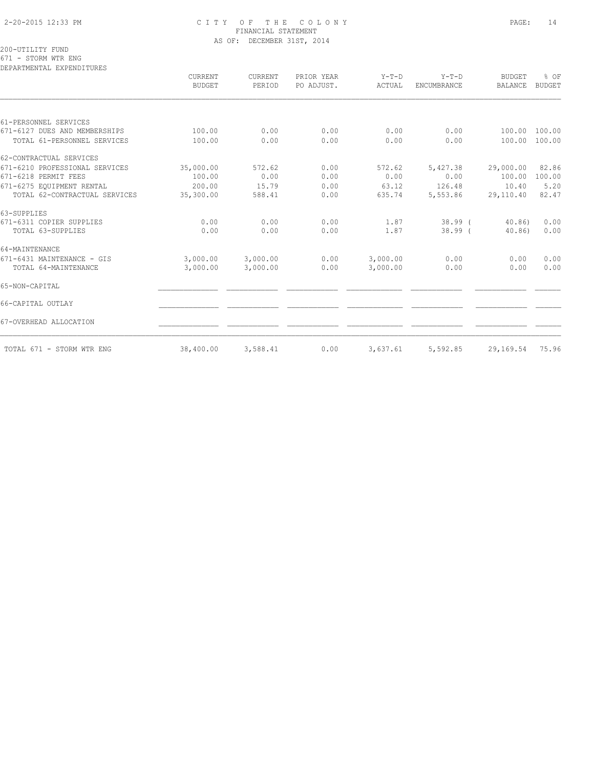### 2-20-2015 12:33 PM C I T Y O F T H E C O L O N Y PAGE: 14 FINANCIAL STATEMENT AS OF: DECEMBER 31ST, 2014

200-UTILITY FUND 671 - STORM WTR ENG

DEPARTMENTAL EXPENDITURES

|                                | CURRENT<br><b>BUDGET</b> | CURRENT<br>PERIOD | PRIOR YEAR<br>PO ADJUST. | $Y-T-D$<br>ACTUAL | $Y-T-D$<br>ENCUMBRANCE | <b>BUDGET</b><br><b>BALANCE</b> | % OF<br><b>BUDGET</b> |
|--------------------------------|--------------------------|-------------------|--------------------------|-------------------|------------------------|---------------------------------|-----------------------|
|                                |                          |                   |                          |                   |                        |                                 |                       |
| 61-PERSONNEL SERVICES          |                          |                   |                          |                   |                        |                                 |                       |
| 671-6127 DUES AND MEMBERSHIPS  | 100.00                   | 0.00              | 0.00                     | 0.00              | 0.00                   | 100.00                          | 100.00                |
| TOTAL 61-PERSONNEL SERVICES    | 100.00                   | 0.00              | 0.00                     | 0.00              | 0.00                   | 100.00                          | 100.00                |
| 62-CONTRACTUAL SERVICES        |                          |                   |                          |                   |                        |                                 |                       |
| 671-6210 PROFESSIONAL SERVICES | 35,000.00                | 572.62            | 0.00                     | 572.62            | 5,427.38               | 29,000.00                       | 82.86                 |
| 671-6218 PERMIT FEES           | 100.00                   | 0.00              | 0.00                     | 0.00              | 0.00                   | 100.00                          | 100.00                |
| 671-6275 EQUIPMENT RENTAL      | 200.00                   | 15.79             | 0.00                     | 63.12             | 126.48                 | 10.40                           | 5.20                  |
| TOTAL 62-CONTRACTUAL SERVICES  | 35,300.00                | 588.41            | 0.00                     | 635.74            | 5,553.86               | 29,110.40                       | 82.47                 |
| 63-SUPPLIES                    |                          |                   |                          |                   |                        |                                 |                       |
| 671-6311 COPIER SUPPLIES       | 0.00                     | 0.00              | 0.00                     | 1.87              | $38.99$ (              | 40.86)                          | 0.00                  |
| TOTAL 63-SUPPLIES              | 0.00                     | 0.00              | 0.00                     | 1.87              | $38.99$ (              | 40.86                           | 0.00                  |
| 64-MAINTENANCE                 |                          |                   |                          |                   |                        |                                 |                       |
| 671-6431 MAINTENANCE - GIS     | 3,000.00                 | 3,000.00          | 0.00                     | 3,000.00          | 0.00                   | 0.00                            | 0.00                  |
| TOTAL 64-MAINTENANCE           | 3,000.00                 | 3,000.00          | 0.00                     | 3,000.00          | 0.00                   | 0.00                            | 0.00                  |
| 65-NON-CAPITAL                 |                          |                   |                          |                   |                        |                                 |                       |
| 66-CAPITAL OUTLAY              |                          |                   |                          |                   |                        |                                 |                       |
| 67-OVERHEAD ALLOCATION         |                          |                   |                          |                   |                        |                                 |                       |
| TOTAL 671 - STORM WTR ENG      | 38,400.00                | 3,588.41          | 0.00                     | 3,637.61          | 5,592.85               | 29,169.54                       | 75.96                 |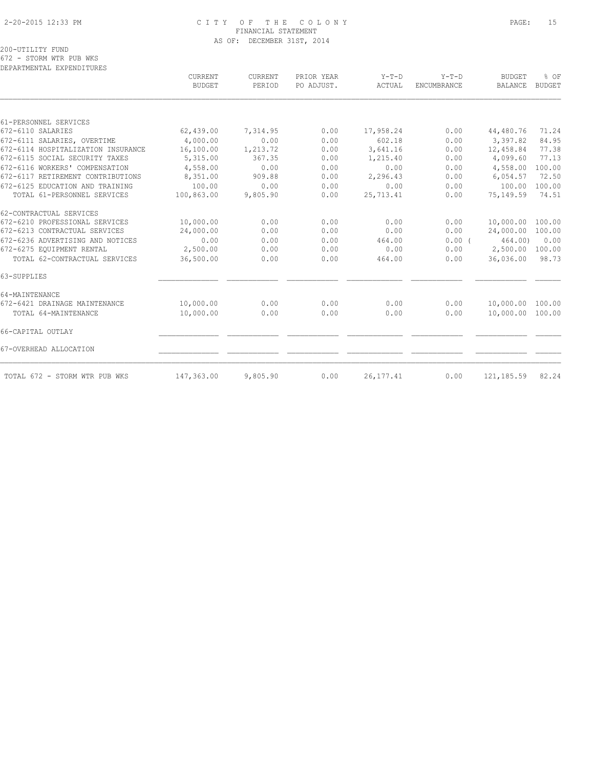### 2-20-2015 12:33 PM C I T Y O F T H E C O L O N Y PAGE: 15 FINANCIAL STATEMENT AS OF: DECEMBER 31ST, 2014

200-UTILITY FUND 672 - STORM WTR PUB WKS

DEPARTMENTAL EXPENDITURES

|                                    | CURRENT<br><b>BUDGET</b> | <b>CURRENT</b><br>PERIOD | PRIOR YEAR<br>PO ADJUST. | $Y-T-D$<br>ACTUAL | $Y-T-D$<br><b>ENCUMBRANCE</b> | <b>BUDGET</b><br><b>BALANCE</b> | % OF<br><b>BUDGET</b> |
|------------------------------------|--------------------------|--------------------------|--------------------------|-------------------|-------------------------------|---------------------------------|-----------------------|
|                                    |                          |                          |                          |                   |                               |                                 |                       |
| 61-PERSONNEL SERVICES              |                          |                          |                          |                   |                               |                                 |                       |
| 672-6110 SALARIES                  | 62,439.00                | 7,314.95                 | 0.00                     | 17,958.24         | 0.00                          | 44,480.76                       | 71.24                 |
| 672-6111 SALARIES, OVERTIME        | 4,000.00                 | 0.00                     | 0.00                     | 602.18            | 0.00                          | 3,397.82                        | 84.95                 |
| 672-6114 HOSPITALIZATION INSURANCE | 16,100.00                | 1,213.72                 | 0.00                     | 3,641.16          | 0.00                          | 12,458.84                       | 77.38                 |
| 672-6115 SOCIAL SECURITY TAXES     | 5,315.00                 | 367.35                   | 0.00                     | 1,215.40          | 0.00                          | 4,099.60                        | 77.13                 |
| 672-6116 WORKERS' COMPENSATION     | 4,558.00                 | 0.00                     | 0.00                     | 0.00              | 0.00                          | 4,558.00                        | 100.00                |
| 672-6117 RETIREMENT CONTRIBUTIONS  | 8,351.00                 | 909.88                   | 0.00                     | 2,296.43          | 0.00                          | 6,054.57                        | 72.50                 |
| 672-6125 EDUCATION AND TRAINING    | 100.00                   | 0.00                     | 0.00                     | 0.00              | 0.00                          | 100.00                          | 100.00                |
| TOTAL 61-PERSONNEL SERVICES        | 100,863.00               | 9,805.90                 | 0.00                     | 25,713.41         | 0.00                          | 75,149.59                       | 74.51                 |
| 62-CONTRACTUAL SERVICES            |                          |                          |                          |                   |                               |                                 |                       |
| 672-6210 PROFESSIONAL SERVICES     | 10,000.00                | 0.00                     | 0.00                     | 0.00              | 0.00                          | 10,000.00                       | 100.00                |
| 672-6213 CONTRACTUAL SERVICES      | 24,000.00                | 0.00                     | 0.00                     | 0.00              | 0.00                          | 24,000.00                       | 100.00                |
| 672-6236 ADVERTISING AND NOTICES   | 0.00                     | 0.00                     | 0.00                     | 464.00            | 0.00(                         | 464.00)                         | 0.00                  |
| 672-6275 EQUIPMENT RENTAL          | 2,500.00                 | 0.00                     | 0.00                     | 0.00              | 0.00                          | 2,500.00                        | 100.00                |
| TOTAL 62-CONTRACTUAL SERVICES      | 36,500.00                | 0.00                     | 0.00                     | 464.00            | 0.00                          | 36,036.00                       | 98.73                 |
| 63-SUPPLIES                        |                          |                          |                          |                   |                               |                                 |                       |
| 64-MAINTENANCE                     |                          |                          |                          |                   |                               |                                 |                       |
| 672-6421 DRAINAGE MAINTENANCE      | 10,000.00                | 0.00                     | 0.00                     | 0.00              | 0.00                          | 10,000.00                       | 100.00                |
| TOTAL 64-MAINTENANCE               | 10,000.00                | 0.00                     | 0.00                     | 0.00              | 0.00                          | 10,000.00                       | 100.00                |
| 66-CAPITAL OUTLAY                  |                          |                          |                          |                   |                               |                                 |                       |
| 67-OVERHEAD ALLOCATION             |                          |                          |                          |                   |                               |                                 |                       |
| TOTAL 672 - STORM WTR PUB WKS      | 147,363.00               | 9,805.90                 | 0.00                     | 26, 177.41        | 0.00                          | 121, 185.59                     | 82.24                 |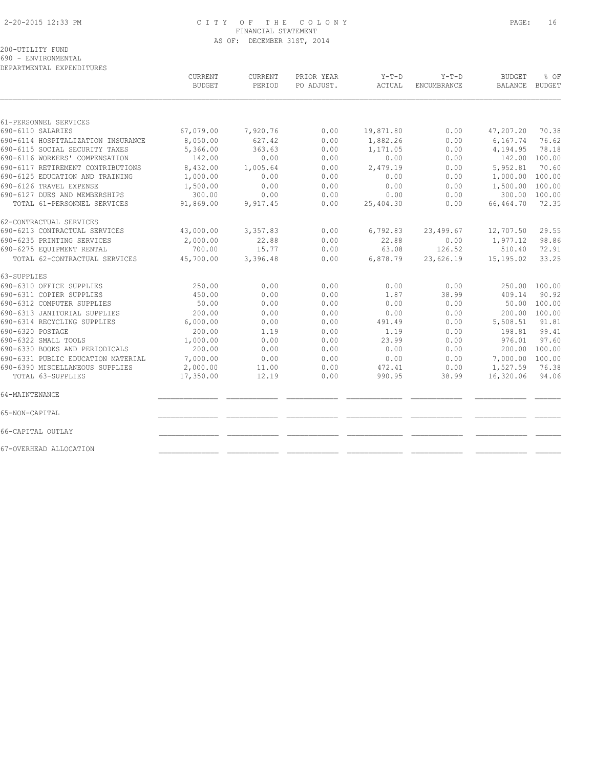### 2-20-2015 12:33 PM C I T Y O F T H E C O L O N Y PAGE: 16 FINANCIAL STATEMENT AS OF: DECEMBER 31ST, 2014

200-UTILITY FUND

690 - ENVIRONMENTAL

| DEPARTMENTAL EXPENDITURES          |               |          |            |           |             |                |               |
|------------------------------------|---------------|----------|------------|-----------|-------------|----------------|---------------|
|                                    | CURRENT       | CURRENT  | PRIOR YEAR | $Y-T-D$   | $Y-T-D$     | <b>BUDGET</b>  | % OF          |
|                                    | <b>BUDGET</b> | PERIOD   | PO ADJUST. | ACTUAL    | ENCUMBRANCE | <b>BALANCE</b> | <b>BUDGET</b> |
|                                    |               |          |            |           |             |                |               |
| 61-PERSONNEL SERVICES              |               |          |            |           |             |                |               |
| 690-6110 SALARIES                  | 67,079.00     | 7,920.76 | 0.00       | 19,871.80 | 0.00        | 47,207.20      | 70.38         |
| 690-6114 HOSPITALIZATION INSURANCE | 8,050.00      | 627.42   | 0.00       | 1,882.26  | 0.00        | 6,167.74       | 76.62         |
| 690-6115 SOCIAL SECURITY TAXES     | 5,366.00      | 363.63   | 0.00       | 1,171.05  | 0.00        | 4,194.95       | 78.18         |
| 690-6116 WORKERS' COMPENSATION     | 142.00        | 0.00     | 0.00       | 0.00      | 0.00        | 142.00 100.00  |               |
| 690-6117 RETIREMENT CONTRIBUTIONS  | 8,432.00      | 1,005.64 | 0.00       | 2,479.19  | 0.00        | 5,952.81       | 70.60         |
| 690-6125 EDUCATION AND TRAINING    | 1,000.00      | 0.00     | 0.00       | 0.00      | 0.00        | 1,000.00       | 100.00        |
| 690-6126 TRAVEL EXPENSE            | 1,500.00      | 0.00     | 0.00       | 0.00      | 0.00        | 1,500.00       | 100.00        |
| 690-6127 DUES AND MEMBERSHIPS      | 300.00        | 0.00     | 0.00       | 0.00      | 0.00        | 300.00         | 100.00        |
| TOTAL 61-PERSONNEL SERVICES        | 91,869.00     | 9,917.45 | 0.00       | 25,404.30 | 0.00        | 66,464.70      | 72.35         |
| 62-CONTRACTUAL SERVICES            |               |          |            |           |             |                |               |
| 690-6213 CONTRACTUAL SERVICES      | 43,000.00     | 3,357.83 | 0.00       | 6,792.83  | 23,499.67   | 12,707.50      | 29.55         |
| 690-6235 PRINTING SERVICES         | 2,000.00      | 22.88    | 0.00       | 22.88     | 0.00        | 1,977.12       | 98.86         |
| 690-6275 EQUIPMENT RENTAL          | 700.00        | 15.77    | 0.00       | 63.08     | 126.52      | 510.40         | 72.91         |
| TOTAL 62-CONTRACTUAL SERVICES      | 45,700.00     | 3,396.48 | 0.00       | 6,878.79  | 23,626.19   | 15,195.02      | 33.25         |
| 63-SUPPLIES                        |               |          |            |           |             |                |               |
| 690-6310 OFFICE SUPPLIES           | 250.00        | 0.00     | 0.00       | 0.00      | 0.00        |                | 250.00 100.00 |
| 690-6311 COPIER SUPPLIES           | 450.00        | 0.00     | 0.00       | 1.87      | 38.99       | 409.14         | 90.92         |
| 690-6312 COMPUTER SUPPLIES         | 50.00         | 0.00     | 0.00       | 0.00      | 0.00        | 50.00          | 100.00        |
| 690-6313 JANITORIAL SUPPLIES       | 200.00        | 0.00     | 0.00       | 0.00      | 0.00        | 200.00 100.00  |               |
| 690-6314 RECYCLING SUPPLIES        | 6,000.00      | 0.00     | 0.00       | 491.49    | 0.00        | 5,508.51       | 91.81         |
| 690-6320 POSTAGE                   | 200.00        | 1.19     | 0.00       | 1.19      | 0.00        | 198.81         | 99.41         |
| 690-6322 SMALL TOOLS               | 1,000.00      | 0.00     | 0.00       | 23.99     | 0.00        | 976.01         | 97.60         |
| 690-6330 BOOKS AND PERIODICALS     | 200.00        | 0.00     | 0.00       | 0.00      | 0.00        |                | 200.00 100.00 |
| 690-6331 PUBLIC EDUCATION MATERIAL | 7,000.00      | 0.00     | 0.00       | 0.00      | 0.00        | 7,000.00       | 100.00        |
| 690-6390 MISCELLANEOUS SUPPLIES    | 2,000.00      | 11.00    | 0.00       | 472.41    | 0.00        | 1,527.59       | 76.38         |
| TOTAL 63-SUPPLIES                  | 17,350.00     | 12.19    | 0.00       | 990.95    | 38.99       | 16,320.06      | 94.06         |
| 64-MAINTENANCE                     |               |          |            |           |             |                |               |
| 65-NON-CAPITAL                     |               |          |            |           |             |                |               |
| 66-CAPITAL OUTLAY                  |               |          |            |           |             |                |               |
| 67-OVERHEAD ALLOCATION             |               |          |            |           |             |                |               |
|                                    |               |          |            |           |             |                |               |